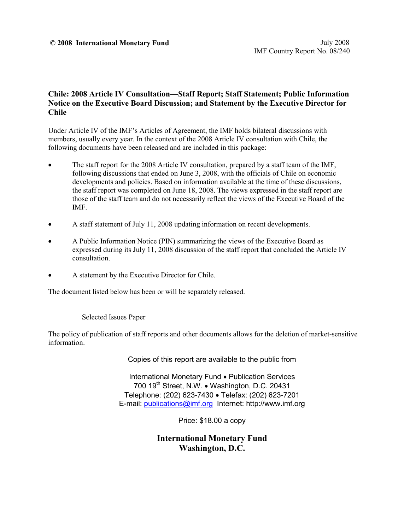#### **© 2008 International Monetary Fund** July 2008

### **Chile: 2008 Article IV Consultation—Staff Report; Staff Statement; Public Information Notice on the Executive Board Discussion; and Statement by the Executive Director for Chile**

Under Article IV of the IMF's Articles of Agreement, the IMF holds bilateral discussions with members, usually every year. In the context of the 2008 Article IV consultation with Chile, the following documents have been released and are included in this package:

- The staff report for the 2008 Article IV consultation, prepared by a staff team of the IMF, following discussions that ended on June 3, 2008, with the officials of Chile on economic developments and policies. Based on information available at the time of these discussions, the staff report was completed on June 18, 2008. The views expressed in the staff report are those of the staff team and do not necessarily reflect the views of the Executive Board of the IMF.
- A staff statement of July 11, 2008 updating information on recent developments.
- A Public Information Notice (PIN) summarizing the views of the Executive Board as expressed during its July 11, 2008 discussion of the staff report that concluded the Article IV consultation.
- A statement by the Executive Director for Chile.

The document listed below has been or will be separately released.

Selected Issues Paper

The policy of publication of staff reports and other documents allows for the deletion of market-sensitive information.

Copies of this report are available to the public from

International Monetary Fund • Publication Services 700 19<sup>th</sup> Street, N.W. • Washington, D.C. 20431 Telephone: (202) 623-7430 • Telefax: (202) 623-7201 E-mail: [publications@imf.org](mailto:publications@imf.org) Internet: http://www.imf.org

Price: \$18.00 a copy

**International Monetary Fund Washington, D.C.**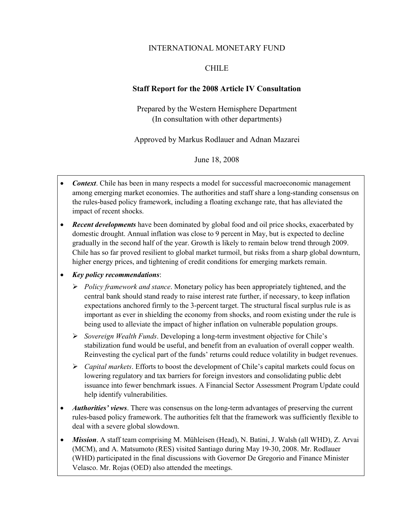### INTERNATIONAL MONETARY FUND

### CHILE

### **Staff Report for the 2008 Article IV Consultation**

Prepared by the Western Hemisphere Department (In consultation with other departments)

Approved by Markus Rodlauer and Adnan Mazarei

June 18, 2008

- *Context*. Chile has been in many respects a model for successful macroeconomic management among emerging market economies. The authorities and staff share a long-standing consensus on the rules-based policy framework, including a floating exchange rate, that has alleviated the impact of recent shocks.
- *Recent developments* have been dominated by global food and oil price shocks, exacerbated by domestic drought. Annual inflation was close to 9 percent in May, but is expected to decline gradually in the second half of the year. Growth is likely to remain below trend through 2009. Chile has so far proved resilient to global market turmoil, but risks from a sharp global downturn, higher energy prices, and tightening of credit conditions for emerging markets remain.
- *Key policy recommendations*:
	- ¾ *Policy framework and stance*. Monetary policy has been appropriately tightened, and the central bank should stand ready to raise interest rate further, if necessary, to keep inflation expectations anchored firmly to the 3-percent target. The structural fiscal surplus rule is as important as ever in shielding the economy from shocks, and room existing under the rule is being used to alleviate the impact of higher inflation on vulnerable population groups.
	- ¾ *Sovereign Wealth Funds*. Developing a long-term investment objective for Chile's stabilization fund would be useful, and benefit from an evaluation of overall copper wealth. Reinvesting the cyclical part of the funds' returns could reduce volatility in budget revenues.
	- ¾ *Capital markets*. Efforts to boost the development of Chile's capital markets could focus on lowering regulatory and tax barriers for foreign investors and consolidating public debt issuance into fewer benchmark issues. A Financial Sector Assessment Program Update could help identify vulnerabilities.
- *Authorities' views*. There was consensus on the long-term advantages of preserving the current rules-based policy framework. The authorities felt that the framework was sufficiently flexible to deal with a severe global slowdown.
- *Mission*. A staff team comprising M. Mühleisen (Head), N. Batini, J. Walsh (all WHD), Z. Arvai (MCM), and A. Matsumoto (RES) visited Santiago during May 19-30, 2008. Mr. Rodlauer (WHD) participated in the final discussions with Governor De Gregorio and Finance Minister Velasco. Mr. Rojas (OED) also attended the meetings.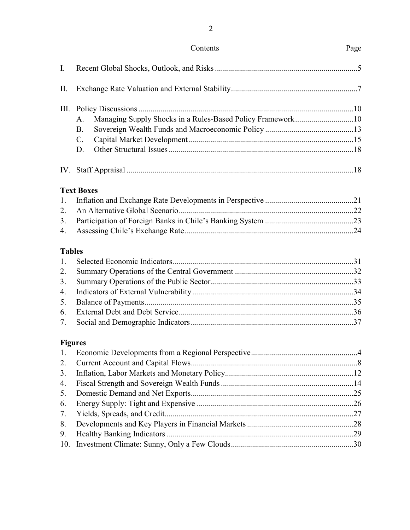### Contents Page

## I. Recent Global Shocks, Outlook, and Risks .......................................................................5 II. Exchange Rate Valuation and External Stability...............................................................7 III. Policy Discussions ...........................................................................................................10 A. Managing Supply Shocks in a Rules-Based Policy Framework.............................10 B. Sovereign Wealth Funds and Macroeconomic Policy ............................................13 C. Capital Market Development ..................................................................................15 D. Other Structural Issues ............................................................................................18 IV. Staff Appraisal .................................................................................................................18

### **Text Boxes**

### **Tables**

### **Figures**

| 2. |  |
|----|--|
|    |  |
|    |  |
|    |  |
|    |  |
|    |  |
|    |  |
| 9. |  |
|    |  |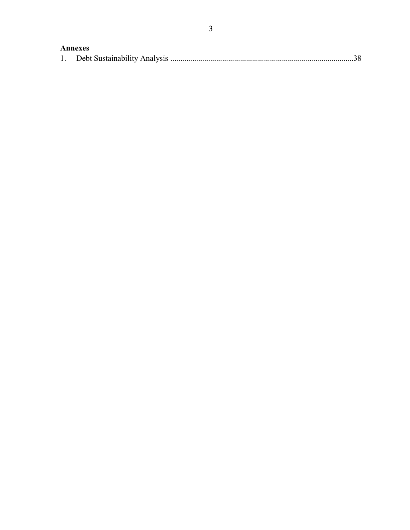### Annexes

|--|--|--|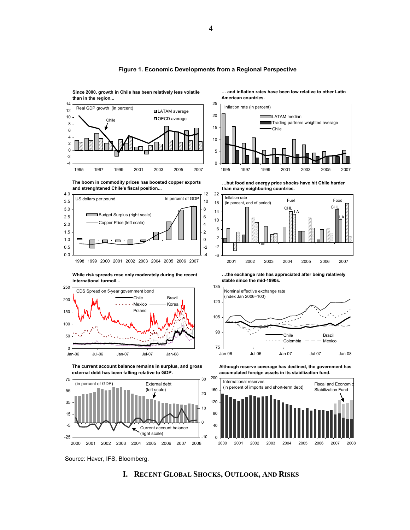

#### **Figure 1. Economic Developments from a Regional Perspective**

25



**Since 2000, growth in Chile has been relatively less volatile** 

**than in the region...**





**… and inflation rates have been low relative to other Latin American countries.**







Source: Haver, IFS, Bloomberg.

#### **I. RECENT GLOBAL SHOCKS, OUTLOOK, AND RISKS**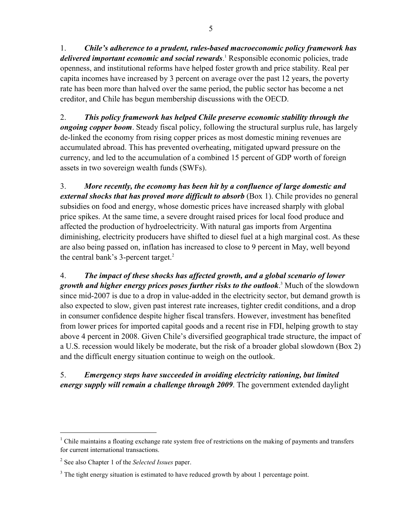1. *Chile's adherence to a prudent, rules-based macroeconomic policy framework has*  delivered important economic and social rewards.<sup>1</sup> Responsible economic policies, trade openness, and institutional reforms have helped foster growth and price stability. Real per capita incomes have increased by 3 percent on average over the past 12 years, the poverty rate has been more than halved over the same period, the public sector has become a net creditor, and Chile has begun membership discussions with the OECD.

2. *This policy framework has helped Chile preserve economic stability through the ongoing copper boom*. Steady fiscal policy, following the structural surplus rule, has largely de-linked the economy from rising copper prices as most domestic mining revenues are accumulated abroad. This has prevented overheating, mitigated upward pressure on the currency, and led to the accumulation of a combined 15 percent of GDP worth of foreign assets in two sovereign wealth funds (SWFs).

3. *More recently, the economy has been hit by a confluence of large domestic and external shocks that has proved more difficult to absorb* (Box 1). Chile provides no general subsidies on food and energy, whose domestic prices have increased sharply with global price spikes. At the same time, a severe drought raised prices for local food produce and affected the production of hydroelectricity. With natural gas imports from Argentina diminishing, electricity producers have shifted to diesel fuel at a high marginal cost. As these are also being passed on, inflation has increased to close to 9 percent in May, well beyond the central bank's 3-percent target.<sup>2</sup>

4. *The impact of these shocks has affected growth, and a global scenario of lower*  growth and higher energy prices poses further risks to the outlook.<sup>3</sup> Much of the slowdown since mid-2007 is due to a drop in value-added in the electricity sector, but demand growth is also expected to slow, given past interest rate increases, tighter credit conditions, and a drop in consumer confidence despite higher fiscal transfers. However, investment has benefited from lower prices for imported capital goods and a recent rise in FDI, helping growth to stay above 4 percent in 2008. Given Chile's diversified geographical trade structure, the impact of a U.S. recession would likely be moderate, but the risk of a broader global slowdown (Box 2) and the difficult energy situation continue to weigh on the outlook.

### 5. *Emergency steps have succeeded in avoiding electricity rationing, but limited energy supply will remain a challenge through 2009*. The government extended daylight

 $\overline{a}$ 

<sup>&</sup>lt;sup>1</sup> Chile maintains a floating exchange rate system free of restrictions on the making of payments and transfers for current international transactions.

<sup>2</sup> See also Chapter 1 of the *Selected Issues* paper.

 $3$  The tight energy situation is estimated to have reduced growth by about 1 percentage point.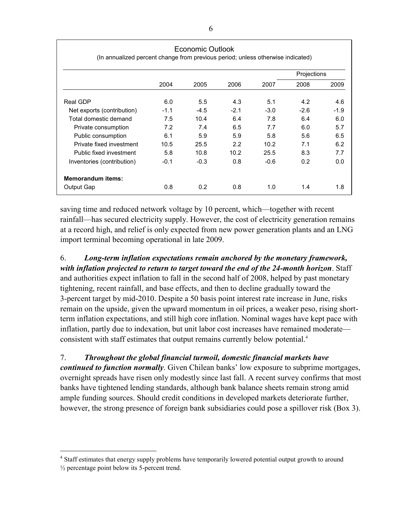|                            | Economic Outlook<br>(In annualized percent change from previous period; unless otherwise indicated) |        |        |        |             |        |
|----------------------------|-----------------------------------------------------------------------------------------------------|--------|--------|--------|-------------|--------|
|                            |                                                                                                     |        |        |        | Projections |        |
|                            | 2004                                                                                                | 2005   | 2006   | 2007   | 2008        | 2009   |
| Real GDP                   | 6.0                                                                                                 | 5.5    | 4.3    | 5.1    | 4.2         | 4.6    |
| Net exports (contribution) | $-1.1$                                                                                              | $-4.5$ | $-2.1$ | $-3.0$ | $-2.6$      | $-1.9$ |
| Total domestic demand      | 7.5                                                                                                 | 10.4   | 6.4    | 7.8    | 6.4         | 6.0    |
| Private consumption        | 7.2                                                                                                 | 7.4    | 6.5    | 7.7    | 6.0         | 5.7    |
| Public consumption         | 6.1                                                                                                 | 5.9    | 5.9    | 5.8    | 5.6         | 6.5    |
| Private fixed investment   | 10.5                                                                                                | 25.5   | 2.2    | 10.2   | 7.1         | 6.2    |
| Public fixed investment    | 5.8                                                                                                 | 10.8   | 10.2   | 25.5   | 8.3         | 7.7    |
| Inventories (contribution) | $-0.1$                                                                                              | $-0.3$ | 0.8    | $-0.6$ | 0.2         | 0.0    |
| <b>Memorandum items:</b>   |                                                                                                     |        |        |        |             |        |
| Output Gap                 | 0.8                                                                                                 | 0.2    | 0.8    | 1.0    | 1.4         | 1.8    |

saving time and reduced network voltage by 10 percent, which—together with recent rainfall—has secured electricity supply. However, the cost of electricity generation remains at a record high, and relief is only expected from new power generation plants and an LNG import terminal becoming operational in late 2009.

6. *Long-term inflation expectations remain anchored by the monetary framework, with inflation projected to return to target toward the end of the 24-month horizon*. Staff and authorities expect inflation to fall in the second half of 2008, helped by past monetary tightening, recent rainfall, and base effects, and then to decline gradually toward the 3-percent target by mid-2010. Despite a 50 basis point interest rate increase in June, risks remain on the upside, given the upward momentum in oil prices, a weaker peso, rising shortterm inflation expectations, and still high core inflation. Nominal wages have kept pace with inflation, partly due to indexation, but unit labor cost increases have remained moderate consistent with staff estimates that output remains currently below potential.4

### 7. *Throughout the global financial turmoil, domestic financial markets have*

*continued to function normally*. Given Chilean banks' low exposure to subprime mortgages, overnight spreads have risen only modestly since last fall. A recent survey confirms that most banks have tightened lending standards, although bank balance sheets remain strong amid ample funding sources. Should credit conditions in developed markets deteriorate further, however, the strong presence of foreign bank subsidiaries could pose a spillover risk (Box 3).

 $\overline{a}$ 

<sup>&</sup>lt;sup>4</sup> Staff estimates that energy supply problems have temporarily lowered potential output growth to around  $\frac{1}{2}$  percentage point below its 5-percent trend.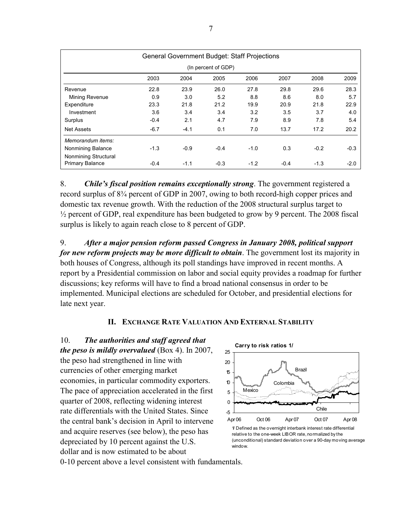|                      | <b>General Government Budget: Staff Projections</b> |        |        |        |        |        |        |
|----------------------|-----------------------------------------------------|--------|--------|--------|--------|--------|--------|
|                      | (In percent of GDP)                                 |        |        |        |        |        |        |
|                      | 2003                                                | 2004   | 2005   | 2006   | 2007   | 2008   | 2009   |
| Revenue              | 22.8                                                | 23.9   | 26.0   | 27.8   | 29.8   | 29.6   | 28.3   |
| Mining Revenue       | 0.9                                                 | 3.0    | 5.2    | 8.8    | 8.6    | 8.0    | 5.7    |
| Expenditure          | 23.3                                                | 21.8   | 21.2   | 19.9   | 20.9   | 21.8   | 22.9   |
| Investment           | 3.6                                                 | 3.4    | 3.4    | 3.2    | 3.5    | 3.7    | 4.0    |
| Surplus              | $-0.4$                                              | 2.1    | 4.7    | 7.9    | 8.9    | 7.8    | 5.4    |
| <b>Net Assets</b>    | $-6.7$                                              | $-4.1$ | 0.1    | 7.0    | 13.7   | 17.2   | 20.2   |
| Memorandum items:    |                                                     |        |        |        |        |        |        |
| Nonmining Balance    | $-1.3$                                              | $-0.9$ | $-0.4$ | $-1.0$ | 0.3    | $-0.2$ | $-0.3$ |
| Nonmining Structural |                                                     |        |        |        |        |        |        |
| Primary Balance      | $-0.4$                                              | $-1.1$ | $-0.3$ | $-1.2$ | $-0.4$ | $-1.3$ | $-2.0$ |

8. *Chile's fiscal position remains exceptionally strong*. The government registered a record surplus of 8¾ percent of GDP in 2007, owing to both record-high copper prices and domestic tax revenue growth. With the reduction of the 2008 structural surplus target to  $\frac{1}{2}$  percent of GDP, real expenditure has been budgeted to grow by 9 percent. The 2008 fiscal surplus is likely to again reach close to 8 percent of GDP.

9. *After a major pension reform passed Congress in January 2008, political support for new reform projects may be more difficult to obtain*. The government lost its majority in both houses of Congress, although its poll standings have improved in recent months. A report by a Presidential commission on labor and social equity provides a roadmap for further discussions; key reforms will have to find a broad national consensus in order to be implemented. Municipal elections are scheduled for October, and presidential elections for late next year.

### **II. EXCHANGE RATE VALUATION AND EXTERNAL STABILITY**

10. *The authorities and staff agreed that the peso is mildly overvalued* (Box 4). In 2007, the peso had strengthened in line with currencies of other emerging market economies, in particular commodity exporters. The pace of appreciation accelerated in the first quarter of 2008, reflecting widening interest rate differentials with the United States. Since the central bank's decision in April to intervene and acquire reserves (see below), the peso has depreciated by 10 percent against the U.S. dollar and is now estimated to be about



relative to the one-week LIBOR rate, normalized by the (unconditional) standard deviation over a 90-day moving average window.

0-10 percent above a level consistent with fundamentals.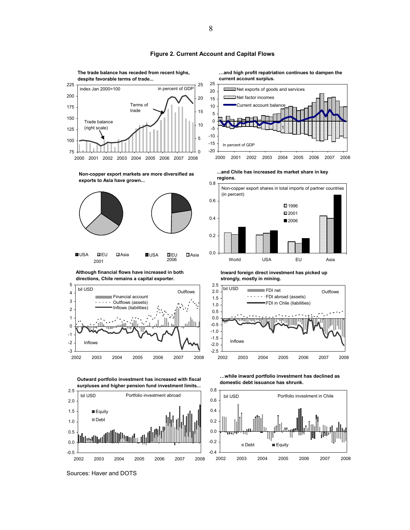

#### **Figure 2. Current Account and Capital Flows**

Sources: Haver and DOTS

2002 2003 2004 2005 2006 2007 2008



8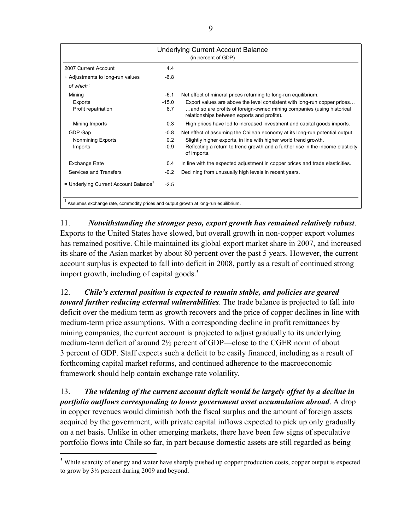|                                                                                    |         | <b>Underlying Current Account Balance</b><br>(in percent of GDP)                                                      |  |  |
|------------------------------------------------------------------------------------|---------|-----------------------------------------------------------------------------------------------------------------------|--|--|
|                                                                                    |         |                                                                                                                       |  |  |
| 2007 Current Account                                                               | 4.4     |                                                                                                                       |  |  |
| + Adjustments to long-run values                                                   | $-6.8$  |                                                                                                                       |  |  |
| of which:                                                                          |         |                                                                                                                       |  |  |
| Mining                                                                             | $-6.1$  | Net effect of mineral prices returning to long-run equilibrium.                                                       |  |  |
| Exports                                                                            | $-15.0$ | Export values are above the level consistent with long-run copper prices                                              |  |  |
| Profit repatriation                                                                | 8.7     | and so are profits of foreign-owned mining companies (using historical<br>relationships between exports and profits). |  |  |
| Mining Imports                                                                     | 0.3     | High prices have led to increased investment and capital goods imports.                                               |  |  |
| GDP Gap                                                                            | $-0.8$  | Net effect of assuming the Chilean economy at its long-run potential output.                                          |  |  |
| <b>Nonmining Exports</b>                                                           | 0.2     | Slightly higher exports, in line with higher world trend growth.                                                      |  |  |
| Imports                                                                            | $-0.9$  | Reflecting a return to trend growth and a further rise in the income elasticity<br>of imports.                        |  |  |
| <b>Exchange Rate</b>                                                               | 0.4     | In line with the expected adjustment in copper prices and trade elasticities.                                         |  |  |
| Services and Transfers                                                             | $-0.2$  | Declining from unusually high levels in recent years.                                                                 |  |  |
| = Underlying Current Account Balance <sup>1</sup>                                  | $-2.5$  |                                                                                                                       |  |  |
| Assumes exchange rate, commodity prices and output growth at long-run equilibrium. |         |                                                                                                                       |  |  |

11. *Notwithstanding the stronger peso, export growth has remained relatively robust*. Exports to the United States have slowed, but overall growth in non-copper export volumes has remained positive. Chile maintained its global export market share in 2007, and increased its share of the Asian market by about 80 percent over the past 5 years. However, the current account surplus is expected to fall into deficit in 2008, partly as a result of continued strong import growth, including of capital goods. $5$ 

12. *Chile's external position is expected to remain stable, and policies are geared toward further reducing external vulnerabilities*. The trade balance is projected to fall into deficit over the medium term as growth recovers and the price of copper declines in line with medium-term price assumptions. With a corresponding decline in profit remittances by mining companies, the current account is projected to adjust gradually to its underlying medium-term deficit of around 2½ percent of GDP—close to the CGER norm of about 3 percent of GDP. Staff expects such a deficit to be easily financed, including as a result of forthcoming capital market reforms, and continued adherence to the macroeconomic framework should help contain exchange rate volatility.

13. *The widening of the current account deficit would be largely offset by a decline in portfolio outflows corresponding to lower government asset accumulation abroad*. A drop in copper revenues would diminish both the fiscal surplus and the amount of foreign assets acquired by the government, with private capital inflows expected to pick up only gradually on a net basis. Unlike in other emerging markets, there have been few signs of speculative portfolio flows into Chile so far, in part because domestic assets are still regarded as being

 $\overline{a}$ 

<sup>&</sup>lt;sup>5</sup> While scarcity of energy and water have sharply pushed up copper production costs, copper output is expected to grow by 3½ percent during 2009 and beyond.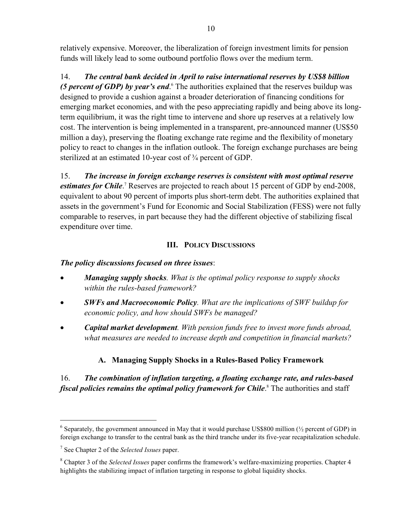relatively expensive. Moreover, the liberalization of foreign investment limits for pension funds will likely lead to some outbound portfolio flows over the medium term.

14. *The central bank decided in April to raise international reserves by US\$8 billion*  (5 percent of GDP) by year's end.<sup>6</sup> The authorities explained that the reserves buildup was designed to provide a cushion against a broader deterioration of financing conditions for emerging market economies, and with the peso appreciating rapidly and being above its longterm equilibrium, it was the right time to intervene and shore up reserves at a relatively low cost. The intervention is being implemented in a transparent, pre-announced manner (US\$50 million a day), preserving the floating exchange rate regime and the flexibility of monetary policy to react to changes in the inflation outlook. The foreign exchange purchases are being sterilized at an estimated 10-year cost of  $\frac{3}{4}$  percent of GDP.

15. *The increase in foreign exchange reserves is consistent with most optimal reserve*  estimates for Chile<sup>?</sup> Reserves are projected to reach about 15 percent of GDP by end-2008, equivalent to about 90 percent of imports plus short-term debt. The authorities explained that assets in the government's Fund for Economic and Social Stabilization (FESS) were not fully comparable to reserves, in part because they had the different objective of stabilizing fiscal expenditure over time.

### **III. POLICY DISCUSSIONS**

### *The policy discussions focused on three issues*:

- *Managing supply shocks. What is the optimal policy response to supply shocks within the rules-based framework?*
- *SWFs and Macroeconomic Policy. What are the implications of SWF buildup for economic policy, and how should SWFs be managed?*
- *Capital market development. With pension funds free to invest more funds abroad, what measures are needed to increase depth and competition in financial markets?*

### **A. Managing Supply Shocks in a Rules-Based Policy Framework**

### 16. *The combination of inflation targeting, a floating exchange rate, and rules-based*  fiscal policies remains the optimal policy framework for Chile.<sup>8</sup> The authorities and staff

 $\overline{a}$ 

<sup>&</sup>lt;sup>6</sup> Separately, the government announced in May that it would purchase US\$800 million ( $\frac{1}{2}$  percent of GDP) in foreign exchange to transfer to the central bank as the third tranche under its five-year recapitalization schedule.

<sup>7</sup> See Chapter 2 of the *Selected Issues* paper.

<sup>8</sup> Chapter 3 of the *Selected Issues* paper confirms the framework's welfare-maximizing properties. Chapter 4 highlights the stabilizing impact of inflation targeting in response to global liquidity shocks.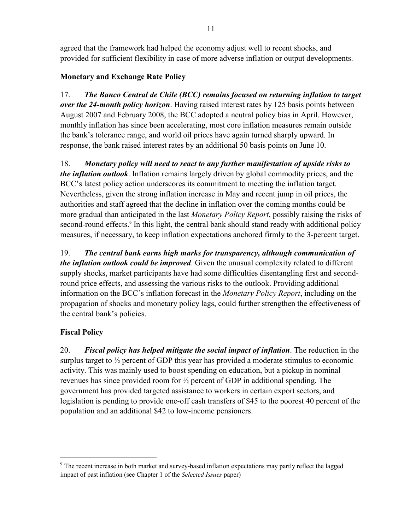agreed that the framework had helped the economy adjust well to recent shocks, and provided for sufficient flexibility in case of more adverse inflation or output developments.

### **Monetary and Exchange Rate Policy**

17. *The Banco Central de Chile (BCC) remains focused on returning inflation to target over the 24-month policy horizon*. Having raised interest rates by 125 basis points between August 2007 and February 2008, the BCC adopted a neutral policy bias in April. However, monthly inflation has since been accelerating, most core inflation measures remain outside the bank's tolerance range, and world oil prices have again turned sharply upward. In response, the bank raised interest rates by an additional 50 basis points on June 10.

18. *Monetary policy will need to react to any further manifestation of upside risks to the inflation outlook*. Inflation remains largely driven by global commodity prices, and the BCC's latest policy action underscores its commitment to meeting the inflation target. Nevertheless, given the strong inflation increase in May and recent jump in oil prices, the authorities and staff agreed that the decline in inflation over the coming months could be more gradual than anticipated in the last *Monetary Policy Report*, possibly raising the risks of second-round effects.<sup>9</sup> In this light, the central bank should stand ready with additional policy measures, if necessary, to keep inflation expectations anchored firmly to the 3-percent target.

19. *The central bank earns high marks for transparency, although communication of the inflation outlook could be improved*. Given the unusual complexity related to different supply shocks, market participants have had some difficulties disentangling first and secondround price effects, and assessing the various risks to the outlook. Providing additional information on the BCC's inflation forecast in the *Monetary Policy Report*, including on the propagation of shocks and monetary policy lags, could further strengthen the effectiveness of the central bank's policies.

### **Fiscal Policy**

 $\overline{a}$ 

20. *Fiscal policy has helped mitigate the social impact of inflation*. The reduction in the surplus target to  $\frac{1}{2}$  percent of GDP this year has provided a moderate stimulus to economic activity. This was mainly used to boost spending on education, but a pickup in nominal revenues has since provided room for ½ percent of GDP in additional spending. The government has provided targeted assistance to workers in certain export sectors, and legislation is pending to provide one-off cash transfers of \$45 to the poorest 40 percent of the population and an additional \$42 to low-income pensioners.

<sup>&</sup>lt;sup>9</sup> The recent increase in both market and survey-based inflation expectations may partly reflect the lagged impact of past inflation (see Chapter 1 of the *Selected Issues* paper)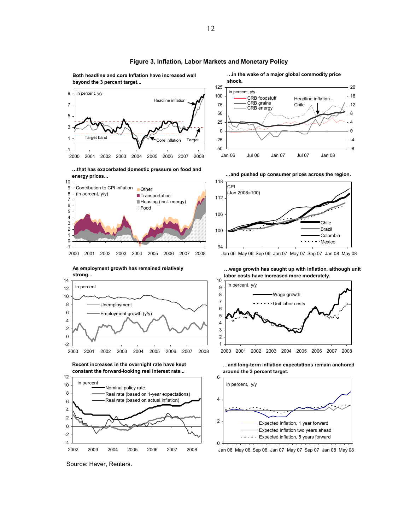

#### **Figure 3. Inflation, Labor Markets and Monetary Policy**

**Both headline and core Inflation have increased well** 



**…in the wake of a major global commodity price** 

Jan 06 May 06 Sep 06 Jan 07 May 07 Sep 07 Jan 08 May 08

Source: Haver, Reuters.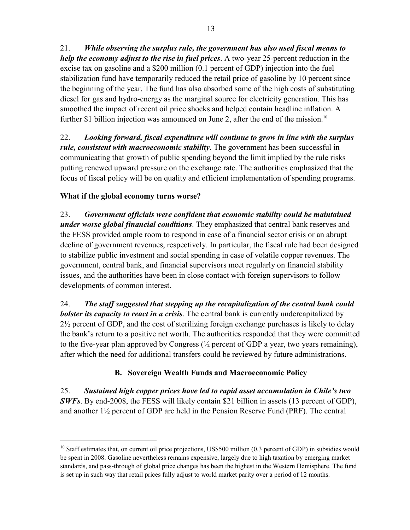21. *While observing the surplus rule, the government has also used fiscal means to help the economy adjust to the rise in fuel prices*. A two-year 25-percent reduction in the excise tax on gasoline and a \$200 million (0.1 percent of GDP) injection into the fuel stabilization fund have temporarily reduced the retail price of gasoline by 10 percent since the beginning of the year. The fund has also absorbed some of the high costs of substituting diesel for gas and hydro-energy as the marginal source for electricity generation. This has smoothed the impact of recent oil price shocks and helped contain headline inflation. A further \$1 billion injection was announced on June 2, after the end of the mission.<sup>10</sup>

22. *Looking forward, fiscal expenditure will continue to grow in line with the surplus rule, consistent with macroeconomic stability*. The government has been successful in communicating that growth of public spending beyond the limit implied by the rule risks putting renewed upward pressure on the exchange rate. The authorities emphasized that the focus of fiscal policy will be on quality and efficient implementation of spending programs.

### **What if the global economy turns worse?**

<u>.</u>

23. *Government officials were confident that economic stability could be maintained under worse global financial conditions*. They emphasized that central bank reserves and the FESS provided ample room to respond in case of a financial sector crisis or an abrupt decline of government revenues, respectively. In particular, the fiscal rule had been designed to stabilize public investment and social spending in case of volatile copper revenues. The government, central bank, and financial supervisors meet regularly on financial stability issues, and the authorities have been in close contact with foreign supervisors to follow developments of common interest.

24. *The staff suggested that stepping up the recapitalization of the central bank could bolster its capacity to react in a crisis*. The central bank is currently undercapitalized by 2½ percent of GDP, and the cost of sterilizing foreign exchange purchases is likely to delay the bank's return to a positive net worth. The authorities responded that they were committed to the five-year plan approved by Congress (½ percent of GDP a year, two years remaining), after which the need for additional transfers could be reviewed by future administrations.

### **B. Sovereign Wealth Funds and Macroeconomic Policy**

25. *Sustained high copper prices have led to rapid asset accumulation in Chile's two SWFs*. By end-2008, the FESS will likely contain \$21 billion in assets (13 percent of GDP), and another 1½ percent of GDP are held in the Pension Reserve Fund (PRF). The central

<sup>&</sup>lt;sup>10</sup> Staff estimates that, on current oil price projections, US\$500 million (0.3 percent of GDP) in subsidies would be spent in 2008. Gasoline nevertheless remains expensive, largely due to high taxation by emerging market standards, and pass-through of global price changes has been the highest in the Western Hemisphere. The fund is set up in such way that retail prices fully adjust to world market parity over a period of 12 months.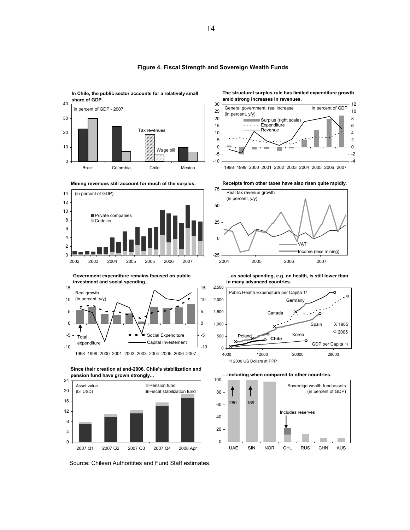

#### **Figure 4. Fiscal Strength and Sovereign Wealth Funds**

30

12 General government, real increase In percent of GDP

**amid strong increases in revenues.**

**The structural surplus rule has limited expenditure growth** 







**Mining revenues still account for much of the surplus.**

**Government expenditure remains focused on public investment and social spending...**



1998 1999 2000 2001 2002 2003 2004 2005 2006 2007





Source: Chilean Authoritites and Fund Staff estimates.



**…as social spending, e.g. on health, is still lower than in many advanced countries.**





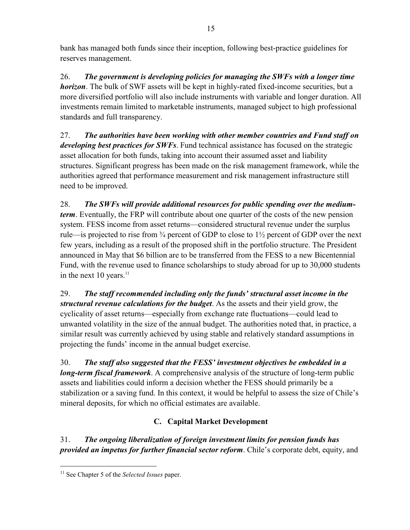bank has managed both funds since their inception, following best-practice guidelines for reserves management.

26. *The government is developing policies for managing the SWFs with a longer time horizon*. The bulk of SWF assets will be kept in highly-rated fixed-income securities, but a more diversified portfolio will also include instruments with variable and longer duration. All investments remain limited to marketable instruments, managed subject to high professional standards and full transparency.

27. *The authorities have been working with other member countries and Fund staff on developing best practices for SWFs*. Fund technical assistance has focused on the strategic asset allocation for both funds, taking into account their assumed asset and liability structures. Significant progress has been made on the risk management framework, while the authorities agreed that performance measurement and risk management infrastructure still need to be improved.

28. *The SWFs will provide additional resources for public spending over the mediumterm*. Eventually, the FRP will contribute about one quarter of the costs of the new pension system. FESS income from asset returns—considered structural revenue under the surplus rule—is projected to rise from ¾ percent of GDP to close to 1½ percent of GDP over the next few years, including as a result of the proposed shift in the portfolio structure. The President announced in May that \$6 billion are to be transferred from the FESS to a new Bicentennial Fund, with the revenue used to finance scholarships to study abroad for up to 30,000 students in the next  $10$  years.<sup>11</sup>

29. *The staff recommended including only the funds' structural asset income in the structural revenue calculations for the budget*. As the assets and their yield grow, the cyclicality of asset returns—especially from exchange rate fluctuations—could lead to unwanted volatility in the size of the annual budget. The authorities noted that, in practice, a similar result was currently achieved by using stable and relatively standard assumptions in projecting the funds' income in the annual budget exercise.

30. *The staff also suggested that the FESS' investment objectives be embedded in a long-term fiscal framework*. A comprehensive analysis of the structure of long-term public assets and liabilities could inform a decision whether the FESS should primarily be a stabilization or a saving fund. In this context, it would be helpful to assess the size of Chile's mineral deposits, for which no official estimates are available.

### **C. Capital Market Development**

31. *The ongoing liberalization of foreign investment limits for pension funds has provided an impetus for further financial sector reform*. Chile's corporate debt, equity, and

1

<sup>11</sup> See Chapter 5 of the *Selected Issues* paper.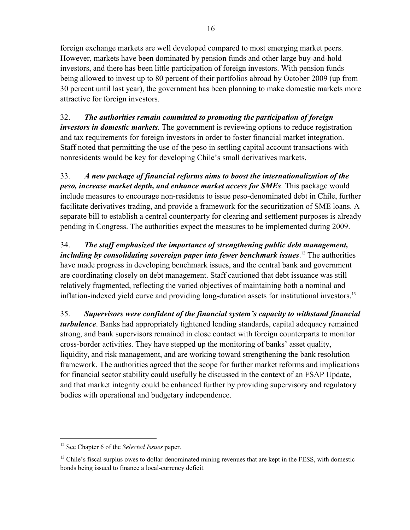foreign exchange markets are well developed compared to most emerging market peers. However, markets have been dominated by pension funds and other large buy-and-hold investors, and there has been little participation of foreign investors. With pension funds being allowed to invest up to 80 percent of their portfolios abroad by October 2009 (up from 30 percent until last year), the government has been planning to make domestic markets more attractive for foreign investors.

32. *The authorities remain committed to promoting the participation of foreign investors in domestic markets*. The government is reviewing options to reduce registration and tax requirements for foreign investors in order to foster financial market integration. Staff noted that permitting the use of the peso in settling capital account transactions with nonresidents would be key for developing Chile's small derivatives markets.

33. *A new package of financial reforms aims to boost the internationalization of the peso, increase market depth, and enhance market access for SMEs*. This package would include measures to encourage non-residents to issue peso-denominated debt in Chile, further facilitate derivatives trading, and provide a framework for the securitization of SME loans. A separate bill to establish a central counterparty for clearing and settlement purposes is already pending in Congress. The authorities expect the measures to be implemented during 2009.

34. *The staff emphasized the importance of strengthening public debt management, including by consolidating sovereign paper into fewer benchmark issues*. 12 The authorities have made progress in developing benchmark issues, and the central bank and government are coordinating closely on debt management. Staff cautioned that debt issuance was still relatively fragmented, reflecting the varied objectives of maintaining both a nominal and inflation-indexed yield curve and providing long-duration assets for institutional investors.<sup>13</sup>

35. *Supervisors were confident of the financial system's capacity to withstand financial turbulence*. Banks had appropriately tightened lending standards, capital adequacy remained strong, and bank supervisors remained in close contact with foreign counterparts to monitor cross-border activities. They have stepped up the monitoring of banks' asset quality, liquidity, and risk management, and are working toward strengthening the bank resolution framework. The authorities agreed that the scope for further market reforms and implications for financial sector stability could usefully be discussed in the context of an FSAP Update, and that market integrity could be enhanced further by providing supervisory and regulatory bodies with operational and budgetary independence.

 $\overline{a}$ 

<sup>12</sup> See Chapter 6 of the *Selected Issues* paper.

<sup>&</sup>lt;sup>13</sup> Chile's fiscal surplus owes to dollar-denominated mining revenues that are kept in the FESS, with domestic bonds being issued to finance a local-currency deficit.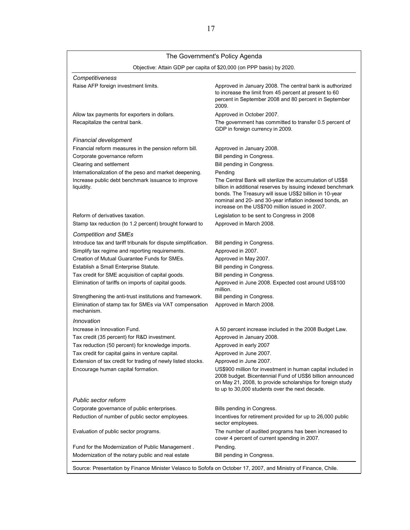### The Government's Policy Agenda

| Objective: Attain GDP per capita of \$20,000 (on PPP basis) by 2020. |  |  |  |  |  |
|----------------------------------------------------------------------|--|--|--|--|--|
|----------------------------------------------------------------------|--|--|--|--|--|

| Competitiveness                                                      |                                                                                                                                                                                                                                                                                                   |
|----------------------------------------------------------------------|---------------------------------------------------------------------------------------------------------------------------------------------------------------------------------------------------------------------------------------------------------------------------------------------------|
| Raise AFP foreign investment limits.                                 | Approved in January 2008. The central bank is authorized<br>to increase the limit from 45 percent at present to 60<br>percent in September 2008 and 80 percent in September<br>2009.                                                                                                              |
| Allow tax payments for exporters in dollars.                         | Approved in October 2007.                                                                                                                                                                                                                                                                         |
| Recapitalize the central bank.                                       | The government has committed to transfer 0.5 percent of<br>GDP in foreign currency in 2009.                                                                                                                                                                                                       |
| Financial development                                                |                                                                                                                                                                                                                                                                                                   |
| Financial reform measures in the pension reform bill.                | Approved in January 2008.                                                                                                                                                                                                                                                                         |
| Corporate governance reform                                          | Bill pending in Congress.                                                                                                                                                                                                                                                                         |
| Clearing and settlement                                              | Bill pending in Congress.                                                                                                                                                                                                                                                                         |
| Internationalization of the peso and market deepening.               | Pending                                                                                                                                                                                                                                                                                           |
| Increase public debt benchmark issuance to improve<br>liquidity.     | The Central Bank will sterilize the accumulation of US\$8<br>billion in additional reserves by issuing indexed benchmark<br>bonds. The Treasury will issue US\$2 billion in 10-year<br>nominal and 20- and 30-year inflation indexed bonds, an<br>increase on the US\$700 million issued in 2007. |
| Reform of derivatives taxation.                                      | Legislation to be sent to Congress in 2008                                                                                                                                                                                                                                                        |
| Stamp tax reduction (to 1.2 percent) brought forward to              | Approved in March 2008.                                                                                                                                                                                                                                                                           |
| <b>Competition and SMEs</b>                                          |                                                                                                                                                                                                                                                                                                   |
| Introduce tax and tariff tribunals for dispute simplification.       | Bill pending in Congress.                                                                                                                                                                                                                                                                         |
| Simplify tax regime and reporting requirements.                      | Approved in 2007.                                                                                                                                                                                                                                                                                 |
| Creation of Mutual Guarantee Funds for SMEs.                         | Approved in May 2007.                                                                                                                                                                                                                                                                             |
| Establish a Small Enterprise Statute.                                | Bill pending in Congress.                                                                                                                                                                                                                                                                         |
| Tax credit for SME acquisition of capital goods.                     | Bill pending in Congress.                                                                                                                                                                                                                                                                         |
| Elimination of tariffs on imports of capital goods.                  | Approved in June 2008. Expected cost around US\$100<br>million.                                                                                                                                                                                                                                   |
| Strengthening the anti-trust institutions and framework.             | Bill pending in Congress.                                                                                                                                                                                                                                                                         |
| Elimination of stamp tax for SMEs via VAT compensation<br>mechanism. | Approved in March 2008.                                                                                                                                                                                                                                                                           |
| Innovation                                                           |                                                                                                                                                                                                                                                                                                   |
| Increase in Innovation Fund.                                         | A 50 percent increase included in the 2008 Budget Law.                                                                                                                                                                                                                                            |
| Tax credit (35 percent) for R&D investment.                          | Approved in January 2008.                                                                                                                                                                                                                                                                         |
| Tax reduction (50 percent) for knowledge imports.                    | Approved in early 2007                                                                                                                                                                                                                                                                            |
| Tax credit for capital gains in venture capital.                     | Approved in June 2007.                                                                                                                                                                                                                                                                            |
| Extension of tax credit for trading of newly listed stocks.          | Approved in June 2007.                                                                                                                                                                                                                                                                            |
| Encourage human capital formation.                                   | US\$900 million for investment in human capital included in<br>2008 budget. Bicentennial Fund of US\$6 billion announced<br>on May 21, 2008, to provide scholarships for foreign study<br>to up to 30,000 students over the next decade.                                                          |
| Public sector reform                                                 |                                                                                                                                                                                                                                                                                                   |
| Corporate governance of public enterprises.                          | Bills pending in Congress.                                                                                                                                                                                                                                                                        |
| Reduction of number of public sector employees.                      | Incentives for retirement provided for up to 26,000 public<br>sector employees.                                                                                                                                                                                                                   |
| Evaluation of public sector programs.                                | The number of audited programs has been increased to<br>cover 4 percent of current spending in 2007.                                                                                                                                                                                              |
| Fund for the Modernization of Public Management.                     | Pending.                                                                                                                                                                                                                                                                                          |
| Modernization of the notary public and real estate                   | Bill pending in Congress.                                                                                                                                                                                                                                                                         |

Source: Presentation by Finance Minister Velasco to Sofofa on October 17, 2007, and Ministry of Finance, Chile.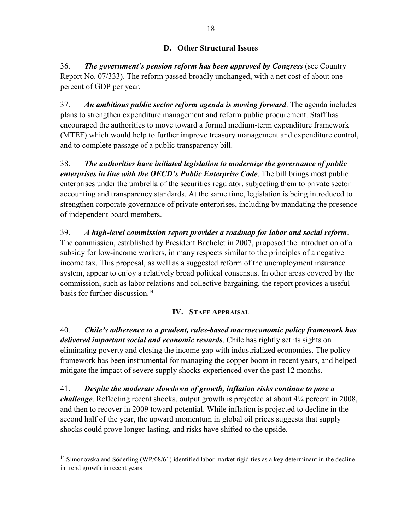### **D. Other Structural Issues**

36. *The government's pension reform has been approved by Congress* (see Country Report No. 07/333). The reform passed broadly unchanged, with a net cost of about one percent of GDP per year.

37. *An ambitious public sector reform agenda is moving forward*. The agenda includes plans to strengthen expenditure management and reform public procurement. Staff has encouraged the authorities to move toward a formal medium-term expenditure framework (MTEF) which would help to further improve treasury management and expenditure control, and to complete passage of a public transparency bill.

38. *The authorities have initiated legislation to modernize the governance of public enterprises in line with the OECD's Public Enterprise Code*. The bill brings most public enterprises under the umbrella of the securities regulator, subjecting them to private sector accounting and transparency standards. At the same time, legislation is being introduced to strengthen corporate governance of private enterprises, including by mandating the presence of independent board members.

39. *A high-level commission report provides a roadmap for labor and social reform*. The commission, established by President Bachelet in 2007, proposed the introduction of a subsidy for low-income workers, in many respects similar to the principles of a negative income tax. This proposal, as well as a suggested reform of the unemployment insurance system, appear to enjoy a relatively broad political consensus. In other areas covered by the commission, such as labor relations and collective bargaining, the report provides a useful basis for further discussion.<sup>14</sup>

### **IV. STAFF APPRAISAL**

40. *Chile's adherence to a prudent, rules-based macroeconomic policy framework has delivered important social and economic rewards*. Chile has rightly set its sights on eliminating poverty and closing the income gap with industrialized economies. The policy framework has been instrumental for managing the copper boom in recent years, and helped mitigate the impact of severe supply shocks experienced over the past 12 months.

41. *Despite the moderate slowdown of growth, inflation risks continue to pose a challenge*. Reflecting recent shocks, output growth is projected at about 4¼ percent in 2008, and then to recover in 2009 toward potential. While inflation is projected to decline in the second half of the year, the upward momentum in global oil prices suggests that supply shocks could prove longer-lasting, and risks have shifted to the upside.

 $\overline{a}$ 

<sup>&</sup>lt;sup>14</sup> Simonovska and Söderling (WP/08/61) identified labor market rigidities as a key determinant in the decline in trend growth in recent years.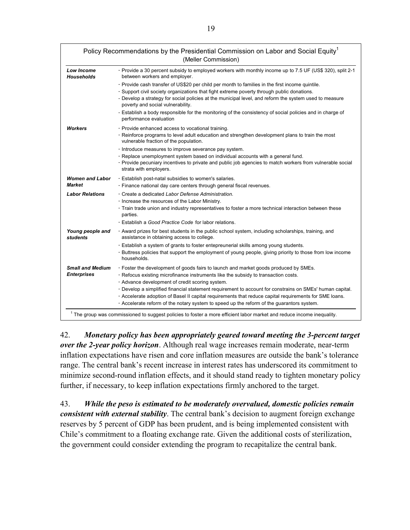|                                               | Policy Recommendations by the Presidential Commission on Labor and Social Equity <sup>1</sup><br>(Meller Commission)                                                                                                                                                                                                                                                                                                                                                                                                                                                                                                                                                       |
|-----------------------------------------------|----------------------------------------------------------------------------------------------------------------------------------------------------------------------------------------------------------------------------------------------------------------------------------------------------------------------------------------------------------------------------------------------------------------------------------------------------------------------------------------------------------------------------------------------------------------------------------------------------------------------------------------------------------------------------|
| <b>Low Income</b><br><b>Households</b>        | Provide a 30 percent subsidy to employed workers with monthly income up to 7.5 UF (US\$ 320), split 2-1<br>between workers and employer.                                                                                                                                                                                                                                                                                                                                                                                                                                                                                                                                   |
|                                               | · Provide cash transfer of US\$20 per child per month to families in the first income quintile.<br>· Support civil society organizations that fight extreme poverty through public donations.<br>. Develop a strategy for social policies at the municipal level, and reform the system used to measure<br>poverty and social vulnerability.                                                                                                                                                                                                                                                                                                                               |
|                                               | Establish a body responsible for the monitoring of the consistency of social policies and in charge of<br>performance evaluation                                                                                                                                                                                                                                                                                                                                                                                                                                                                                                                                           |
| Workers                                       | · Provide enhanced access to vocational training.<br>· Reinforce programs to level adult education and strengthen development plans to train the most<br>vulnerable fraction of the population.<br>Introduce measures to improve severance pay system.<br>· Replace unemployment system based on individual accounts with a general fund.<br>· Provide pecuniary incentives to private and public job agencies to match workers from vulnerable social<br>strata with employers.                                                                                                                                                                                           |
| <b>Women and Labor</b><br><b>Market</b>       | Establish post-natal subsidies to women's salaries.<br>· Finance national day care centers through general fiscal revenues.                                                                                                                                                                                                                                                                                                                                                                                                                                                                                                                                                |
| <b>Labor Relations</b>                        | · Create a dedicated Labor Defense Administration.<br>Increase the resources of the Labor Ministry.<br>· Train trade union and industry representatives to foster a more technical interaction between these<br>parties.<br>· Establish a Good Practice Code for labor relations.                                                                                                                                                                                                                                                                                                                                                                                          |
| Young people and<br><b>students</b>           | . Award prizes for best students in the public school system, including scholarships, training, and<br>assistance in obtaining access to college.<br>· Establish a system of grants to foster entepreunerial skills among young students.<br>Buttress policies that support the employment of young people, giving priority to those from low income<br>households.                                                                                                                                                                                                                                                                                                        |
| <b>Small and Medium</b><br><b>Enterprises</b> | · Foster the development of goods fairs to launch and market goods produced by SMEs.<br>· Refocus existing microfinance instruments like the subsidy to transaction costs.<br>· Advance development of credit scoring system.<br>· Develop a simplified financial statement requirement to account for constrains on SMEs' human capital.<br>. Accelerate adoption of Basel II capital requirements that reduce capital requirements for SME Ioans.<br>Accelerate reform of the notary system to speed up the reform of the guarantors system.<br>$1$ The group was commissioned to suggest policies to foster a more efficient labor market and reduce income inequality. |

42. *Monetary policy has been appropriately geared toward meeting the 3-percent target over the 2-year policy horizon*. Although real wage increases remain moderate, near-term inflation expectations have risen and core inflation measures are outside the bank's tolerance range. The central bank's recent increase in interest rates has underscored its commitment to minimize second-round inflation effects, and it should stand ready to tighten monetary policy further, if necessary, to keep inflation expectations firmly anchored to the target.

43. *While the peso is estimated to be moderately overvalued, domestic policies remain consistent with external stability*. The central bank's decision to augment foreign exchange reserves by 5 percent of GDP has been prudent, and is being implemented consistent with Chile's commitment to a floating exchange rate. Given the additional costs of sterilization, the government could consider extending the program to recapitalize the central bank.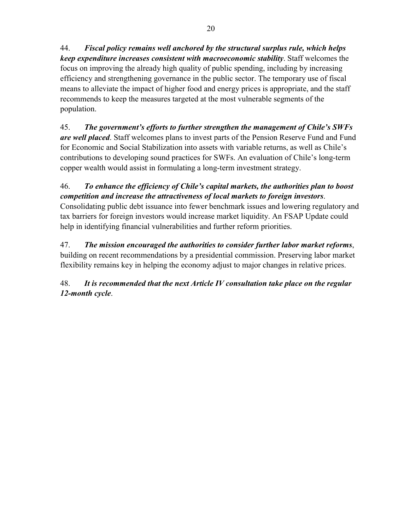44. *Fiscal policy remains well anchored by the structural surplus rule, which helps keep expenditure increases consistent with macroeconomic stability*. Staff welcomes the focus on improving the already high quality of public spending, including by increasing efficiency and strengthening governance in the public sector. The temporary use of fiscal means to alleviate the impact of higher food and energy prices is appropriate, and the staff recommends to keep the measures targeted at the most vulnerable segments of the population.

45. *The government's efforts to further strengthen the management of Chile's SWFs are well placed*. Staff welcomes plans to invest parts of the Pension Reserve Fund and Fund for Economic and Social Stabilization into assets with variable returns, as well as Chile's contributions to developing sound practices for SWFs. An evaluation of Chile's long-term copper wealth would assist in formulating a long-term investment strategy.

46. *To enhance the efficiency of Chile's capital markets, the authorities plan to boost competition and increase the attractiveness of local markets to foreign investors*. Consolidating public debt issuance into fewer benchmark issues and lowering regulatory and tax barriers for foreign investors would increase market liquidity. An FSAP Update could help in identifying financial vulnerabilities and further reform priorities.

47. *The mission encouraged the authorities to consider further labor market reforms*, building on recent recommendations by a presidential commission. Preserving labor market flexibility remains key in helping the economy adjust to major changes in relative prices.

48. *It is recommended that the next Article IV consultation take place on the regular 12-month cycle*.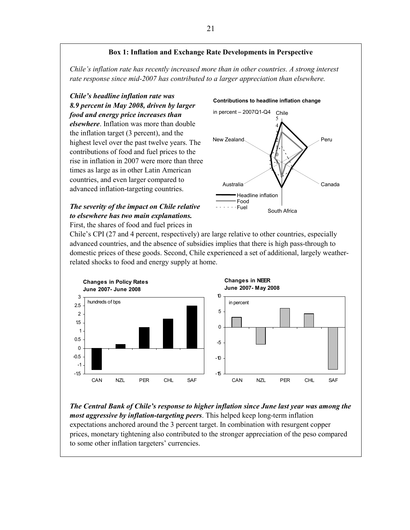### **Box 1: Inflation and Exchange Rate Developments in Perspective**

*Chile's inflation rate has recently increased more than in other countries. A strong interest rate response since mid-2007 has contributed to a larger appreciation than elsewhere.* 

*Chile's headline inflation rate was 8.9 percent in May 2008, driven by larger food and energy price increases than elsewhere*. Inflation was more than double the inflation target (3 percent), and the highest level over the past twelve years. The contributions of food and fuel prices to the rise in inflation in 2007 were more than three times as large as in other Latin American countries, and even larger compared to advanced inflation-targeting countries.

# Australia Food  $- - Fuel$

-1  $\pmb{0}$ 1 2 3 4 5 Chile Peru Canada South Africa New Zealand Headline inflation in percent – 2007Q1-Q4

**Contributions to headline inflation change** 

*The severity of the impact on Chile relative to elsewhere has two main explanations.*  First, the shares of food and fuel prices in

Chile's CPI (27 and 4 percent, respectively) are large relative to other countries, especially advanced countries, and the absence of subsidies implies that there is high pass-through to domestic prices of these goods. Second, Chile experienced a set of additional, largely weatherrelated shocks to food and energy supply at home.



*The Central Bank of Chile's response to higher inflation since June last year was among the most aggressive by inflation-targeting peers*. This helped keep long-term inflation expectations anchored around the 3 percent target. In combination with resurgent copper prices, monetary tightening also contributed to the stronger appreciation of the peso compared to some other inflation targeters' currencies.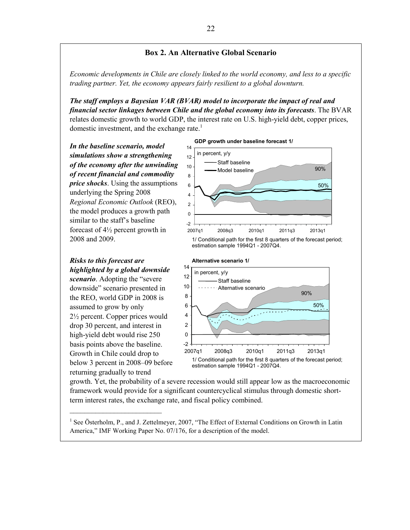### **Box 2. An Alternative Global Scenario**

*Economic developments in Chile are closely linked to the world economy, and less to a specific trading partner. Yet, the economy appears fairly resilient to a global downturn.* 

*The staff employs a Bayesian VAR (BVAR) model to incorporate the impact of real and financial sector linkages between Chile and the global economy into its forecasts*. The BVAR relates domestic growth to world GDP, the interest rate on U.S. high-yield debt, copper prices, domestic investment, and the exchange rate.<sup>1</sup>

*In the baseline scenario, model simulations show a strengthening of the economy after the unwinding of recent financial and commodity price shocks*. Using the assumptions underlying the Spring 2008 *Regional Economic Outlook* (REO), the model produces a growth path similar to the staff's baseline forecast of 4½ percent growth in 2008 and 2009.



*Risks to this forecast are highlighted by a global downside scenario*. Adopting the "severe

downside" scenario presented in the REO, world GDP in 2008 is assumed to grow by only 2½ percent. Copper prices would drop 30 percent, and interest in high-yield debt would rise 250 basis points above the baseline. Growth in Chile could drop to below 3 percent in 2008–09 before returning gradually to trend

\_\_\_\_\_\_\_\_\_\_\_\_\_\_\_\_\_\_\_\_\_\_\_\_\_



growth. Yet, the probability of a severe recession would still appear low as the macroeconomic framework would provide for a significant countercyclical stimulus through domestic shortterm interest rates, the exchange rate, and fiscal policy combined.

<sup>1</sup> See Österholm, P., and J. Zettelmeyer, 2007, "The Effect of External Conditions on Growth in Latin America," IMF Working Paper No. 07/176, for a description of the model.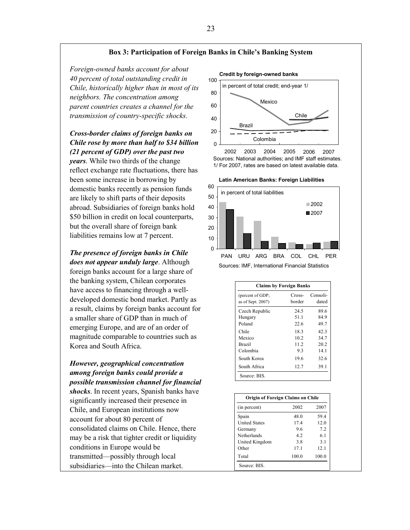#### **Box 3: Participation of Foreign Banks in Chile's Banking System**

*Foreign-owned banks account for about 40 percent of total outstanding credit in Chile, historically higher than in most of its neighbors. The concentration among parent countries creates a channel for the transmission of country-specific shocks.* 

### *Cross-border claims of foreign banks on Chile rose by more than half to \$34 billion (21 percent of GDP) over the past two*

*years*. While two thirds of the change reflect exchange rate fluctuations, there has been some increase in borrowing by domestic banks recently as pension funds are likely to shift parts of their deposits abroad. Subsidiaries of foreign banks hold \$50 billion in credit on local counterparts, but the overall share of foreign bank liabilities remains low at 7 percent.

*The presence of foreign banks in Chile* 

*does not appear unduly large*. Although foreign banks account for a large share of the banking system, Chilean corporates have access to financing through a welldeveloped domestic bond market. Partly as a result, claims by foreign banks account for a smaller share of GDP than in much of emerging Europe, and are of an order of magnitude comparable to countries such as Korea and South Africa.

### *However, geographical concentration among foreign banks could provide a possible transmission channel for financial*

*shocks*. In recent years, Spanish banks have significantly increased their presence in Chile, and European institutions now account for about 80 percent of consolidated claims on Chile. Hence, there may be a risk that tighter credit or liquidity conditions in Europe would be transmitted—possibly through local subsidiaries—into the Chilean market.







|                                       | <b>Claims by Foreign Banks</b> |                   |
|---------------------------------------|--------------------------------|-------------------|
| (percent of GDP;<br>as of Sept. 2007) | Cross-<br>border               | Consoli-<br>dated |
| Czech Republic                        | 24.5                           | 89.6              |
| Hungary                               | 51.1                           | 84.9              |
| Poland                                | 22.6                           | 49.7              |
| Chile                                 | 18.3                           | 42.3              |
| Mexico                                | 10.2                           | 34.7              |
| <b>Brazil</b>                         | 11.2                           | 20.2              |
| Colombia                              | 93                             | 14.1              |
| South Korea                           | 19.6                           | 32.6              |
| South Africa                          | 12.7                           | 39.1              |
| Source: BIS.                          |                                |                   |

| (in percent)         | 2002  | 2007  |
|----------------------|-------|-------|
| Spain                | 48.0  | 59.4  |
| <b>United States</b> | 17.4  | 12.0  |
| Germany              | 96    | 7.2   |
| Netherlands          | 4.2   | 6.1   |
| United Kingdom       | 3.8   | 3.1   |
| Other                | 17.1  | 12.1  |
| Total                | 100.0 | 100.0 |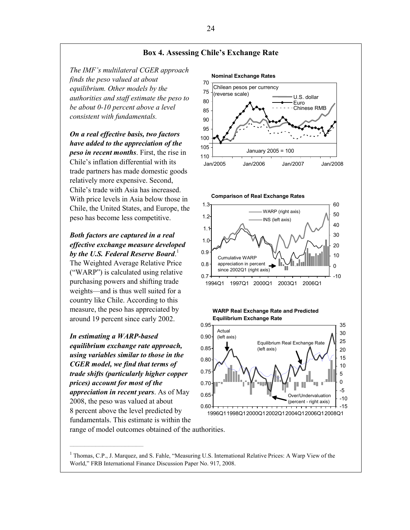

### *In estimating a WARP-based equilibrium exchange rate approach, using variables similar to those in the CGER model, we find that terms of trade shifts (particularly higher copper prices) account for most of the appreciation in recent years*. As of May 2008, the peso was valued at about 8 percent above the level predicted by fundamentals. This estimate is within the range of model outcomes obtained of the authorities.

 $\mathcal{L}_\text{max}$ 

<sup>1</sup> Thomas, C.P., J. Marquez, and S. Fahle, "Measuring U.S. International Relative Prices: A Warp View of the World," FRB International Finance Discussion Paper No. 917, 2008.

0.60 0.65 0.70 0.75 0.80

1996Q11998Q12000Q12002Q12004Q12006Q12008Q1

-15 -10 -5 0 5 10

Over/Undervaluation (percent - right axis)

24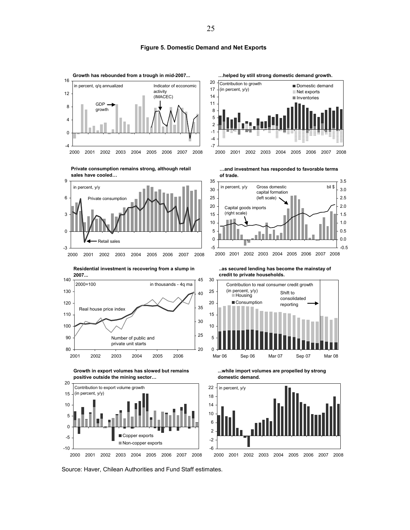**Figure 5. Domestic Demand and Net Exports**



















**positive outside the mining sector…**



**..as secured lending has become the mainstay of credit to private households.**



**...while import volumes are propelled by strong domestic demand.**



Source: Haver, Chilean Authorities and Fund Staff estimates.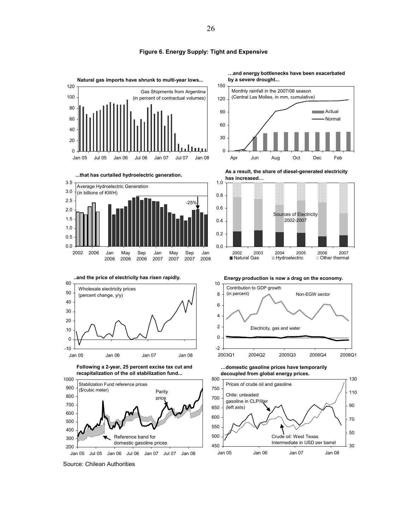

#### **Figure 6. Energy Supply: Tight and Expensive**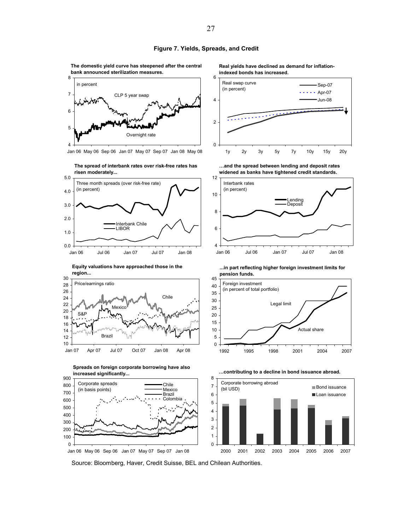**The domestic yield curve has steepened after the central bank announced sterilization measures.**



Jan 06 May 06 Sep 06 Jan 07 May 07 Sep 07 Jan 08 May 08



**Equity valuations have approached those in the region...**







**Real yields have declined as demand for inflationindexed bonds has increased.**







**...in part reflecting higher foreign investment limits for** 





**…contributing to a decline in bond issuance abroad.**

Source: Bloomberg, Haver, Credit Suisse, BEL and Chilean Authorities.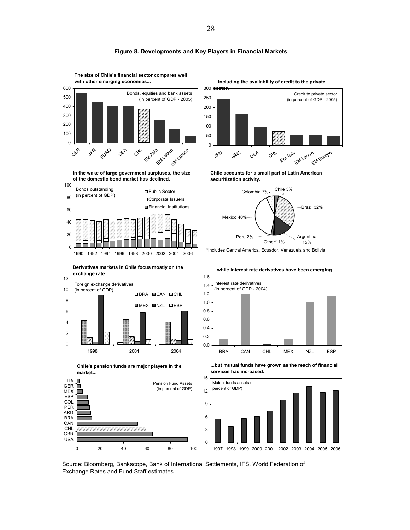

#### **Figure 8. Developments and Key Players in Financial Markets**

**The size of Chile's financial sector compares well** 

**In the wake of large government surpluses, the size of the domestic bond market has declined.**



**Derivatives markets in Chile focus mostly on the exchange rate...**









**Chile accounts for a small part of Latin American securitization activity.**



\*Includes Central America, Ecuador, Venezuela and Bolivia

**…while interest rate derivatives have been emerging.**



**...but mutual funds have grown as the reach of financial services has increased.**



Source: Bloomberg, Bankscope, Bank of International Settlements, IFS, World Federation of Exchange Rates and Fund Staff estimates.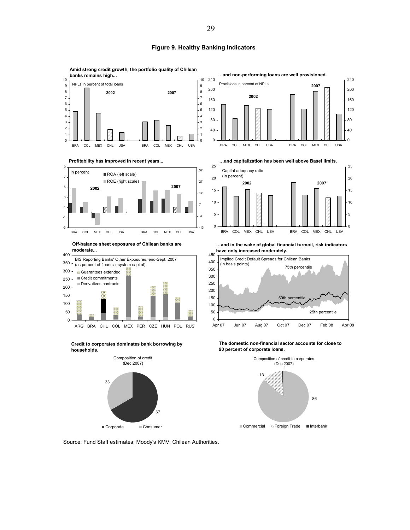#### **Figure 9. Healthy Banking Indicators**



**Off-balance sheet exposures of Chilean banks are moderate...**



**Credit to corporates dominates bank borrowing by households.**





**…and in the wake of global financial turmoil, risk indicators have only increased moderately.**



**The domestic non-financial sector accounts for close to 90 percent of corporate loans.**



Source: Fund Staff estimates; Moody's KMV; Chilean Authorities.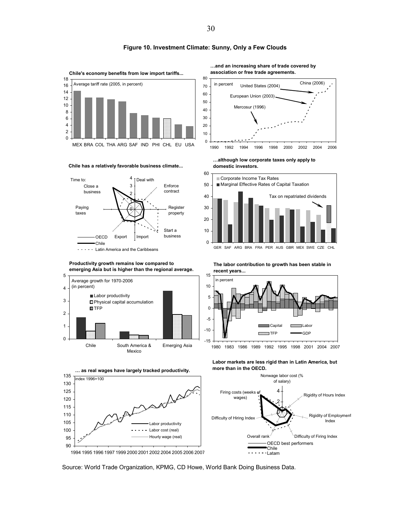

**Chile has a relatively favorable business climate...**

















GER SAF ARG BRA FRA PER AUS GBR MEX SWE CZE CHL

**The labor contribution to growth has been stable in recent years...**



**Labor markets are less rigid than in Latin America, but more than in the OECD.**



Source: World Trade Organization, KPMG, CD Howe, World Bank Doing Business Data.

**Figure 10. Investment Climate: Sunny, Only a Few Clouds**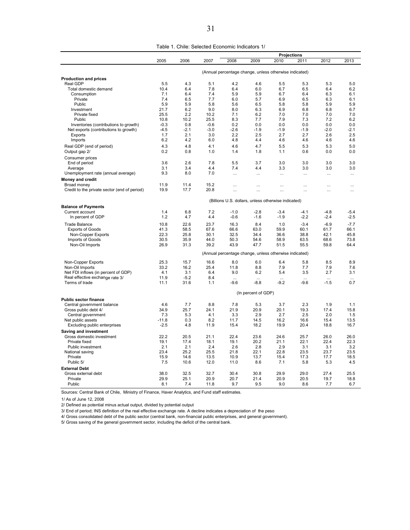|  | Table 1. Chile: Selected Economic Indicators 1/ |
|--|-------------------------------------------------|
|--|-------------------------------------------------|

|                                              |         |        |        |                                                        |                      |           | <b>Projections</b> |           |          |
|----------------------------------------------|---------|--------|--------|--------------------------------------------------------|----------------------|-----------|--------------------|-----------|----------|
|                                              | 2005    | 2006   | 2007   | 2008                                                   | 2009                 | 2010      | 2011               | 2012      | 2013     |
|                                              |         |        |        | (Annual percentage change, unless otherwise indicated) |                      |           |                    |           |          |
| <b>Production and prices</b>                 |         |        |        |                                                        |                      |           |                    |           |          |
| Real GDP                                     | 5.5     | 4.3    | 5.1    | 4.2                                                    | 4.6                  | 5.5       | 5.3                | 5.3       | 5.0      |
| Total domestic demand                        | 10.4    | 6.4    | 7.8    | 6.4                                                    | 6.0                  | 6.7       | 6.5                | 6.4       | 6.2      |
| Consumption                                  | 7.1     | 6.4    | 7.4    | 5.9                                                    | 5.9                  | 6.7       | 6.4                | 6.3       | 6.1      |
| Private                                      | 7.4     | 6.5    | 7.7    | 6.0                                                    | 5.7                  | 6.9       | 6.5                | 6.3       | 6.1      |
| Public                                       | 5.9     | 5.9    | 5.8    | 5.6                                                    | 6.5                  | 5.8       | 5.8                | 5.9       | 5.9      |
| Investment                                   | 21.7    | 6.2    | 9.0    | 8.0                                                    | 6.3                  | 6.9       | 6.8                | 6.8       | 6.7      |
| Private fixed                                | 25.5    | 2.2    | 10.2   | 7.1                                                    | 6.2                  | 7.0       | 7.0                | 7.0       | 7.0      |
| Public                                       | 10.8    | 10.2   | 25.5   | 8.3                                                    | 7.7                  | 7.9       | 7.3                | 7.2       | 6.2      |
| Inventories (contributions to growth)        | $-0.3$  | 0.8    | $-0.6$ | 0.2                                                    | 0.0                  | 0.0       | 0.0                | 0.0       | 0.0      |
| Net exports (contributions to growth)        | $-4.5$  | $-2.1$ | $-3.0$ | $-2.6$                                                 | $-1.9$               | $-1.9$    | $-1.9$             | $-2.0$    | $-2.1$   |
| Exports                                      | 1.7     | 2.1    | 3.0    | 2.2                                                    | 2.5                  | 2.7       | 2.7                | 2.6       | 2.5      |
| Imports                                      | 6.2     | 4.2    | 6.0    | 4.8                                                    | 4.4                  | 4.6       | 4.6                | 4.6       | 4.6      |
|                                              |         |        |        |                                                        |                      |           |                    |           |          |
| Real GDP (end of period)                     | 4.3     | 4.8    | 4.1    | 4.6                                                    | 4.7                  | 5.5       | 5.3                | 5.3       | 5.0      |
| Output gap 2/                                | 0.2     | 0.8    | 1.0    | 1.4                                                    | 1.8                  | 1.1       | 0.6                | 0.0       | 0.0      |
| Consumer prices                              |         |        |        |                                                        |                      |           |                    |           |          |
| End of period                                | 3.6     | 2.6    | 7.8    | 5.5                                                    | 3.7                  | 3.0       | 3.0                | 3.0       | 3.0      |
| Average                                      | 3.1     | 3.4    | 4.4    | 7.4                                                    | 4.4                  | 3.3       | 3.0                | 3.0       | 3.0      |
| Unemployment rate (annual average)           | 9.3     | 8.0    | 7.0    | $\cdots$                                               |                      |           | $\cdots$           |           |          |
| <b>Money and credit</b>                      |         |        |        |                                                        |                      |           |                    |           |          |
| Broad money                                  | 11.9    | 11.4   | 15.2   |                                                        |                      |           |                    |           |          |
|                                              | 19.9    | 17.7   | 20.8   |                                                        | $\cdots$             |           |                    |           |          |
| Credit to the private sector (end of period) |         |        |        | $\ddotsc$                                              | $\ddot{\phantom{a}}$ | $\ddotsc$ | $\ddotsc$          | $\ddotsc$ | $\cdots$ |
|                                              |         |        |        | (Billions U.S. dollars, unless otherwise indicated)    |                      |           |                    |           |          |
| <b>Balance of Payments</b>                   |         |        |        |                                                        |                      |           |                    |           |          |
| Current account                              | 1.4     | 6.8    | 7.2    | $-1.0$                                                 | $-2.8$               | $-3.4$    | $-4.1$             | $-4.8$    | $-5.4$   |
| In percent of GDP                            | 1.2     | 4.7    | 4.4    | $-0.6$                                                 | $-1.6$               | $-1.9$    | $-2.2$             | $-2.4$    | $-2.5$   |
|                                              |         |        |        |                                                        |                      |           |                    |           |          |
| <b>Trade Balance</b>                         | 10.8    | 22.6   | 23.7   | 16.3                                                   | 8.4                  | 1.0       | $-3.4$             | $-6.9$    | $-7.7$   |
| <b>Exports of Goods</b>                      | 41.3    | 58.5   | 67.6   | 66.6                                                   | 63.0                 | 59.9      | 60.1               | 61.7      | 66.1     |
| Non-Copper Exports                           | 22.3    | 25.8   | 30.1   | 32.5                                                   | 34.4                 | 36.6      | 38.8               | 42.1      | 45.8     |
| Imports of Goods                             | 30.5    | 35.9   | 44.0   | 50.3                                                   | 54.6                 | 58.9      | 63.5               | 68.6      | 73.8     |
| Non-Oil Imports                              | 26.9    | 31.3   | 39.2   | 43.9                                                   | 47.7                 | 51.5      | 55.5               | 59.8      | 64.4     |
|                                              |         |        |        | (Annual percentage change, unless otherwise indicated) |                      |           |                    |           |          |
|                                              |         |        |        |                                                        |                      |           |                    |           |          |
| Non-Copper Exports                           | 25.3    | 15.7   | 16.6   | 8.0                                                    | 6.0                  | 6.4       | 5.8                | 8.5       | 8.9      |
| Non-Oil Imports                              | 33.2    | 16.2   | 25.4   | 11.8                                                   | 8.8                  | 7.9       | 7.7                | 7.9       | 7.6      |
| Net FDI inflows (in percent of GDP)          | 4.1     | 3.1    | 6.4    | 9.0                                                    | 6.2                  | 5.4       | 3.5                | 2.7       | 3.1      |
| Real effective exchange rate 3/              | 11.9    | $-5.2$ | 8.4    | $\cdots$                                               | $\cdots$             | $\cdots$  | $\cdots$           | $\cdots$  | $\cdots$ |
| Terms of trade                               | 11.1    | 31.6   | 1.1    | $-9.6$                                                 | $-8.8$               | $-9.2$    | $-9.6$             | $-1.5$    | 0.7      |
|                                              |         |        |        |                                                        | (In percent of GDP)  |           |                    |           |          |
| <b>Public sector finance</b>                 |         |        |        |                                                        |                      |           |                    |           |          |
| Central government balance                   | 4.6     | 7.7    | 8.8    | 7.8                                                    | 5.3                  | 3.7       | 2.3                | 1.9       | 1.1      |
| Gross public debt 4/                         | 34.9    | 25.7   | 24.1   | 21.9                                                   | 20.9                 | 20.1      | 19.3               | 17.4      | 15.8     |
| Central government                           | 7.3     | 5.3    | 4.1    | 3.3                                                    | 2.9                  | 2.7       | 2.5                | 2.0       | 1.5      |
| Net public assets                            | $-11.8$ | 0.3    | 8.2    | 11.7                                                   | 14.5                 | 16.2      | 16.6               | 15.4      | 13.5     |
| Excluding public enterprises                 | $-2.5$  | 4.8    | 11.9   | 15.4                                                   | 18.2                 | 19.9      | 20.4               | 18.8      | 16.7     |
| Saving and investment                        |         |        |        |                                                        |                      |           |                    |           |          |
|                                              | 22.2    | 20.5   | 21.1   | 22.4                                                   | 23.6                 | 24.6      | 25.7               | 26.0      | 26.0     |
| Gross domestic investment                    |         |        |        |                                                        |                      |           |                    |           |          |
| Private fixed                                | 19.1    | 17.4   | 18.1   | 19.1                                                   | 20.2                 | 21.1      | 22.1               | 22.4      | 22.3     |
| Public investment                            | 2.1     | 2.1    | 2.4    | 2.6                                                    | 2.8                  | 2.9       | 3.1                | 3.1       | 3.2      |
| National saving                              | 23.4    | 25.2   | 25.5   | 21.8                                                   | 22.1                 | 22.8      | 23.5               | 23.7      | 23.5     |
| Private                                      | 15.9    | 14.6   | 13.5   | 10.9                                                   | 13.7                 | 15.4      | 17.3               | 17.7      | 18.5     |
| Public 5/                                    | 7.5     | 10.6   | 12.0   | 11.0                                                   | 8.6                  | 7.1       | 5.8                | 5.3       | 4.5      |
| <b>External Debt</b>                         |         |        |        |                                                        |                      |           |                    |           |          |
| Gross external debt                          | 38.0    | 32.5   | 32.7   | 30.4                                                   | 30.8                 | 29.9      | 29.0               | 27.4      | 25.5     |
| Private                                      | 29.9    | 25.1   | 20.9   | 20.7                                                   | 21.4                 | 20.9      | 20.5               | 19.7      | 18.8     |
| Public                                       | 8.1     | 7.4    | 11.8   | 9.7                                                    | 9.5                  | 9.0       | 8.6                | 7.7       | 6.7      |
|                                              |         |        |        |                                                        |                      |           |                    |           |          |

Sources: Central Bank of Chile, Ministry of Finance, Haver Analytics, and Fund staff estimates.

1/ As of June 12, 2008

2/ Defined as potential minus actual output, divided by potential output

3/ End of period; INS definition of the real effective exchange rate. A decline indicates a depreciation of the peso

4/ Gross consolidated debt of the public sector (central bank, non-financial public enterprises, and general government).

5/ Gross saving of the general government sector, including the deficit of the central bank.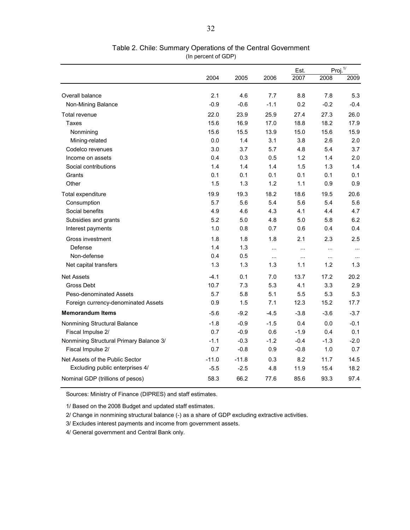|                                         |         |         |          | Est.      |          | Proj. <sup>1/</sup> |
|-----------------------------------------|---------|---------|----------|-----------|----------|---------------------|
|                                         | 2004    | 2005    | 2006     | 2007      | 2008     | 2009                |
|                                         |         |         |          |           |          |                     |
| Overall balance                         | 2.1     | 4.6     | 7.7      | 8.8       | 7.8      | 5.3                 |
| Non-Mining Balance                      | $-0.9$  | $-0.6$  | $-1.1$   | 0.2       | $-0.2$   | $-0.4$              |
| Total revenue                           | 22.0    | 23.9    | 25.9     | 27.4      | 27.3     | 26.0                |
| Taxes                                   | 15.6    | 16.9    | 17.0     | 18.8      | 18.2     | 17.9                |
| Nonmining                               | 15.6    | 15.5    | 13.9     | 15.0      | 15.6     | 15.9                |
| Mining-related                          | 0.0     | 1.4     | 3.1      | 3.8       | 2.6      | 2.0                 |
| Codelco revenues                        | 3.0     | 3.7     | 5.7      | 4.8       | 5.4      | 3.7                 |
| Income on assets                        | 0.4     | 0.3     | 0.5      | 1.2       | 1.4      | 2.0                 |
| Social contributions                    | 1.4     | 1.4     | 1.4      | 1.5       | 1.3      | 1.4                 |
| Grants                                  | 0.1     | 0.1     | 0.1      | 0.1       | 0.1      | 0.1                 |
| Other                                   | 1.5     | 1.3     | 1.2      | 1.1       | 0.9      | 0.9                 |
| Total expenditure                       | 19.9    | 19.3    | 18.2     | 18.6      | 19.5     | 20.6                |
| Consumption                             | 5.7     | 5.6     | 5.4      | 5.6       | 5.4      | 5.6                 |
| Social benefits                         | 4.9     | 4.6     | 4.3      | 4.1       | 4.4      | 4.7                 |
| Subsidies and grants                    | 5.2     | 5.0     | 4.8      | 5.0       | 5.8      | 6.2                 |
| Interest payments                       | 1.0     | 0.8     | 0.7      | 0.6       | 0.4      | 0.4                 |
| Gross investment                        | 1.8     | 1.8     | 1.8      | 2.1       | 2.3      | 2.5                 |
| Defense                                 | 1.4     | 1.3     | $\cdots$ | $\cdots$  | $\cdots$ | $\ddotsc$           |
| Non-defense                             | 0.4     | 0.5     | $\cdots$ | $\ddotsc$ | $\ddots$ | $\ddotsc$           |
| Net capital transfers                   | 1.3     | 1.3     | 1.3      | 1.1       | 1.2      | 1.3                 |
| <b>Net Assets</b>                       | $-4.1$  | 0.1     | 7.0      | 13.7      | 17.2     | 20.2                |
| Gross Debt                              | 10.7    | 7.3     | 5.3      | 4.1       | 3.3      | 2.9                 |
| Peso-denominated Assets                 | 5.7     | 5.8     | 5.1      | 5.5       | 5.3      | 5.3                 |
| Foreign currency-denominated Assets     | 0.9     | 1.5     | 7.1      | 12.3      | 15.2     | 17.7                |
| <b>Memorandum Items</b>                 | $-5.6$  | $-9.2$  | $-4.5$   | $-3.8$    | $-3.6$   | $-3.7$              |
| Nonmining Structural Balance            | $-1.8$  | $-0.9$  | $-1.5$   | 0.4       | 0.0      | $-0.1$              |
| Fiscal Impulse 2/                       | 0.7     | $-0.9$  | 0.6      | $-1.9$    | 0.4      | 0.1                 |
| Nonmining Structural Primary Balance 3/ | $-1.1$  | $-0.3$  | $-1.2$   | $-0.4$    | $-1.3$   | $-2.0$              |
| Fiscal Impulse 2/                       | 0.7     | $-0.8$  | 0.9      | $-0.8$    | 1.0      | 0.7                 |
| Net Assets of the Public Sector         | $-11.0$ | $-11.8$ | 0.3      | 8.2       | 11.7     | 14.5                |
| Excluding public enterprises 4/         | $-5.5$  | $-2.5$  | 4.8      | 11.9      | 15.4     | 18.2                |
| Nominal GDP (trillions of pesos)        | 58.3    | 66.2    | 77.6     | 85.6      | 93.3     | 97.4                |
|                                         |         |         |          |           |          |                     |

#### Table 2. Chile: Summary Operations of the Central Government (In percent of GDP)

Sources: Ministry of Finance (DIPRES) and staff estimates.

1/ Based on the 2008 Budget and updated staff estimates.

2/ Change in nonmining structural balance (-) as a share of GDP excluding extractive activities.

3/ Excludes interest payments and income from government assets.

4/ General government and Central Bank only.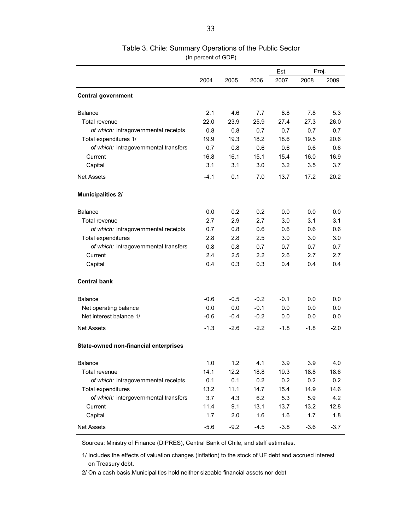|                                       |        |        |        | Est.   | Proj.  |        |
|---------------------------------------|--------|--------|--------|--------|--------|--------|
|                                       | 2004   | 2005   | 2006   | 2007   | 2008   | 2009   |
| <b>Central government</b>             |        |        |        |        |        |        |
| Balance                               | 2.1    | 4.6    | 7.7    | 8.8    | 7.8    | 5.3    |
| Total revenue                         | 22.0   | 23.9   | 25.9   | 27.4   | 27.3   | 26.0   |
| of which: intragovernmental receipts  | 0.8    | 0.8    | 0.7    | 0.7    | 0.7    | 0.7    |
| Total expenditures 1/                 | 19.9   | 19.3   | 18.2   | 18.6   | 19.5   | 20.6   |
| of which: intragovernmental transfers | 0.7    | 0.8    | 0.6    | 0.6    | 0.6    | 0.6    |
| Current                               | 16.8   | 16.1   | 15.1   | 15.4   | 16.0   | 16.9   |
| Capital                               | 3.1    | 3.1    | 3.0    | 3.2    | 3.5    | 3.7    |
| <b>Net Assets</b>                     | $-4.1$ | 0.1    | 7.0    | 13.7   | 17.2   | 20.2   |
| <b>Municipalities 2/</b>              |        |        |        |        |        |        |
| <b>Balance</b>                        | 0.0    | 0.2    | 0.2    | 0.0    | 0.0    | 0.0    |
| <b>Total revenue</b>                  | 2.7    | 2.9    | 2.7    | 3.0    | 3.1    | 3.1    |
| of which: intragovernmental receipts  | 0.7    | 0.8    | 0.6    | 0.6    | 0.6    | 0.6    |
| Total expenditures                    | 2.8    | 2.8    | 2.5    | 3.0    | 3.0    | 3.0    |
| of which: intragovernmental transfers | 0.8    | 0.8    | 0.7    | 0.7    | 0.7    | 0.7    |
| Current                               | 2.4    | 2.5    | 2.2    | 2.6    | 2.7    | 2.7    |
| Capital                               | 0.4    | 0.3    | 0.3    | 0.4    | 0.4    | 0.4    |
| <b>Central bank</b>                   |        |        |        |        |        |        |
| <b>Balance</b>                        | $-0.6$ | $-0.5$ | $-0.2$ | $-0.1$ | 0.0    | 0.0    |
| Net operating balance                 | 0.0    | 0.0    | $-0.1$ | 0.0    | 0.0    | 0.0    |
| Net interest balance 1/               | $-0.6$ | $-0.4$ | $-0.2$ | 0.0    | 0.0    | 0.0    |
| <b>Net Assets</b>                     | $-1.3$ | $-2.6$ | $-2.2$ | $-1.8$ | $-1.8$ | $-2.0$ |
| State-owned non-financial enterprises |        |        |        |        |        |        |
| Balance                               | 1.0    | 1.2    | 4.1    | 3.9    | 3.9    | 4.0    |
| Total revenue                         | 14.1   | 12.2   | 18.8   | 19.3   | 18.8   | 18.6   |
| of which: intragovernmental receipts  | 0.1    | 0.1    | 0.2    | 0.2    | 0.2    | 0.2    |
| Total expenditures                    | 13.2   | 11.1   | 14.7   | 15.4   | 14.9   | 14.6   |
| of which: intergovernmental transfers | 3.7    | 4.3    | 6.2    | 5.3    | 5.9    | 4.2    |
| Current                               | 11.4   | 9.1    | 13.1   | 13.7   | 13.2   | 12.8   |
| Capital                               | 1.7    | 2.0    | 1.6    | 1.6    | 1.7    | 1.8    |
| <b>Net Assets</b>                     | $-5.6$ | $-9.2$ | $-4.5$ | $-3.8$ | $-3.6$ | $-3.7$ |

### Table 3. Chile: Summary Operations of the Public Sector (In percent of GDP)

Sources: Ministry of Finance (DIPRES), Central Bank of Chile, and staff estimates.

 on Treasury debt. 1/ Includes the effects of valuation changes (inflation) to the stock of UF debt and accrued interest

2/ On a cash basis.Municipalities hold neither sizeable financial assets nor debt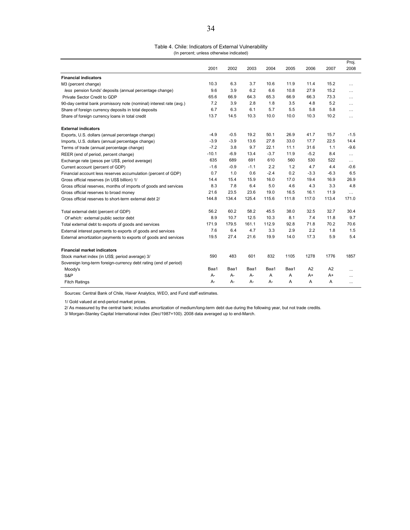#### Table 4. Chile: Indicators of External Vulnerability (In percent; unless otherwise indicated)

|                                                                    |         |        |        |        |       |                |                | Proj.    |
|--------------------------------------------------------------------|---------|--------|--------|--------|-------|----------------|----------------|----------|
|                                                                    | 2001    | 2002   | 2003   | 2004   | 2005  | 2006           | 2007           | 2008     |
| <b>Financial indicators</b>                                        |         |        |        |        |       |                |                |          |
| M3 (percent change)                                                | 10.3    | 6.3    | 3.7    | 10.6   | 11.9  | 11.4           | 15.2           | $\cdots$ |
| less pension funds' deposits (annual percentage change)            | 9.6     | 3.9    | 6.2    | 6.6    | 10.8  | 27.9           | 15.2           | $\cdots$ |
| Private Sector Credit to GDP                                       | 65.6    | 66.9   | 64.3   | 65.3   | 66.9  | 66.3           | 73.3           | $\cdots$ |
| 90-day central bank promissory note (nominal) interest rate (avg.) | 7.2     | 3.9    | 2.8    | 1.8    | 3.5   | 4.8            | 5.2            | $\cdots$ |
| Share of foreign currency deposits in total deposits               | 6.7     | 6.3    | 6.1    | 5.7    | 5.5   | 5.8            | 5.8            | $\cdots$ |
| Share of foreign currency loans in total credit                    | 13.7    | 14.5   | 10.3   | 10.0   | 10.0  | 10.3           | 10.2           | $\cdots$ |
| <b>External indicators</b>                                         |         |        |        |        |       |                |                |          |
| Exports, U.S. dollars (annual percentage change)                   | $-4.9$  | $-0.5$ | 19.2   | 50.1   | 26.9  | 41.7           | 15.7           | $-1.5$   |
| Imports, U.S. dollars (annual percentage change)                   | $-3.9$  | $-3.9$ | 13.6   | 27.8   | 33.0  | 17.7           | 22.5           | 14.4     |
| Terms of trade (annual percentage change)                          | $-7.2$  | 3.8    | 9.7    | 22.1   | 11.1  | 31.6           | 1.1            | $-9.6$   |
| REER (end of period, percent change)                               | $-10.1$ | $-6.9$ | 13.4   | $-3.7$ | 11.9  | $-5.2$         | 8.4            | $\cdots$ |
| Exchange rate (pesos per US\$, period average)                     | 635     | 689    | 691    | 610    | 560   | 530            | 522            | $\cdots$ |
| Current account (percent of GDP)                                   | $-1.6$  | $-0.9$ | $-1.1$ | 2.2    | 1.2   | 4.7            | 4.4            | $-0.6$   |
| Financial account less reserves accumulation (percent of GDP)      | 0.7     | 1.0    | 0.6    | $-2.4$ | 0.2   | $-3.3$         | $-6.3$         | 6.5      |
| Gross official reserves (in US\$ billion) 1/                       | 14.4    | 15.4   | 15.9   | 16.0   | 17.0  | 19.4           | 16.9           | 26.9     |
| Gross official reserves, months of imports of goods and services   | 8.3     | 7.8    | 6.4    | 5.0    | 4.6   | 4.3            | 3.3            | 4.8      |
| Gross official reserves to broad money                             | 21.6    | 23.5   | 23.6   | 19.0   | 16.5  | 16.1           | 11.9           | $\cdots$ |
| Gross official reserves to short-term external debt 2/             | 144.8   | 134.4  | 125.4  | 115.6  | 111.8 | 117.0          | 113.4          | 171.0    |
| Total external debt (percent of GDP)                               | 56.2    | 60.2   | 58.2   | 45.5   | 38.0  | 32.5           | 32.7           | 30.4     |
| Of which: external public sector debt                              | 8.9     | 10.7   | 12.5   | 10.3   | 8.1   | 7.4            | 11.8           | 9.7      |
| Total external debt to exports of goods and services               | 171.9   | 179.5  | 161.1  | 112.9  | 92.8  | 71.8           | 70.2           | 70.6     |
| External interest payments to exports of goods and services        | 7.6     | 6.4    | 4.7    | 3.3    | 2.9   | 2.2            | 1.8            | 1.5      |
| External amortization payments to exports of goods and services    | 19.5    | 27.4   | 21.6   | 19.9   | 14.0  | 17.3           | 5.9            | 5.4      |
| <b>Financial market indicators</b>                                 |         |        |        |        |       |                |                |          |
| Stock market index (in US\$; period average) 3/                    | 590     | 483    | 601    | 832    | 1105  | 1278           | 1776           | 1857     |
| Sovereign long-term foreign-currency debt rating (end of period)   |         |        |        |        |       |                |                |          |
| Moody's                                                            | Baa1    | Baa1   | Baa1   | Baa1   | Baa1  | A <sub>2</sub> | A <sub>2</sub> | $\cdots$ |
| S&P                                                                | A-      | $A -$  | $A -$  | A      | A     | A+             | A+             | $\cdots$ |
| <b>Fitch Ratings</b>                                               | А-      | $A -$  | $A -$  | А-     | A     | A              | A              | $\cdots$ |

Sources: Central Bank of Chile, Haver Analytics, WEO, and Fund staff estimates.

1/ Gold valued at end-period market prices.

2/ As measured by the central bank; includes amortization of medium/long-term debt due during the following year, but not trade credits.

3/ Morgan-Stanley Capital International index (Dec/1987=100). 2008 data averaged up to end-March.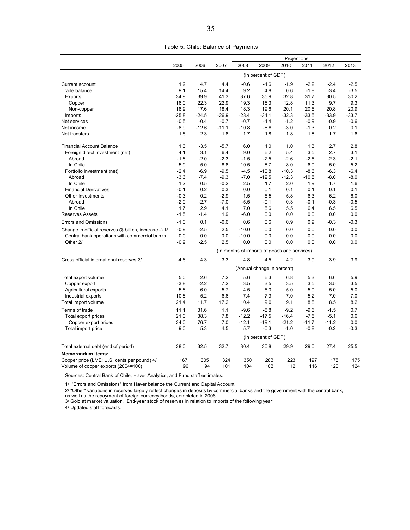|                                                         |         |         |         |                                              |                            | Projections |         |         |         |
|---------------------------------------------------------|---------|---------|---------|----------------------------------------------|----------------------------|-------------|---------|---------|---------|
|                                                         | 2005    | 2006    | 2007    | 2008                                         | 2009                       | 2010        | 2011    | 2012    | 2013    |
|                                                         |         |         |         |                                              | (In percent of GDP)        |             |         |         |         |
| Current account                                         | 1.2     | 4.7     | 4.4     | $-0.6$                                       | $-1.6$                     | $-1.9$      | $-2.2$  | $-2.4$  | $-2.5$  |
| Trade balance                                           | 9.1     | 15.4    | 14.4    | 9.2                                          | 4.8                        | 0.6         | $-1.8$  | $-3.4$  | $-3.5$  |
| Exports                                                 | 34.9    | 39.9    | 41.3    | 37.6                                         | 35.9                       | 32.8        | 31.7    | 30.5    | 30.2    |
| Copper                                                  | 16.0    | 22.3    | 22.9    | 19.3                                         | 16.3                       | 12.8        | 11.3    | 9.7     | 9.3     |
| Non-copper                                              | 18.9    | 17.6    | 18.4    | 18.3                                         | 19.6                       | 20.1        | 20.5    | 20.8    | 20.9    |
| Imports                                                 | $-25.8$ | $-24.5$ | $-26.9$ | $-28.4$                                      | $-31.1$                    | $-32.3$     | $-33.5$ | $-33.9$ | $-33.7$ |
| Net services                                            | $-0.5$  | $-0.4$  | $-0.7$  | $-0.7$                                       | $-1.4$                     | $-1.2$      | $-0.9$  | $-0.9$  | $-0.6$  |
| Net income                                              | $-8.9$  | $-12.6$ | $-11.1$ | $-10.8$                                      | $-6.8$                     | $-3.0$      | $-1.3$  | 0.2     | 0.1     |
| Net transfers                                           | 1.5     | 2.3     | 1.8     | 1.7                                          | 1.8                        | 1.8         | 1.8     | 1.7     | 1.6     |
| <b>Financial Account Balance</b>                        | 1.3     | $-3.5$  | $-5.7$  | 6.0                                          | 1.0                        | 1.0         | 1.3     | 2.7     | 2.8     |
| Foreign direct investment (net)                         | 4.1     | 3.1     | 6.4     | 9.0                                          | 6.2                        | 5.4         | 3.5     | 2.7     | 3.1     |
| Abroad                                                  | $-1.8$  | $-2.0$  | $-2.3$  | $-1.5$                                       | $-2.5$                     | $-2.6$      | $-2.5$  | $-2.3$  | $-2.1$  |
| In Chile                                                | 5.9     | 5.0     | 8.8     | 10.5                                         | 8.7                        | 8.0         | 6.0     | 5.0     | 5.2     |
| Portfolio investment (net)                              | $-2.4$  | $-6.9$  | $-9.5$  | $-4.5$                                       | $-10.8$                    | $-10.3$     | $-8.6$  | $-6.3$  | $-6.4$  |
| Abroad                                                  | $-3.6$  | $-7.4$  | $-9.3$  | $-7.0$                                       | $-12.5$                    | $-12.3$     | $-10.5$ | $-8.0$  | $-8.0$  |
| In Chile                                                | 1.2     | 0.5     | $-0.2$  | 2.5                                          | 1.7                        | 2.0         | 1.9     | 1.7     | 1.6     |
| <b>Financial Derivatives</b>                            | $-0.1$  | 0.2     | 0.3     | 0.0                                          | 0.1                        | 0.1         | 0.1     | 0.1     | 0.1     |
| Other Investments                                       | $-0.3$  | 0.2     | $-2.9$  | 1.5                                          | 5.5                        | 5.8         | 6.3     | 6.2     | 6.0     |
| Abroad                                                  | $-2.0$  | $-2.7$  | $-7.0$  | $-5.5$                                       | $-0.1$                     | 0.3         | $-0.1$  | $-0.3$  | $-0.5$  |
| In Chile                                                | 1.7     | 2.9     | 4.1     | 7.0                                          | 5.6                        | 5.5         | 6.4     | 6.5     | 6.5     |
| <b>Reserves Assets</b>                                  | $-1.5$  | $-1.4$  | 1.9     | $-6.0$                                       | 0.0                        | 0.0         | 0.0     | 0.0     | 0.0     |
| <b>Errors and Omissions</b>                             | $-1.0$  | 0.1     | $-0.6$  | 0.6                                          | 0.6                        | 0.9         | 0.9     | $-0.3$  | $-0.3$  |
| Change in official reserves (\$ billion, increase -) 1/ | $-0.9$  | $-2.5$  | 2.5     | $-10.0$                                      | 0.0                        | 0.0         | 0.0     | 0.0     | 0.0     |
| Central bank operations with commercial banks           | 0.0     | 0.0     | 0.0     | $-10.0$                                      | 0.0                        | 0.0         | 0.0     | 0.0     | 0.0     |
| Other 2/                                                | $-0.9$  | $-2.5$  | 2.5     | 0.0                                          | 0.0                        | 0.0         | 0.0     | 0.0     | 0.0     |
|                                                         |         |         |         | (In months of imports of goods and services) |                            |             |         |         |         |
| Gross official international reserves 3/                | 4.6     | 4.3     | 3.3     | 4.8                                          | 4.5                        | 4.2         | 3.9     | 3.9     | 3.9     |
|                                                         |         |         |         |                                              | (Annual change in percent) |             |         |         |         |
| Total export volume                                     | 5.0     | 2.6     | 7.2     | 5.6                                          | 6.3                        | 6.8         | 5.3     | 6.6     | 5.9     |
| Copper export                                           | $-3.8$  | $-2.2$  | 7.2     | 3.5                                          | 3.5                        | 3.5         | 3.5     | 3.5     | 3.5     |
| Agricultural exports                                    | 5.8     | 6.0     | 5.7     | 4.5                                          | 5.0                        | 5.0         | 5.0     | 5.0     | 5.0     |
| Industrial exports                                      | 10.8    | 5.2     | 6.6     | 7.4                                          | 7.3                        | 7.0         | 5.2     | 7.0     | 7.0     |
| Total import volume                                     | 21.4    | 11.7    | 17.2    | 10.4                                         | 9.0                        | 9.1         | 8.8     | 8.5     | 8.2     |
| Terms of trade                                          | 11.1    | 31.6    | 1.1     | $-9.6$                                       | $-8.8$                     | $-9.2$      | $-9.6$  | $-1.5$  | 0.7     |
| Total export prices                                     | 21.0    | 38.3    | 7.8     | $-12.2$                                      | $-17.5$                    | $-16.4$     | $-7.5$  | $-5.1$  | 0.6     |
| Copper export prices                                    | 34.0    | 76.7    | 7.0     | $-12.1$                                      | $-19.1$                    | $-21.2$     | $-11.7$ | $-11.2$ | 0.0     |
| Total import price                                      | 9.0     | 5.3     | 4.5     | 5.7                                          | $-0.3$                     | $-1.0$      | $-0.8$  | $-0.2$  | $-0.3$  |
|                                                         |         |         |         |                                              | (In percent of GDP)        |             |         |         |         |
| Total external debt (end of period)                     | 38.0    | 32.5    | 32.7    | 30.4                                         | 30.8                       | 29.9        | 29.0    | 27.4    | 25.5    |
| <b>Memorandum items:</b>                                |         |         |         |                                              |                            |             |         |         |         |
| Copper price (LME; U.S. cents per pound) 4/             | 167     | 305     | 324     | 350                                          | 283                        | 223         | 197     | 175     | 175     |
| Volume of copper exports (2004=100)                     | 96      | 94      | 101     | 104                                          | 108                        | 112         | 116     | 120     | 124     |

Table 5. Chile: Balance of Payments

Sources: Central Bank of Chile, Haver Analytics, and Fund staff estimates.

1/ "Errors and Omissions" from Haver balance the Current and Capital Account.

2/ "Other" variations in reserves largely reflect changes in deposits by commercial banks and the government with the central bank,

as well as the repayment of foreign currency bonds, completed in 2006. 3/ Gold at market valuation. End-year stock of reserves in relation to imports of the following year.

4/ Updated staff forecasts.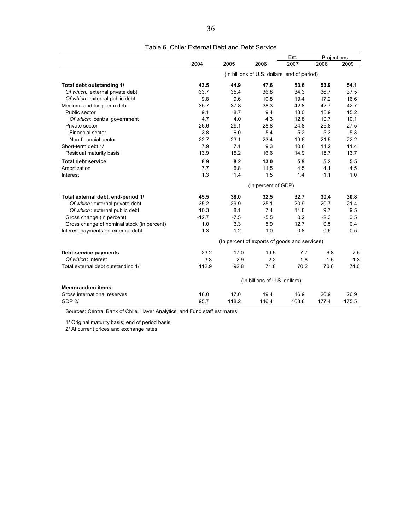|                                            |         |        |                                               | Est.  | Projections |       |
|--------------------------------------------|---------|--------|-----------------------------------------------|-------|-------------|-------|
|                                            | 2004    | 2005   | 2006                                          | 2007  | 2008        | 2009  |
|                                            |         |        | (In billions of U.S. dollars, end of period)  |       |             |       |
| Total debt outstanding 1/                  | 43.5    | 44.9   | 47.6                                          | 53.6  | 53.9        | 54.1  |
| Of which: external private debt            | 33.7    | 35.4   | 36.8                                          | 34.3  | 36.7        | 37.5  |
| Of which: external public debt             | 9.8     | 9.6    | 10.8                                          | 19.4  | 17.2        | 16.6  |
| Medium- and long-term debt                 | 35.7    | 37.8   | 38.3                                          | 42.8  | 42.7        | 42.7  |
| Public sector                              | 9.1     | 8.7    | 9.4                                           | 18.0  | 15.9        | 15.2  |
| Of which: central government               | 4.7     | 4.0    | 4.3                                           | 12.8  | 10.7        | 10.1  |
| Private sector                             | 26.6    | 29.1   | 28.8                                          | 24.8  | 26.8        | 27.5  |
| Financial sector                           | 3.8     | 6.0    | 5.4                                           | 5.2   | 5.3         | 5.3   |
| Non-financial sector                       | 22.7    | 23.1   | 23.4                                          | 19.6  | 21.5        | 22.2  |
| Short-term debt 1/                         | 7.9     | 7.1    | 9.3                                           | 10.8  | 11.2        | 11.4  |
| Residual maturity basis                    | 13.9    | 15.2   | 16.6                                          | 14.9  | 15.7        | 13.7  |
| <b>Total debt service</b>                  | 8.9     | 8.2    | 13.0                                          | 5.9   | 5.2         | 5.5   |
| Amortization                               | 7.7     | 6.8    | 11.5                                          | 4.5   | 4.1         | 4.5   |
| Interest                                   | 1.3     | 1.4    | 1.5                                           | 1.4   | 1.1         | 1.0   |
|                                            |         |        | (In percent of GDP)                           |       |             |       |
| Total external debt, end-period 1/         | 45.5    | 38.0   | 32.5                                          | 32.7  | 30.4        | 30.8  |
| Of which: external private debt            | 35.2    | 29.9   | 25.1                                          | 20.9  | 20.7        | 21.4  |
| Of which: external public debt             | 10.3    | 8.1    | 7.4                                           | 11.8  | 9.7         | 9.5   |
| Gross change (in percent)                  | $-12.7$ | $-7.5$ | $-5.5$                                        | 0.2   | $-2.3$      | 0.5   |
| Gross change of nominal stock (in percent) | 1.0     | 3.3    | 5.9                                           | 12.7  | 0.5         | 0.4   |
| Interest payments on external debt         | 1.3     | 1.2    | 1.0                                           | 0.8   | 0.6         | 0.5   |
|                                            |         |        | (In percent of exports of goods and services) |       |             |       |
| Debt-service payments                      | 23.2    | 17.0   | 19.5                                          | 7.7   | 6.8         | 7.5   |
| Of which: interest                         | 3.3     | 2.9    | 2.2                                           | 1.8   | 1.5         | 1.3   |
| Total external debt outstanding 1/         | 112.9   | 92.8   | 71.8                                          | 70.2  | 70.6        | 74.0  |
|                                            |         |        | (In billions of U.S. dollars)                 |       |             |       |
| <b>Memorandum items:</b>                   |         |        |                                               |       |             |       |
| Gross international reserves               | 16.0    | 17.0   | 19.4                                          | 16.9  | 26.9        | 26.9  |
| GDP <sub>2</sub>                           | 95.7    | 118.2  | 146.4                                         | 163.8 | 177.4       | 175.5 |

Table 6. Chile: External Debt and Debt Service

Sources: Central Bank of Chile, Haver Analytics, and Fund staff estimates.

1/ Original maturity basis; end of period basis.

2/ At current prices and exchange rates.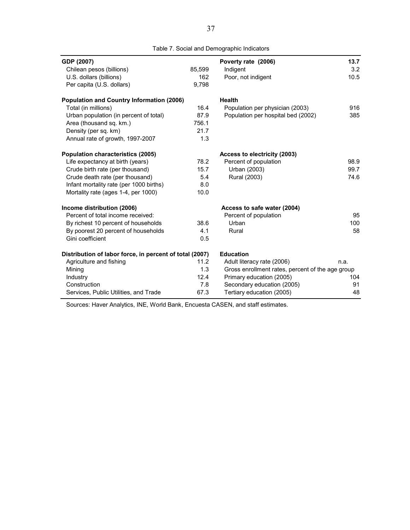| GDP (2007)                                              |        | Poverty rate (2006)                              | 13.7 |
|---------------------------------------------------------|--------|--------------------------------------------------|------|
| Chilean pesos (billions)                                | 85,599 | Indigent                                         | 3.2  |
| U.S. dollars (billions)                                 | 162    | Poor, not indigent                               | 10.5 |
| Per capita (U.S. dollars)                               | 9,798  |                                                  |      |
| <b>Population and Country Information (2006)</b>        |        | <b>Health</b>                                    |      |
| Total (in millions)                                     | 16.4   | Population per physician (2003)                  | 916  |
| Urban population (in percent of total)                  | 87.9   | Population per hospital bed (2002)               | 385  |
| Area (thousand sq. km.)                                 | 756.1  |                                                  |      |
| Density (per sq. km)                                    | 21.7   |                                                  |      |
| Annual rate of growth, 1997-2007                        | 1.3    |                                                  |      |
| <b>Population characteristics (2005)</b>                |        | Access to electricity (2003)                     |      |
| Life expectancy at birth (years)                        | 78.2   | Percent of population                            | 98.9 |
| Crude birth rate (per thousand)                         | 15.7   | Urban (2003)                                     | 99.7 |
| Crude death rate (per thousand)                         | 5.4    | Rural (2003)                                     | 74.6 |
| Infant mortality rate (per 1000 births)                 | 8.0    |                                                  |      |
| Mortality rate (ages 1-4, per 1000)                     | 10.0   |                                                  |      |
| Income distribution (2006)                              |        | Access to safe water (2004)                      |      |
| Percent of total income received:                       |        | Percent of population                            | 95   |
| By richest 10 percent of households                     | 38.6   | Urban                                            | 100  |
| By poorest 20 percent of households                     | 4.1    | Rural                                            | 58   |
| Gini coefficient                                        | 0.5    |                                                  |      |
| Distribution of labor force, in percent of total (2007) |        | <b>Education</b>                                 |      |
| Agriculture and fishing                                 | 11.2   | Adult literacy rate (2006)                       | n.a. |
| Mining                                                  | 1.3    | Gross enrollment rates, percent of the age group |      |
| Industry                                                | 12.4   | Primary education (2005)                         | 104  |
| Construction                                            | 7.8    | Secondary education (2005)                       | 91   |
| Services, Public Utilities, and Trade                   | 67.3   | Tertiary education (2005)                        | 48   |

Table 7. Social and Demographic Indicators

Sources: Haver Analytics, INE, World Bank, Encuesta CASEN, and staff estimates.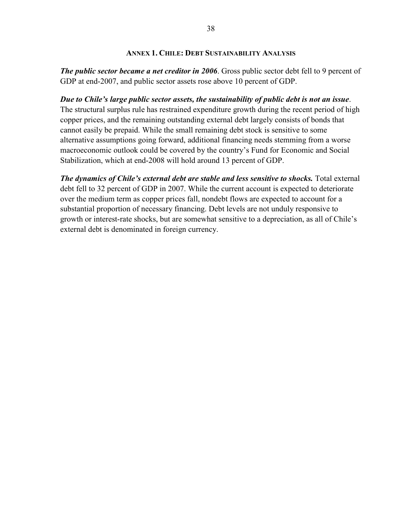#### **ANNEX 1. CHILE: DEBT SUSTAINABILITY ANALYSIS**

*The public sector became a net creditor in 2006.* **Gross public sector debt fell to 9 percent of** GDP at end-2007, and public sector assets rose above 10 percent of GDP.

*Due to Chile's large public sector assets, the sustainability of public debt is not an issue*. The structural surplus rule has restrained expenditure growth during the recent period of high copper prices, and the remaining outstanding external debt largely consists of bonds that cannot easily be prepaid. While the small remaining debt stock is sensitive to some alternative assumptions going forward, additional financing needs stemming from a worse macroeconomic outlook could be covered by the country's Fund for Economic and Social Stabilization, which at end-2008 will hold around 13 percent of GDP.

*The dynamics of Chile's external debt are stable and less sensitive to shocks.* Total external debt fell to 32 percent of GDP in 2007. While the current account is expected to deteriorate over the medium term as copper prices fall, nondebt flows are expected to account for a substantial proportion of necessary financing. Debt levels are not unduly responsive to growth or interest-rate shocks, but are somewhat sensitive to a depreciation, as all of Chile's external debt is denominated in foreign currency.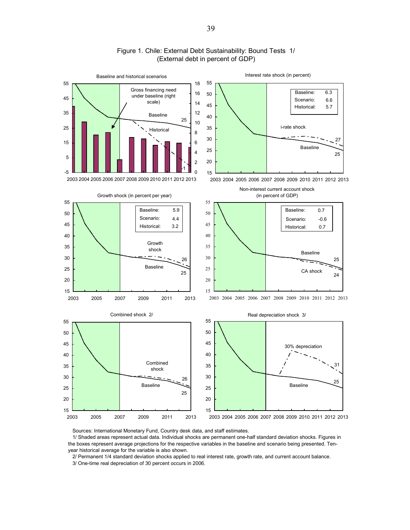

#### Figure 1. Chile: External Debt Sustainability: Bound Tests 1/ (External debt in percent of GDP)

Sources: International Monetary Fund, Country desk data, and staff estimates.

 1/ Shaded areas represent actual data. Individual shocks are permanent one-half standard deviation shocks. Figures in the boxes represent average projections for the respective variables in the baseline and scenario being presented. Tenyear historical average for the variable is also shown.

2/ Permanent 1/4 standard deviation shocks applied to real interest rate, growth rate, and current account balance.

3/ One-time real depreciation of 30 percent occurs in 2006.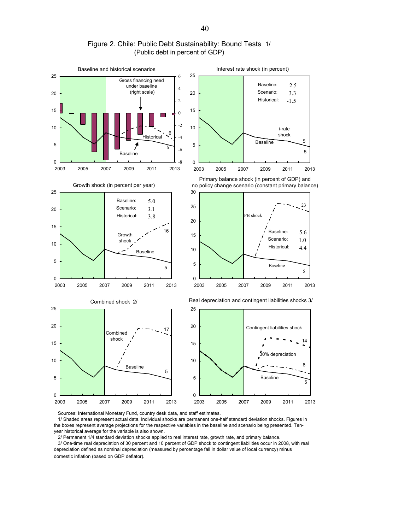

Figure 2. Chile: Public Debt Sustainability: Bound Tests 1/ (Public debt in percent of GDP)

Sources: International Monetary Fund, country desk data, and staff estimates.

 1/ Shaded areas represent actual data. Individual shocks are permanent one-half standard deviation shocks. Figures in the boxes represent average projections for the respective variables in the baseline and scenario being presented. Tenyear historical average for the variable is also shown.

 2/ Permanent 1/4 standard deviation shocks applied to real interest rate, growth rate, and primary balance. 3/ One-time real depreciation of 30 percent and 10 percent of GDP shock to contingent liabilities occur in 2008, with real depreciation defined as nominal depreciation (measured by percentage fall in dollar value of local currency) minus domestic inflation (based on GDP deflator).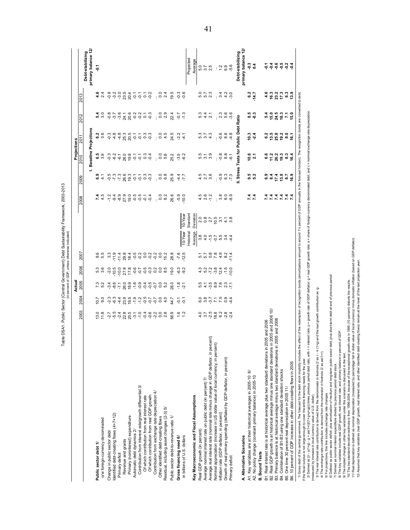|                                                                                                                                                                        |                      |                        | Actual                                                                                                                                                                    |                          |                                                                                                                                                                                                                                                                                                                                 |                                                                                                        |                        |                                  |                                          |                             | Projections                           |                                 |                                            |                                                                       |
|------------------------------------------------------------------------------------------------------------------------------------------------------------------------|----------------------|------------------------|---------------------------------------------------------------------------------------------------------------------------------------------------------------------------|--------------------------|---------------------------------------------------------------------------------------------------------------------------------------------------------------------------------------------------------------------------------------------------------------------------------------------------------------------------------|--------------------------------------------------------------------------------------------------------|------------------------|----------------------------------|------------------------------------------|-----------------------------|---------------------------------------|---------------------------------|--------------------------------------------|-----------------------------------------------------------------------|
|                                                                                                                                                                        | 2003                 | 2004                   | 2005                                                                                                                                                                      | 2006                     | 2007                                                                                                                                                                                                                                                                                                                            |                                                                                                        |                        | 2008                             | 2009                                     | 2010                        | 2011                                  | 2012                            | న్ల                                        |                                                                       |
|                                                                                                                                                                        |                      |                        |                                                                                                                                                                           |                          |                                                                                                                                                                                                                                                                                                                                 |                                                                                                        |                        |                                  |                                          |                             | <b>Baseline Projections</b>           |                                 |                                            | primary balance 12/<br>Debt-stabilizing                               |
| Public sector debt 1/                                                                                                                                                  |                      |                        |                                                                                                                                                                           |                          |                                                                                                                                                                                                                                                                                                                                 |                                                                                                        |                        |                                  | ဖ                                        |                             |                                       |                                 | 4.6                                        | Ş                                                                     |
| o/w foreign-currency denominated                                                                                                                                       | 13.8                 | 0.5000                 | 7.3<br>5.2                                                                                                                                                                | 5,3<br>5,3               | 8.5<br>5.5                                                                                                                                                                                                                                                                                                                      |                                                                                                        |                        |                                  | $\frac{4}{1}$                            | <b>ော်</b><br>စက်           | ດ<br>6 ຕິ                             | $\frac{3}{3}$ 0                 | 2.4                                        |                                                                       |
| Change in public sector debt                                                                                                                                           |                      | <u>ာ</u> 3<br>၁ မိ     | $-3.4$                                                                                                                                                                    | $-2.0$                   | $3.\overline{3}$                                                                                                                                                                                                                                                                                                                |                                                                                                        |                        | $-1.2$                           |                                          | $-0.3$                      | $-0.3$                                |                                 |                                            |                                                                       |
| Identified debt-creating flows (4+7+12)                                                                                                                                |                      |                        |                                                                                                                                                                           | $-10.5$                  | $-11.9$                                                                                                                                                                                                                                                                                                                         |                                                                                                        |                        |                                  |                                          |                             |                                       |                                 |                                            |                                                                       |
| Primary deficit                                                                                                                                                        |                      | 44                     | $-7.1$                                                                                                                                                                    | $-10.0$                  |                                                                                                                                                                                                                                                                                                                                 |                                                                                                        |                        | ၛၜၜၟၟႍႍႍႍႍႍႍႍႍႍၜၟၣၣ<br>ၛႜၑၟၣၣၣၣၣ | 9 7 7 8 9 9 9 9 9 9<br>9 7 7 8 9 9 9 9 9 | $\frac{2}{9}$ $\frac{1}{9}$ |                                       |                                 | 8 3 9 8 9 9 9 9 9<br>8 9 9 8 9 9 9 9 9     |                                                                       |
| Revenue and grants                                                                                                                                                     |                      |                        |                                                                                                                                                                           |                          |                                                                                                                                                                                                                                                                                                                                 |                                                                                                        |                        |                                  |                                          |                             |                                       |                                 |                                            |                                                                       |
| Primary (noninterest) expenditure                                                                                                                                      |                      |                        | $\begin{array}{l} \circledast & \circledast & \circledast & \circledast & \circledast \\ \circledast & \circledast & \circledast & \circledast & \circledast \end{array}$ | 27.8<br>17.8             | $\begin{array}{cccccccccc} \pi & \alpha & \alpha & \alpha & \alpha & \alpha & \alpha & \alpha \\ \pi & \alpha & \alpha & \alpha & \alpha & \alpha & \alpha & \alpha \\ \pi & \alpha & \alpha & \alpha & \alpha & \alpha & \alpha & \alpha \\ \pi & \alpha & \alpha & \alpha & \alpha & \alpha & \alpha & \alpha \\ \end{array}$ |                                                                                                        |                        |                                  |                                          | 89977999                    |                                       |                                 |                                            |                                                                       |
| Automatic debt dynamics 2/                                                                                                                                             |                      |                        |                                                                                                                                                                           |                          |                                                                                                                                                                                                                                                                                                                                 |                                                                                                        |                        |                                  |                                          |                             |                                       |                                 |                                            |                                                                       |
| Contribution from interest rate/growth differential 3/                                                                                                                 |                      |                        |                                                                                                                                                                           |                          |                                                                                                                                                                                                                                                                                                                                 |                                                                                                        |                        |                                  |                                          |                             |                                       |                                 |                                            |                                                                       |
| Of which contribution from real interest rate                                                                                                                          |                      |                        |                                                                                                                                                                           |                          |                                                                                                                                                                                                                                                                                                                                 |                                                                                                        |                        |                                  |                                          |                             |                                       |                                 |                                            |                                                                       |
| Of which contribution from real GDP growth                                                                                                                             |                      |                        |                                                                                                                                                                           |                          |                                                                                                                                                                                                                                                                                                                                 |                                                                                                        |                        |                                  |                                          |                             |                                       |                                 |                                            |                                                                       |
| Contribution from exchange rate depreciation 4/                                                                                                                        |                      |                        |                                                                                                                                                                           |                          |                                                                                                                                                                                                                                                                                                                                 |                                                                                                        |                        |                                  |                                          |                             |                                       |                                 |                                            |                                                                       |
| Other identified debt-creating flows                                                                                                                                   |                      |                        |                                                                                                                                                                           |                          |                                                                                                                                                                                                                                                                                                                                 |                                                                                                        |                        |                                  |                                          |                             |                                       |                                 |                                            |                                                                       |
| Residual, including asset changes (2-3) 5/                                                                                                                             | 0.08                 | 0.0                    | 0.0<br>5.2                                                                                                                                                                |                          | $0.0$<br>15.2                                                                                                                                                                                                                                                                                                                   |                                                                                                        |                        | : 0.2                            | ုဝီဗီ                                    | ု ၀ စ<br>: ၀ စ              | .040                                  | $\frac{1}{3}$ 0 0 $\frac{1}{2}$ | 304                                        |                                                                       |
| Public sector debt-to-revenue ratio 1/                                                                                                                                 | 56.9                 | 14.7                   | 28.0                                                                                                                                                                      | 19.0                     | 28.8                                                                                                                                                                                                                                                                                                                            |                                                                                                        |                        | 26.6                             | 25.9                                     | 25.2                        | $24.5$<br>$2.7$<br>$4.7$              |                                 | 19.5                                       |                                                                       |
| Gross financing need 6/                                                                                                                                                |                      |                        |                                                                                                                                                                           |                          |                                                                                                                                                                                                                                                                                                                                 |                                                                                                        |                        | $-5.9$                           |                                          |                             |                                       | $21 - 7$<br>21 $-7$             |                                            |                                                                       |
| in billions of U.S. dollars                                                                                                                                            | $\frac{16}{12}$      | $-5.7$                 | $-1,8$                                                                                                                                                                    | 63<br>- 92               | $-7.6$<br>12.5                                                                                                                                                                                                                                                                                                                  | lee <sub>X</sub> -01                                                                                   | 10-Yea                 | 10.0                             | 7.7                                      | 9.5<br>9.9                  |                                       |                                 | ှ<br>၁ ၁<br>၁ ၁                            |                                                                       |
|                                                                                                                                                                        |                      |                        |                                                                                                                                                                           |                          |                                                                                                                                                                                                                                                                                                                                 | <b>Historical</b>                                                                                      | Standard               |                                  |                                          |                             |                                       |                                 |                                            | Projected                                                             |
| Key Macroeconomic and Fiscal Assumptions                                                                                                                               |                      |                        |                                                                                                                                                                           |                          |                                                                                                                                                                                                                                                                                                                                 | Average                                                                                                | Deviation              |                                  |                                          |                             |                                       |                                 |                                            | Average                                                               |
| Real GDP growth (in percent)                                                                                                                                           |                      |                        |                                                                                                                                                                           |                          |                                                                                                                                                                                                                                                                                                                                 | 3.8                                                                                                    | 2.0                    |                                  |                                          |                             |                                       | 5.3                             |                                            | 5.0                                                                   |
| Average nominal interest rate on public debt (in percent) 7/                                                                                                           |                      |                        | 5.5<br>4.1                                                                                                                                                                |                          |                                                                                                                                                                                                                                                                                                                                 |                                                                                                        |                        | $4.5$<br>$9.2$<br>$9.2$          | $4.\overline{5}$<br>2.7<br>3.6           | 5.15<br>5.15<br>5.19        | 5<br>5<br>5<br>4<br>4<br>5<br>4       |                                 |                                            | $3.7$<br>2.5                                                          |
|                                                                                                                                                                        |                      |                        |                                                                                                                                                                           |                          |                                                                                                                                                                                                                                                                                                                                 |                                                                                                        |                        |                                  |                                          |                             |                                       | $4.4$<br>2.1                    | 5.7<br>5.7<br>2.3                          |                                                                       |
| Average real interest rate (nominal rate minus change in GDP deflator, in percent)<br>Nominal appreciation (increase in US dollar value of local currency, in percent) |                      | $0.87799$<br>$0.87799$ | 5<br>5<br>5<br>5<br>5<br>5<br>5<br>5<br>7<br>5<br>5<br>2<br>5<br>2<br>5<br>2<br>2<br>                                                                                     | $40799400$<br>$60799400$ | 5 7 8 8 9 9 7<br>1 7 8 9 9 9 7                                                                                                                                                                                                                                                                                                  | $\ddot{q} \dot{r} \dot{q} \dot{q}$<br>$\ddot{q} \dot{r} \dot{r} \dot{r}$<br>$\ddot{q} \dot{r} \dot{r}$ | $0.75778$<br>$0.75778$ |                                  |                                          |                             |                                       |                                 |                                            |                                                                       |
| Inflation rate (GDP deflator, in percent)                                                                                                                              |                      |                        |                                                                                                                                                                           |                          |                                                                                                                                                                                                                                                                                                                                 |                                                                                                        |                        |                                  | $\frac{6}{7}$                            | $\frac{8}{1}$               | $\frac{6}{7}$                         |                                 |                                            |                                                                       |
| Growth of real primary spending (deflated by GDP deflator, in percent)                                                                                                 |                      |                        |                                                                                                                                                                           |                          |                                                                                                                                                                                                                                                                                                                                 |                                                                                                        |                        | ္ ထို ထို ထို<br>ႏ               | 6.3                                      | œ<br>$\frac{8.8}{9.1}$      | $\frac{6}{9}$<br>$\frac{8}{9}$        | ှ က ဖ ဖ<br>့ ဂ မ က က            | $\frac{4}{3}$ $\frac{4}{9}$ $\frac{5}{9}$  | 1.999                                                                 |
| Primary deficit                                                                                                                                                        |                      | 44                     |                                                                                                                                                                           |                          | 11.4                                                                                                                                                                                                                                                                                                                            |                                                                                                        |                        |                                  |                                          |                             |                                       |                                 |                                            |                                                                       |
|                                                                                                                                                                        |                      |                        |                                                                                                                                                                           |                          |                                                                                                                                                                                                                                                                                                                                 |                                                                                                        |                        |                                  |                                          |                             | I. Stress Tests for Public Debt Ratio |                                 |                                            | Debt-stabilizing                                                      |
| A. Alternative Scenarios                                                                                                                                               |                      |                        |                                                                                                                                                                           |                          |                                                                                                                                                                                                                                                                                                                                 |                                                                                                        |                        |                                  |                                          |                             |                                       |                                 |                                            | primary balance 12                                                    |
| ಹ<br>A1. Key variables are at their historical averages in 2005-10                                                                                                     |                      |                        |                                                                                                                                                                           |                          |                                                                                                                                                                                                                                                                                                                                 |                                                                                                        |                        | 7 4<br>7 4                       | 9. 2<br>5. 2                             | 10.6<br>2.1                 | 10.3<br>오 4                           | စ် ကို<br>စံ စုံ                | $6.2$<br>$-1.7$                            | ್ತೆ 4<br>೧ 4                                                          |
| A2. No policy change (constant primary balance) in 2005-10<br><b>B.</b> Bound Tests                                                                                    |                      |                        |                                                                                                                                                                           |                          |                                                                                                                                                                                                                                                                                                                                 |                                                                                                        |                        |                                  |                                          |                             |                                       |                                 |                                            |                                                                       |
| B1. Real interest rate is at historical average plus two standard deviations in 2005 and 2006                                                                          |                      |                        |                                                                                                                                                                           |                          |                                                                                                                                                                                                                                                                                                                                 |                                                                                                        |                        | 74                               | o,<br>ဖ                                  | 6.6                         |                                       |                                 | 4.6                                        | ź٩                                                                    |
| B2. Real GDP growth is at historical average minus one standard deviations                                                                                             | in 2005 and 2006 10/ |                        |                                                                                                                                                                           |                          |                                                                                                                                                                                                                                                                                                                                 |                                                                                                        |                        |                                  |                                          | 1 2<br>2 8 3<br>1 9 3       |                                       |                                 |                                            |                                                                       |
| 2005 and 2006<br>B3. Primary balance is at historical average minus two standard deviations in                                                                         |                      |                        |                                                                                                                                                                           |                          |                                                                                                                                                                                                                                                                                                                                 |                                                                                                        |                        |                                  |                                          |                             |                                       |                                 |                                            |                                                                       |
| B4. Combination of B1-B3 using one standard deviation shocks                                                                                                           |                      |                        |                                                                                                                                                                           |                          |                                                                                                                                                                                                                                                                                                                                 |                                                                                                        |                        |                                  |                                          |                             |                                       |                                 |                                            |                                                                       |
| B5. One time 30 percent real depreciation in 2005 11/                                                                                                                  |                      |                        |                                                                                                                                                                           |                          |                                                                                                                                                                                                                                                                                                                                 |                                                                                                        |                        | トレトトト                            | 87586                                    | 3,4                         | ្គ<br>ក្នុង ទី ខូ ភិ<br>ក្នុង ទី ភិ   | 5<br>1053275                    | <b>មិនី</b> ភូមិ ឆ្នាំ<br>តំនង់ ភូមិ ឆ្នាំ | $\frac{4}{9}$ $\frac{6}{9}$ $\frac{6}{9}$ $\frac{6}{9}$ $\frac{4}{9}$ |
| B6. 10 percent of GDP increase in other debt-creating flows in 2005                                                                                                    |                      |                        |                                                                                                                                                                           |                          |                                                                                                                                                                                                                                                                                                                                 |                                                                                                        |                        |                                  |                                          |                             |                                       |                                 |                                            |                                                                       |

if the fiscal surplus is not large enough to cover the entire financing needs for the year.

f the fiscal supplus is not large enough ib cover the erries financing needs for the year.<br>The fiscal supplus is not large enough ib cover the street profession of the rest refers and proved nets of GDP defilers, a = share 2/ Derived as [((1+r)]/(1+r)]/(1+r)]/(1+g-p-garious period debt ratio, with r = interstrial debt ratio, e = intere, p = growth rate, p = growth rate, p = growth rate, p = growth rate, p = growth rate, a = share of foreign-

(measured by increase in local currency value of U.S. dollar).

3/ The real interest rate contribution is derived from the denominator in footnote 2/ as r - π (1+g) and the real growth contribution as -g.

4/ The exchange rate contribution is derived from the numerator in footnote 2/ as ae(1+r).

5/ For projections, this line includes exchange rate changes. 6/ Defined as public sector deficit, plus amortization of medium and long-term public sector debt, plus short-term debt at end of previous period.

7/ Derived as nominal interest expenditure divided by previous period debt stock.

8/ The key variables include real GDP growth; real interest rate; and primary balance in percent of GDP.

9/ The implied change in other key variables under this scenario is discussed in the text.

10/ The two-standard deviation estimate is from 1996-2004, because of the exceptional growth rate in 1995 (10 percent) distorts the results.

11/ Real depreciation is defined as nominal depreciation (measured by percentage fall in dollar value of local currency) minus domestic inflation (based on GDP deflator).

12/ Assumes that key variables (real GDP growth, real interest rate, and other identified debt-creating flows) remain at the level of the last projection year. 12/ Assumes that key variables (real GDP growth, real interest rate, and other identified debt-creating flows) remain at the level of the last projection year.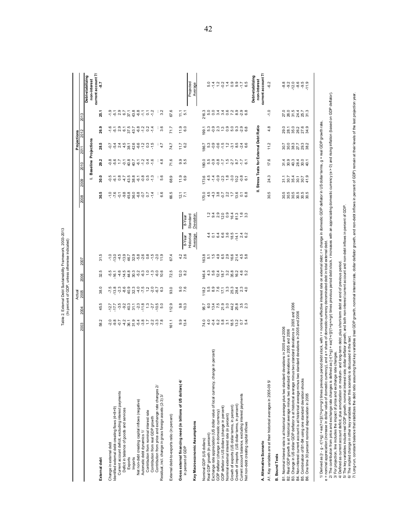|                                                                                                               |       | $2008$ $2009$ $20$       |  |
|---------------------------------------------------------------------------------------------------------------|-------|--------------------------|--|
|                                                                                                               |       |                          |  |
| Table 2. External Debt Sustainability Framework, 2003-2013<br>(In percent of GDP, unless otherwise indicated) | Actua | 2003 2004 2005 2006 2007 |  |
|                                                                                                               |       |                          |  |

| current account 7/<br>Debt-stabilizing<br>non-interest<br>non-interest<br>Projected<br>$294999$<br>$-94999$<br>6.5<br>5.0<br>$-1.7$<br>$-6.2$<br>$-8.8$<br>ာ ၁ ၀ ၀ ၈<br>၁ ၃ ၈ ၈<br>11.9<br>-8,7<br>$-1.4$<br>Average<br>0 4 4 6 7 9<br>0 4 4 6 7 9<br>27.0<br>26.5<br>24.4<br>24.5<br>$2.9$<br>6.7<br>등 휴 후 두 등<br>등 휴 후 두 등<br>$-1.2$<br>3.2<br>67.6<br>216.3<br>$5.0\,$<br>$-2.8$<br>$\frac{0}{1}$<br>25.7<br>$-1.9$<br>$\overline{5}$<br>11.1<br>5<br>25.<br>Stress Tests for External Debt Ratio<br>0. – 0. 0. 9. 9.<br>8. 8. 9. 8. 7. 9.<br>0. 9. 9. 8. 7. 9.<br>co co co co co co<br>co co co co co co co<br>4.8<br>26.9<br>$4.79769$<br>$4.79769$<br>$4.799$<br>11.9<br>6.0<br>$-1.2$<br>0.2<br>$-1.4$<br>3.6<br>71.7<br>199.1<br>Baseline Projections<br>28.5<br>$\ddot{0}$<br>$9, 9, 2$<br>$9, 7, 7$<br>7, 0, 0, 7, 0, 0,<br>8, 8, 8, 8, 8, 8,<br>8, 8, 8, 8, 8,<br>$484$<br>$484$<br>$426$<br>$60$<br>$-12$<br>$\frac{3}{2}$<br>$-1.5$<br>6.2<br>$5.3\,$<br>11.2<br>0 1 1 1<br>0 1 1 1<br>4.7<br>74.7<br>11.7<br>186.7<br>$\cdot$<br>29.2<br>တ္ ဟ<br>17.6<br>त ०,०, ५,०, ८<br>८, ८, ६, ४, ८, ८<br>५, ०, ०, ५, ०, ८,<br>ခုံ စုံ<br>40.7<br>$-1.2$<br>71.6<br>80.0<br>$-6.1$<br>0.4<br>$\frac{8}{4}$<br>ZF-<br>7.7<br>6.1<br>တ<br>ທ່<br>$\frac{0}{20}$<br>စ<br>4.5<br>9 ~ 8 ~ 9 ~ 9 ~<br>9 ~ 9 ~ 9 ~ 9 ~<br>24.3<br>$\frac{8}{2}$<br>43.5<br>38.8<br>$-0.8$<br>0.5<br>68.9<br>11.9<br>173.6<br>$-1.4$<br>5<br>224559<br>22545<br>$-4.7$<br>$\overline{\Theta}$<br>9.5<br>9.9<br>ဖ<br>÷.<br>30.5<br>5<br>6<br>6 7 8 9 9 9 9<br>30.5<br>$-9.8$<br>486600<br>88660<br>4.5<br>$-4.3$<br>8<br>8 5 8 7 8 9<br>8 9 8 7 9 8<br>7,6<br>$\overline{Q}$<br>$-1.4$<br>6.6<br>66.5<br>170.0<br>$\frac{12.1}{7.1}$<br>$\overline{5}$<br>O<br>a v d o o 4 u 6 u 9<br>4 u 6 o 4 u 6 u 9<br>Standard<br>Deviation<br>8-Year<br>5<br>2 4 6 6 7 6<br>2 7 6 7<br>Historical<br>$\frac{4}{4}$<br>$-14.1$<br>$24$ $2$<br>Average<br>8-Year<br>င္ ၁ ၈ ၈ ၈ ၈<br>၄ ၁ ၈ ၈ ၀ ၈<br>6<br>6 9 6 4 5 6<br>6 9 6 7 4 6<br>31.5<br>$-4.5$<br>$-13.9$<br>$-1.5$<br>11.9<br>4.2<br>2.6<br>163.8<br>$5, 4, 9$<br>$-4, 9$<br>$-1.0$<br>$-13.0$<br>67.4<br>2007<br>4.6<br>ရွိ တို့ လုံ ထုံ<br>ရွိ တို့ လုံ ထုံ<br>2 1 2 3 3 6 7<br>5 7 9 8 9 7<br>က္<br>$-14.5$<br>$\frac{0}{1}$<br>$\frac{3}{7}$ $\frac{3}{9}$<br>72.5<br>Q<br>Ņ<br>$\frac{4}{9}$ .6<br>$4.6$<br>5.2<br>$-16.1$<br>10.6<br>146.4<br><u>يہ</u><br>32.<br>ယှ<br>$\infty$<br>38.0<br>93.0<br>0.0070<br>$-2.3$<br>$\frac{8}{6}$<br>$\frac{1}{2}$<br>$7.70$<br>$9.70$<br>$-7.5$<br>13.8<br>B2. Real GDP growth is at historical average minus two standard deviations in 2005 and 2006<br>B3. Change in US dollar GDP deflator is at historical average minus two standard deviations in 2005 and 2006<br>45.5<br>112.9<br>9.8<br>56975994893<br>10.3<br>B4. Non-interest current account is at historical average minus two standard deviations in 2005 and 2006<br>0 4 0 6 5 6 6 7<br>0 4 7 8 7 9 9 0<br>58.2<br>$48.7$<br>$48.7$<br>$\frac{6}{4}$ 8<br>$2, 3, 6$<br>$7, 3, 6$<br>ب<br>13.4<br>74.0<br>$0.7$<br>$5.4$<br>$\mathbb{C}^1$<br>161.1<br>တ<br>B1. Nominal interest rate is at historical average plus two standard deviations in 2005 and 2006<br>in percent)<br>Exchange rate appreciation (US dollar value of local currency, change<br>B5. Combination of B1-B4 using one standard deviation shocks<br>Gross external financing need (in billions of US dollars) 4/<br>r.<br>A1. Key variables are at their historical averages in 2005-09<br>Contribution from price and exchange rate changes 2/<br>Current account deficit, excluding interest payments<br>One time 30 percent nominal depreciation in 2005<br>Current account balance, excluding interest payments<br>Residual, incl. change in gross foreign assets (2-3) 3/<br>Net non-debt creating capital inflows (negative)<br>Growth of imports (US dollar terms, in percent)<br>Growth of exports (US dollar terms, in percent)<br>GDP deflator in US dollars (change in percent)<br>Identified external debt-creating flows (4+8+9)<br>Deficit in balance of goods and services<br>GDP deflator (change in domestic currency)<br>Contribution from nominal interest rate<br>Nominal external interest rate (in percent)<br>External debt-to-exports ratio (in percent)<br>Contribution from real GDP growth<br>Key Macroeconomic Assumptions<br>Net non-debt creating capital inflows<br>Automatic debt dynamics 1/<br>Real GDP growth (in percent)<br>Nominal GDP (US dollars)<br>A. Alternative Scenario<br>Change in external debt<br>in percent of GDP<br><b>B.</b> Bound Tests<br>Exports<br>Imports<br>External debt<br>86 |  | 2003 | 2004 | 2005<br>Actual | 2006 |  | 2008 | 2009 | 2010 | Projections<br>2011 | 2012 | 2013 |                    |
|---------------------------------------------------------------------------------------------------------------------------------------------------------------------------------------------------------------------------------------------------------------------------------------------------------------------------------------------------------------------------------------------------------------------------------------------------------------------------------------------------------------------------------------------------------------------------------------------------------------------------------------------------------------------------------------------------------------------------------------------------------------------------------------------------------------------------------------------------------------------------------------------------------------------------------------------------------------------------------------------------------------------------------------------------------------------------------------------------------------------------------------------------------------------------------------------------------------------------------------------------------------------------------------------------------------------------------------------------------------------------------------------------------------------------------------------------------------------------------------------------------------------------------------------------------------------------------------------------------------------------------------------------------------------------------------------------------------------------------------------------------------------------------------------------------------------------------------------------------------------------------------------------------------------------------------------------------------------------------------------------------------------------------------------------------------------------------------------------------------------------------------------------------------------------------------------------------------------------------------------------------------------------------------------------------------------------------------------------------------------------------------------------------------------------------------------------------------------------------------------------------------------------------------------------------------------------------------------------------------------------------------------------------------------------------------------------------------------------------------------------------------------------------------------------------------------------------------------------------------------------------------------------------------------------------------------------------------------------------------------------------------------------------------------------------------------------------------------------------------------------------------------------------------------------------------------------------------------------------------------------------------------------------------------------------------------------------------------------------------------------------------------------------------------------------------------------------------------------------------------------------------------------------------------------------------------------------------------------------------------------------------------------------------------------------------------------------------------------------------------------------------------------------------------------------------------------------------------------------------------------------------------------------------------------------------------------------------------------------------------------------------------------------------------------------------------------------------------------------------------------------------------------------------------------------------------------------------------------------------------------------------------------------------------------------------------------------------------------------------------------------------------------------------------------------------------------------------------------------------------------------------------------------------------------------------------------------------------------------------------------------------------|--|------|------|----------------|------|--|------|------|------|---------------------|------|------|--------------------|
|                                                                                                                                                                                                                                                                                                                                                                                                                                                                                                                                                                                                                                                                                                                                                                                                                                                                                                                                                                                                                                                                                                                                                                                                                                                                                                                                                                                                                                                                                                                                                                                                                                                                                                                                                                                                                                                                                                                                                                                                                                                                                                                                                                                                                                                                                                                                                                                                                                                                                                                                                                                                                                                                                                                                                                                                                                                                                                                                                                                                                                                                                                                                                                                                                                                                                                                                                                                                                                                                                                                                                                                                                                                                                                                                                                                                                                                                                                                                                                                                                                                                                                                                                                                                                                                                                                                                                                                                                                                                                                                                                                                                                                             |  |      |      |                |      |  |      |      |      |                     |      |      |                    |
|                                                                                                                                                                                                                                                                                                                                                                                                                                                                                                                                                                                                                                                                                                                                                                                                                                                                                                                                                                                                                                                                                                                                                                                                                                                                                                                                                                                                                                                                                                                                                                                                                                                                                                                                                                                                                                                                                                                                                                                                                                                                                                                                                                                                                                                                                                                                                                                                                                                                                                                                                                                                                                                                                                                                                                                                                                                                                                                                                                                                                                                                                                                                                                                                                                                                                                                                                                                                                                                                                                                                                                                                                                                                                                                                                                                                                                                                                                                                                                                                                                                                                                                                                                                                                                                                                                                                                                                                                                                                                                                                                                                                                                             |  |      |      |                |      |  |      |      |      |                     |      |      |                    |
|                                                                                                                                                                                                                                                                                                                                                                                                                                                                                                                                                                                                                                                                                                                                                                                                                                                                                                                                                                                                                                                                                                                                                                                                                                                                                                                                                                                                                                                                                                                                                                                                                                                                                                                                                                                                                                                                                                                                                                                                                                                                                                                                                                                                                                                                                                                                                                                                                                                                                                                                                                                                                                                                                                                                                                                                                                                                                                                                                                                                                                                                                                                                                                                                                                                                                                                                                                                                                                                                                                                                                                                                                                                                                                                                                                                                                                                                                                                                                                                                                                                                                                                                                                                                                                                                                                                                                                                                                                                                                                                                                                                                                                             |  |      |      |                |      |  |      |      |      |                     |      |      |                    |
|                                                                                                                                                                                                                                                                                                                                                                                                                                                                                                                                                                                                                                                                                                                                                                                                                                                                                                                                                                                                                                                                                                                                                                                                                                                                                                                                                                                                                                                                                                                                                                                                                                                                                                                                                                                                                                                                                                                                                                                                                                                                                                                                                                                                                                                                                                                                                                                                                                                                                                                                                                                                                                                                                                                                                                                                                                                                                                                                                                                                                                                                                                                                                                                                                                                                                                                                                                                                                                                                                                                                                                                                                                                                                                                                                                                                                                                                                                                                                                                                                                                                                                                                                                                                                                                                                                                                                                                                                                                                                                                                                                                                                                             |  |      |      |                |      |  |      |      |      |                     |      |      |                    |
|                                                                                                                                                                                                                                                                                                                                                                                                                                                                                                                                                                                                                                                                                                                                                                                                                                                                                                                                                                                                                                                                                                                                                                                                                                                                                                                                                                                                                                                                                                                                                                                                                                                                                                                                                                                                                                                                                                                                                                                                                                                                                                                                                                                                                                                                                                                                                                                                                                                                                                                                                                                                                                                                                                                                                                                                                                                                                                                                                                                                                                                                                                                                                                                                                                                                                                                                                                                                                                                                                                                                                                                                                                                                                                                                                                                                                                                                                                                                                                                                                                                                                                                                                                                                                                                                                                                                                                                                                                                                                                                                                                                                                                             |  |      |      |                |      |  |      |      |      |                     |      |      |                    |
|                                                                                                                                                                                                                                                                                                                                                                                                                                                                                                                                                                                                                                                                                                                                                                                                                                                                                                                                                                                                                                                                                                                                                                                                                                                                                                                                                                                                                                                                                                                                                                                                                                                                                                                                                                                                                                                                                                                                                                                                                                                                                                                                                                                                                                                                                                                                                                                                                                                                                                                                                                                                                                                                                                                                                                                                                                                                                                                                                                                                                                                                                                                                                                                                                                                                                                                                                                                                                                                                                                                                                                                                                                                                                                                                                                                                                                                                                                                                                                                                                                                                                                                                                                                                                                                                                                                                                                                                                                                                                                                                                                                                                                             |  |      |      |                |      |  |      |      |      |                     |      |      |                    |
|                                                                                                                                                                                                                                                                                                                                                                                                                                                                                                                                                                                                                                                                                                                                                                                                                                                                                                                                                                                                                                                                                                                                                                                                                                                                                                                                                                                                                                                                                                                                                                                                                                                                                                                                                                                                                                                                                                                                                                                                                                                                                                                                                                                                                                                                                                                                                                                                                                                                                                                                                                                                                                                                                                                                                                                                                                                                                                                                                                                                                                                                                                                                                                                                                                                                                                                                                                                                                                                                                                                                                                                                                                                                                                                                                                                                                                                                                                                                                                                                                                                                                                                                                                                                                                                                                                                                                                                                                                                                                                                                                                                                                                             |  |      |      |                |      |  |      |      |      |                     |      |      |                    |
|                                                                                                                                                                                                                                                                                                                                                                                                                                                                                                                                                                                                                                                                                                                                                                                                                                                                                                                                                                                                                                                                                                                                                                                                                                                                                                                                                                                                                                                                                                                                                                                                                                                                                                                                                                                                                                                                                                                                                                                                                                                                                                                                                                                                                                                                                                                                                                                                                                                                                                                                                                                                                                                                                                                                                                                                                                                                                                                                                                                                                                                                                                                                                                                                                                                                                                                                                                                                                                                                                                                                                                                                                                                                                                                                                                                                                                                                                                                                                                                                                                                                                                                                                                                                                                                                                                                                                                                                                                                                                                                                                                                                                                             |  |      |      |                |      |  |      |      |      |                     |      |      |                    |
|                                                                                                                                                                                                                                                                                                                                                                                                                                                                                                                                                                                                                                                                                                                                                                                                                                                                                                                                                                                                                                                                                                                                                                                                                                                                                                                                                                                                                                                                                                                                                                                                                                                                                                                                                                                                                                                                                                                                                                                                                                                                                                                                                                                                                                                                                                                                                                                                                                                                                                                                                                                                                                                                                                                                                                                                                                                                                                                                                                                                                                                                                                                                                                                                                                                                                                                                                                                                                                                                                                                                                                                                                                                                                                                                                                                                                                                                                                                                                                                                                                                                                                                                                                                                                                                                                                                                                                                                                                                                                                                                                                                                                                             |  |      |      |                |      |  |      |      |      |                     |      |      |                    |
|                                                                                                                                                                                                                                                                                                                                                                                                                                                                                                                                                                                                                                                                                                                                                                                                                                                                                                                                                                                                                                                                                                                                                                                                                                                                                                                                                                                                                                                                                                                                                                                                                                                                                                                                                                                                                                                                                                                                                                                                                                                                                                                                                                                                                                                                                                                                                                                                                                                                                                                                                                                                                                                                                                                                                                                                                                                                                                                                                                                                                                                                                                                                                                                                                                                                                                                                                                                                                                                                                                                                                                                                                                                                                                                                                                                                                                                                                                                                                                                                                                                                                                                                                                                                                                                                                                                                                                                                                                                                                                                                                                                                                                             |  |      |      |                |      |  |      |      |      |                     |      |      |                    |
|                                                                                                                                                                                                                                                                                                                                                                                                                                                                                                                                                                                                                                                                                                                                                                                                                                                                                                                                                                                                                                                                                                                                                                                                                                                                                                                                                                                                                                                                                                                                                                                                                                                                                                                                                                                                                                                                                                                                                                                                                                                                                                                                                                                                                                                                                                                                                                                                                                                                                                                                                                                                                                                                                                                                                                                                                                                                                                                                                                                                                                                                                                                                                                                                                                                                                                                                                                                                                                                                                                                                                                                                                                                                                                                                                                                                                                                                                                                                                                                                                                                                                                                                                                                                                                                                                                                                                                                                                                                                                                                                                                                                                                             |  |      |      |                |      |  |      |      |      |                     |      |      |                    |
|                                                                                                                                                                                                                                                                                                                                                                                                                                                                                                                                                                                                                                                                                                                                                                                                                                                                                                                                                                                                                                                                                                                                                                                                                                                                                                                                                                                                                                                                                                                                                                                                                                                                                                                                                                                                                                                                                                                                                                                                                                                                                                                                                                                                                                                                                                                                                                                                                                                                                                                                                                                                                                                                                                                                                                                                                                                                                                                                                                                                                                                                                                                                                                                                                                                                                                                                                                                                                                                                                                                                                                                                                                                                                                                                                                                                                                                                                                                                                                                                                                                                                                                                                                                                                                                                                                                                                                                                                                                                                                                                                                                                                                             |  |      |      |                |      |  |      |      |      |                     |      |      |                    |
|                                                                                                                                                                                                                                                                                                                                                                                                                                                                                                                                                                                                                                                                                                                                                                                                                                                                                                                                                                                                                                                                                                                                                                                                                                                                                                                                                                                                                                                                                                                                                                                                                                                                                                                                                                                                                                                                                                                                                                                                                                                                                                                                                                                                                                                                                                                                                                                                                                                                                                                                                                                                                                                                                                                                                                                                                                                                                                                                                                                                                                                                                                                                                                                                                                                                                                                                                                                                                                                                                                                                                                                                                                                                                                                                                                                                                                                                                                                                                                                                                                                                                                                                                                                                                                                                                                                                                                                                                                                                                                                                                                                                                                             |  |      |      |                |      |  |      |      |      |                     |      |      |                    |
|                                                                                                                                                                                                                                                                                                                                                                                                                                                                                                                                                                                                                                                                                                                                                                                                                                                                                                                                                                                                                                                                                                                                                                                                                                                                                                                                                                                                                                                                                                                                                                                                                                                                                                                                                                                                                                                                                                                                                                                                                                                                                                                                                                                                                                                                                                                                                                                                                                                                                                                                                                                                                                                                                                                                                                                                                                                                                                                                                                                                                                                                                                                                                                                                                                                                                                                                                                                                                                                                                                                                                                                                                                                                                                                                                                                                                                                                                                                                                                                                                                                                                                                                                                                                                                                                                                                                                                                                                                                                                                                                                                                                                                             |  |      |      |                |      |  |      |      |      |                     |      |      |                    |
|                                                                                                                                                                                                                                                                                                                                                                                                                                                                                                                                                                                                                                                                                                                                                                                                                                                                                                                                                                                                                                                                                                                                                                                                                                                                                                                                                                                                                                                                                                                                                                                                                                                                                                                                                                                                                                                                                                                                                                                                                                                                                                                                                                                                                                                                                                                                                                                                                                                                                                                                                                                                                                                                                                                                                                                                                                                                                                                                                                                                                                                                                                                                                                                                                                                                                                                                                                                                                                                                                                                                                                                                                                                                                                                                                                                                                                                                                                                                                                                                                                                                                                                                                                                                                                                                                                                                                                                                                                                                                                                                                                                                                                             |  |      |      |                |      |  |      |      |      |                     |      |      |                    |
|                                                                                                                                                                                                                                                                                                                                                                                                                                                                                                                                                                                                                                                                                                                                                                                                                                                                                                                                                                                                                                                                                                                                                                                                                                                                                                                                                                                                                                                                                                                                                                                                                                                                                                                                                                                                                                                                                                                                                                                                                                                                                                                                                                                                                                                                                                                                                                                                                                                                                                                                                                                                                                                                                                                                                                                                                                                                                                                                                                                                                                                                                                                                                                                                                                                                                                                                                                                                                                                                                                                                                                                                                                                                                                                                                                                                                                                                                                                                                                                                                                                                                                                                                                                                                                                                                                                                                                                                                                                                                                                                                                                                                                             |  |      |      |                |      |  |      |      |      |                     |      |      |                    |
|                                                                                                                                                                                                                                                                                                                                                                                                                                                                                                                                                                                                                                                                                                                                                                                                                                                                                                                                                                                                                                                                                                                                                                                                                                                                                                                                                                                                                                                                                                                                                                                                                                                                                                                                                                                                                                                                                                                                                                                                                                                                                                                                                                                                                                                                                                                                                                                                                                                                                                                                                                                                                                                                                                                                                                                                                                                                                                                                                                                                                                                                                                                                                                                                                                                                                                                                                                                                                                                                                                                                                                                                                                                                                                                                                                                                                                                                                                                                                                                                                                                                                                                                                                                                                                                                                                                                                                                                                                                                                                                                                                                                                                             |  |      |      |                |      |  |      |      |      |                     |      |      |                    |
|                                                                                                                                                                                                                                                                                                                                                                                                                                                                                                                                                                                                                                                                                                                                                                                                                                                                                                                                                                                                                                                                                                                                                                                                                                                                                                                                                                                                                                                                                                                                                                                                                                                                                                                                                                                                                                                                                                                                                                                                                                                                                                                                                                                                                                                                                                                                                                                                                                                                                                                                                                                                                                                                                                                                                                                                                                                                                                                                                                                                                                                                                                                                                                                                                                                                                                                                                                                                                                                                                                                                                                                                                                                                                                                                                                                                                                                                                                                                                                                                                                                                                                                                                                                                                                                                                                                                                                                                                                                                                                                                                                                                                                             |  |      |      |                |      |  |      |      |      |                     |      |      |                    |
|                                                                                                                                                                                                                                                                                                                                                                                                                                                                                                                                                                                                                                                                                                                                                                                                                                                                                                                                                                                                                                                                                                                                                                                                                                                                                                                                                                                                                                                                                                                                                                                                                                                                                                                                                                                                                                                                                                                                                                                                                                                                                                                                                                                                                                                                                                                                                                                                                                                                                                                                                                                                                                                                                                                                                                                                                                                                                                                                                                                                                                                                                                                                                                                                                                                                                                                                                                                                                                                                                                                                                                                                                                                                                                                                                                                                                                                                                                                                                                                                                                                                                                                                                                                                                                                                                                                                                                                                                                                                                                                                                                                                                                             |  |      |      |                |      |  |      |      |      |                     |      |      |                    |
|                                                                                                                                                                                                                                                                                                                                                                                                                                                                                                                                                                                                                                                                                                                                                                                                                                                                                                                                                                                                                                                                                                                                                                                                                                                                                                                                                                                                                                                                                                                                                                                                                                                                                                                                                                                                                                                                                                                                                                                                                                                                                                                                                                                                                                                                                                                                                                                                                                                                                                                                                                                                                                                                                                                                                                                                                                                                                                                                                                                                                                                                                                                                                                                                                                                                                                                                                                                                                                                                                                                                                                                                                                                                                                                                                                                                                                                                                                                                                                                                                                                                                                                                                                                                                                                                                                                                                                                                                                                                                                                                                                                                                                             |  |      |      |                |      |  |      |      |      |                     |      |      |                    |
|                                                                                                                                                                                                                                                                                                                                                                                                                                                                                                                                                                                                                                                                                                                                                                                                                                                                                                                                                                                                                                                                                                                                                                                                                                                                                                                                                                                                                                                                                                                                                                                                                                                                                                                                                                                                                                                                                                                                                                                                                                                                                                                                                                                                                                                                                                                                                                                                                                                                                                                                                                                                                                                                                                                                                                                                                                                                                                                                                                                                                                                                                                                                                                                                                                                                                                                                                                                                                                                                                                                                                                                                                                                                                                                                                                                                                                                                                                                                                                                                                                                                                                                                                                                                                                                                                                                                                                                                                                                                                                                                                                                                                                             |  |      |      |                |      |  |      |      |      |                     |      |      |                    |
|                                                                                                                                                                                                                                                                                                                                                                                                                                                                                                                                                                                                                                                                                                                                                                                                                                                                                                                                                                                                                                                                                                                                                                                                                                                                                                                                                                                                                                                                                                                                                                                                                                                                                                                                                                                                                                                                                                                                                                                                                                                                                                                                                                                                                                                                                                                                                                                                                                                                                                                                                                                                                                                                                                                                                                                                                                                                                                                                                                                                                                                                                                                                                                                                                                                                                                                                                                                                                                                                                                                                                                                                                                                                                                                                                                                                                                                                                                                                                                                                                                                                                                                                                                                                                                                                                                                                                                                                                                                                                                                                                                                                                                             |  |      |      |                |      |  |      |      |      |                     |      |      |                    |
|                                                                                                                                                                                                                                                                                                                                                                                                                                                                                                                                                                                                                                                                                                                                                                                                                                                                                                                                                                                                                                                                                                                                                                                                                                                                                                                                                                                                                                                                                                                                                                                                                                                                                                                                                                                                                                                                                                                                                                                                                                                                                                                                                                                                                                                                                                                                                                                                                                                                                                                                                                                                                                                                                                                                                                                                                                                                                                                                                                                                                                                                                                                                                                                                                                                                                                                                                                                                                                                                                                                                                                                                                                                                                                                                                                                                                                                                                                                                                                                                                                                                                                                                                                                                                                                                                                                                                                                                                                                                                                                                                                                                                                             |  |      |      |                |      |  |      |      |      |                     |      |      |                    |
|                                                                                                                                                                                                                                                                                                                                                                                                                                                                                                                                                                                                                                                                                                                                                                                                                                                                                                                                                                                                                                                                                                                                                                                                                                                                                                                                                                                                                                                                                                                                                                                                                                                                                                                                                                                                                                                                                                                                                                                                                                                                                                                                                                                                                                                                                                                                                                                                                                                                                                                                                                                                                                                                                                                                                                                                                                                                                                                                                                                                                                                                                                                                                                                                                                                                                                                                                                                                                                                                                                                                                                                                                                                                                                                                                                                                                                                                                                                                                                                                                                                                                                                                                                                                                                                                                                                                                                                                                                                                                                                                                                                                                                             |  |      |      |                |      |  |      |      |      |                     |      |      |                    |
|                                                                                                                                                                                                                                                                                                                                                                                                                                                                                                                                                                                                                                                                                                                                                                                                                                                                                                                                                                                                                                                                                                                                                                                                                                                                                                                                                                                                                                                                                                                                                                                                                                                                                                                                                                                                                                                                                                                                                                                                                                                                                                                                                                                                                                                                                                                                                                                                                                                                                                                                                                                                                                                                                                                                                                                                                                                                                                                                                                                                                                                                                                                                                                                                                                                                                                                                                                                                                                                                                                                                                                                                                                                                                                                                                                                                                                                                                                                                                                                                                                                                                                                                                                                                                                                                                                                                                                                                                                                                                                                                                                                                                                             |  |      |      |                |      |  |      |      |      |                     |      |      |                    |
|                                                                                                                                                                                                                                                                                                                                                                                                                                                                                                                                                                                                                                                                                                                                                                                                                                                                                                                                                                                                                                                                                                                                                                                                                                                                                                                                                                                                                                                                                                                                                                                                                                                                                                                                                                                                                                                                                                                                                                                                                                                                                                                                                                                                                                                                                                                                                                                                                                                                                                                                                                                                                                                                                                                                                                                                                                                                                                                                                                                                                                                                                                                                                                                                                                                                                                                                                                                                                                                                                                                                                                                                                                                                                                                                                                                                                                                                                                                                                                                                                                                                                                                                                                                                                                                                                                                                                                                                                                                                                                                                                                                                                                             |  |      |      |                |      |  |      |      |      |                     |      |      |                    |
|                                                                                                                                                                                                                                                                                                                                                                                                                                                                                                                                                                                                                                                                                                                                                                                                                                                                                                                                                                                                                                                                                                                                                                                                                                                                                                                                                                                                                                                                                                                                                                                                                                                                                                                                                                                                                                                                                                                                                                                                                                                                                                                                                                                                                                                                                                                                                                                                                                                                                                                                                                                                                                                                                                                                                                                                                                                                                                                                                                                                                                                                                                                                                                                                                                                                                                                                                                                                                                                                                                                                                                                                                                                                                                                                                                                                                                                                                                                                                                                                                                                                                                                                                                                                                                                                                                                                                                                                                                                                                                                                                                                                                                             |  |      |      |                |      |  |      |      |      |                     |      |      |                    |
|                                                                                                                                                                                                                                                                                                                                                                                                                                                                                                                                                                                                                                                                                                                                                                                                                                                                                                                                                                                                                                                                                                                                                                                                                                                                                                                                                                                                                                                                                                                                                                                                                                                                                                                                                                                                                                                                                                                                                                                                                                                                                                                                                                                                                                                                                                                                                                                                                                                                                                                                                                                                                                                                                                                                                                                                                                                                                                                                                                                                                                                                                                                                                                                                                                                                                                                                                                                                                                                                                                                                                                                                                                                                                                                                                                                                                                                                                                                                                                                                                                                                                                                                                                                                                                                                                                                                                                                                                                                                                                                                                                                                                                             |  |      |      |                |      |  |      |      |      |                     |      |      |                    |
|                                                                                                                                                                                                                                                                                                                                                                                                                                                                                                                                                                                                                                                                                                                                                                                                                                                                                                                                                                                                                                                                                                                                                                                                                                                                                                                                                                                                                                                                                                                                                                                                                                                                                                                                                                                                                                                                                                                                                                                                                                                                                                                                                                                                                                                                                                                                                                                                                                                                                                                                                                                                                                                                                                                                                                                                                                                                                                                                                                                                                                                                                                                                                                                                                                                                                                                                                                                                                                                                                                                                                                                                                                                                                                                                                                                                                                                                                                                                                                                                                                                                                                                                                                                                                                                                                                                                                                                                                                                                                                                                                                                                                                             |  |      |      |                |      |  |      |      |      |                     |      |      |                    |
|                                                                                                                                                                                                                                                                                                                                                                                                                                                                                                                                                                                                                                                                                                                                                                                                                                                                                                                                                                                                                                                                                                                                                                                                                                                                                                                                                                                                                                                                                                                                                                                                                                                                                                                                                                                                                                                                                                                                                                                                                                                                                                                                                                                                                                                                                                                                                                                                                                                                                                                                                                                                                                                                                                                                                                                                                                                                                                                                                                                                                                                                                                                                                                                                                                                                                                                                                                                                                                                                                                                                                                                                                                                                                                                                                                                                                                                                                                                                                                                                                                                                                                                                                                                                                                                                                                                                                                                                                                                                                                                                                                                                                                             |  |      |      |                |      |  |      |      |      |                     |      |      | Debt-stabilizing   |
|                                                                                                                                                                                                                                                                                                                                                                                                                                                                                                                                                                                                                                                                                                                                                                                                                                                                                                                                                                                                                                                                                                                                                                                                                                                                                                                                                                                                                                                                                                                                                                                                                                                                                                                                                                                                                                                                                                                                                                                                                                                                                                                                                                                                                                                                                                                                                                                                                                                                                                                                                                                                                                                                                                                                                                                                                                                                                                                                                                                                                                                                                                                                                                                                                                                                                                                                                                                                                                                                                                                                                                                                                                                                                                                                                                                                                                                                                                                                                                                                                                                                                                                                                                                                                                                                                                                                                                                                                                                                                                                                                                                                                                             |  |      |      |                |      |  |      |      |      |                     |      |      | current account 7/ |
|                                                                                                                                                                                                                                                                                                                                                                                                                                                                                                                                                                                                                                                                                                                                                                                                                                                                                                                                                                                                                                                                                                                                                                                                                                                                                                                                                                                                                                                                                                                                                                                                                                                                                                                                                                                                                                                                                                                                                                                                                                                                                                                                                                                                                                                                                                                                                                                                                                                                                                                                                                                                                                                                                                                                                                                                                                                                                                                                                                                                                                                                                                                                                                                                                                                                                                                                                                                                                                                                                                                                                                                                                                                                                                                                                                                                                                                                                                                                                                                                                                                                                                                                                                                                                                                                                                                                                                                                                                                                                                                                                                                                                                             |  |      |      |                |      |  |      |      |      |                     |      |      |                    |
|                                                                                                                                                                                                                                                                                                                                                                                                                                                                                                                                                                                                                                                                                                                                                                                                                                                                                                                                                                                                                                                                                                                                                                                                                                                                                                                                                                                                                                                                                                                                                                                                                                                                                                                                                                                                                                                                                                                                                                                                                                                                                                                                                                                                                                                                                                                                                                                                                                                                                                                                                                                                                                                                                                                                                                                                                                                                                                                                                                                                                                                                                                                                                                                                                                                                                                                                                                                                                                                                                                                                                                                                                                                                                                                                                                                                                                                                                                                                                                                                                                                                                                                                                                                                                                                                                                                                                                                                                                                                                                                                                                                                                                             |  |      |      |                |      |  |      |      |      |                     |      |      |                    |
|                                                                                                                                                                                                                                                                                                                                                                                                                                                                                                                                                                                                                                                                                                                                                                                                                                                                                                                                                                                                                                                                                                                                                                                                                                                                                                                                                                                                                                                                                                                                                                                                                                                                                                                                                                                                                                                                                                                                                                                                                                                                                                                                                                                                                                                                                                                                                                                                                                                                                                                                                                                                                                                                                                                                                                                                                                                                                                                                                                                                                                                                                                                                                                                                                                                                                                                                                                                                                                                                                                                                                                                                                                                                                                                                                                                                                                                                                                                                                                                                                                                                                                                                                                                                                                                                                                                                                                                                                                                                                                                                                                                                                                             |  |      |      |                |      |  |      |      |      |                     |      |      |                    |
|                                                                                                                                                                                                                                                                                                                                                                                                                                                                                                                                                                                                                                                                                                                                                                                                                                                                                                                                                                                                                                                                                                                                                                                                                                                                                                                                                                                                                                                                                                                                                                                                                                                                                                                                                                                                                                                                                                                                                                                                                                                                                                                                                                                                                                                                                                                                                                                                                                                                                                                                                                                                                                                                                                                                                                                                                                                                                                                                                                                                                                                                                                                                                                                                                                                                                                                                                                                                                                                                                                                                                                                                                                                                                                                                                                                                                                                                                                                                                                                                                                                                                                                                                                                                                                                                                                                                                                                                                                                                                                                                                                                                                                             |  |      |      |                |      |  |      |      |      |                     |      |      |                    |
|                                                                                                                                                                                                                                                                                                                                                                                                                                                                                                                                                                                                                                                                                                                                                                                                                                                                                                                                                                                                                                                                                                                                                                                                                                                                                                                                                                                                                                                                                                                                                                                                                                                                                                                                                                                                                                                                                                                                                                                                                                                                                                                                                                                                                                                                                                                                                                                                                                                                                                                                                                                                                                                                                                                                                                                                                                                                                                                                                                                                                                                                                                                                                                                                                                                                                                                                                                                                                                                                                                                                                                                                                                                                                                                                                                                                                                                                                                                                                                                                                                                                                                                                                                                                                                                                                                                                                                                                                                                                                                                                                                                                                                             |  |      |      |                |      |  |      |      |      |                     |      |      |                    |
|                                                                                                                                                                                                                                                                                                                                                                                                                                                                                                                                                                                                                                                                                                                                                                                                                                                                                                                                                                                                                                                                                                                                                                                                                                                                                                                                                                                                                                                                                                                                                                                                                                                                                                                                                                                                                                                                                                                                                                                                                                                                                                                                                                                                                                                                                                                                                                                                                                                                                                                                                                                                                                                                                                                                                                                                                                                                                                                                                                                                                                                                                                                                                                                                                                                                                                                                                                                                                                                                                                                                                                                                                                                                                                                                                                                                                                                                                                                                                                                                                                                                                                                                                                                                                                                                                                                                                                                                                                                                                                                                                                                                                                             |  |      |      |                |      |  |      |      |      |                     |      |      |                    |
|                                                                                                                                                                                                                                                                                                                                                                                                                                                                                                                                                                                                                                                                                                                                                                                                                                                                                                                                                                                                                                                                                                                                                                                                                                                                                                                                                                                                                                                                                                                                                                                                                                                                                                                                                                                                                                                                                                                                                                                                                                                                                                                                                                                                                                                                                                                                                                                                                                                                                                                                                                                                                                                                                                                                                                                                                                                                                                                                                                                                                                                                                                                                                                                                                                                                                                                                                                                                                                                                                                                                                                                                                                                                                                                                                                                                                                                                                                                                                                                                                                                                                                                                                                                                                                                                                                                                                                                                                                                                                                                                                                                                                                             |  |      |      |                |      |  |      |      |      |                     |      |      |                    |
|                                                                                                                                                                                                                                                                                                                                                                                                                                                                                                                                                                                                                                                                                                                                                                                                                                                                                                                                                                                                                                                                                                                                                                                                                                                                                                                                                                                                                                                                                                                                                                                                                                                                                                                                                                                                                                                                                                                                                                                                                                                                                                                                                                                                                                                                                                                                                                                                                                                                                                                                                                                                                                                                                                                                                                                                                                                                                                                                                                                                                                                                                                                                                                                                                                                                                                                                                                                                                                                                                                                                                                                                                                                                                                                                                                                                                                                                                                                                                                                                                                                                                                                                                                                                                                                                                                                                                                                                                                                                                                                                                                                                                                             |  |      |      |                |      |  |      |      |      |                     |      |      |                    |

e = nominal appreciation (increase in dollar value of domestic currency), and a = share of domestic-currency denominated debt in total external debt.

2/ The contribution from price and exchanges is defined as [+(1+g) +ea(1++p)/1+g++p)/1+g++p)/1+g++p)/1+g+p++p)/1+gn +ea(1++p)/1+gn +ea(1++p)/1+gn +ea(1++p)/1+gn +ea(1++p)/1+gn +ea(1++p)/1+gn +ea(1++p)/1+gn +ea(1++p)/1+gn +

3/ For projection, line includes the impact of price and exchange rate changes.

4/ Defined as current account deficit, plus amortization on medium- and long-term debt, plus short-term debt at end of previous period. 5/ The key variables include real GDP growth; nominal interest rate; dollar deflator growth; and both non-interest current account and non-debt inflows in percent of GDP.

e = nominal appreciation (increase in dollar value of domestic currency), and a = share of domestic-currency denominated debt in total external debt."<br>2/ The contribution from price and exchange rate changes is defined as 7/ Long-run, constant balance that stabilizes the debt ration assuming that key variables (real GDP provid), incominal interest rate, dollar defiator growth, and non-debt inflows in percent of GDP) remain at their levels o 6/ The implied change in other key variables under this scenario is discussed in the text.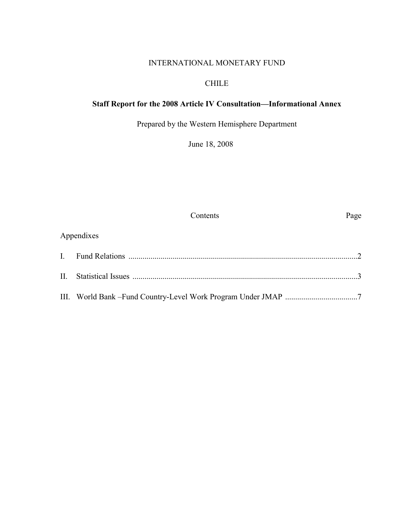### INTERNATIONAL MONETARY FUND

### CHILE

### **Staff Report for the 2008 Article IV Consultation—Informational Annex**

Prepared by the Western Hemisphere Department

June 18, 2008

Contents Page

### Appendixes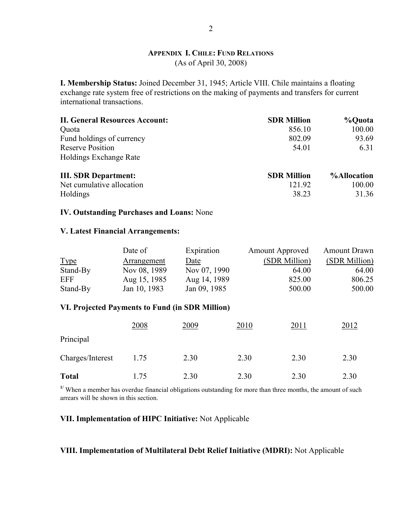### **APPENDIX I. CHILE: FUND RELATIONS** (As of April 30, 2008)

**I. Membership Status:** Joined December 31, 1945; Article VIII. Chile maintains a floating exchange rate system free of restrictions on the making of payments and transfers for current international transactions.

| <b>II. General Resources Account:</b> | <b>SDR Million</b> | %Quota             |
|---------------------------------------|--------------------|--------------------|
| Quota                                 | 856.10             | 100.00             |
| Fund holdings of currency             | 802.09             | 93.69              |
| <b>Reserve Position</b>               | 54.01              | 6.31               |
| <b>Holdings Exchange Rate</b>         |                    |                    |
| <b>III. SDR Department:</b>           | <b>SDR Million</b> | <b>%Allocation</b> |
| Net cumulative allocation             | 121.92             | 100.00             |
| Holdings                              | 38.23              | 31.36              |

#### **IV. Outstanding Purchases and Loans:** None

#### **V. Latest Financial Arrangements:**

|             | Date of      | Expiration   | <b>Amount Approved</b> | <b>Amount Drawn</b> |
|-------------|--------------|--------------|------------------------|---------------------|
| <b>Type</b> | Arrangement  | Date         | (SDR Million)          | (SDR Million)       |
| Stand-By    | Nov 08, 1989 | Nov 07, 1990 | 64.00                  | 64.00               |
| <b>EFF</b>  | Aug 15, 1985 | Aug 14, 1989 | 825.00                 | 806.25              |
| Stand-By    | Jan 10, 1983 | Jan 09, 1985 | 500.00                 | 500.00              |

#### **VI. Projected Payments to Fund (in SDR Million)**

|                  | 2008 | 2009 | 2010 | 2011 | 2012 |
|------------------|------|------|------|------|------|
| Principal        |      |      |      |      |      |
| Charges/Interest | 1.75 | 2.30 | 2.30 | 2.30 | 2.30 |
| <b>Total</b>     | 1.75 | 2.30 | 2.30 | 2.30 | 2.30 |

<sup>1/</sup> When a member has overdue financial obligations outstanding for more than three months, the amount of such arrears will be shown in this section.

### **VII. Implementation of HIPC Initiative:** Not Applicable

### **VIII. Implementation of Multilateral Debt Relief Initiative (MDRI):** Not Applicable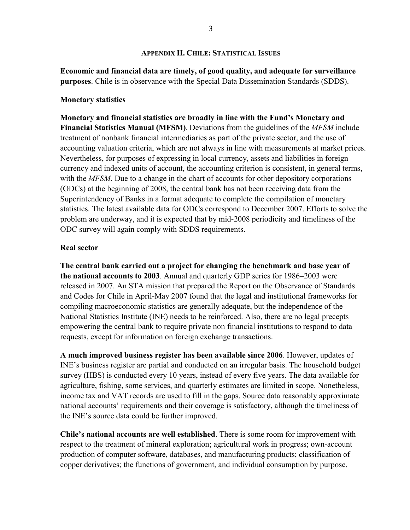### **APPENDIX II. CHILE: STATISTICAL ISSUES**

**Economic and financial data are timely, of good quality, and adequate for surveillance purposes**. Chile is in observance with the Special Data Dissemination Standards (SDDS).

### **Monetary statistics**

**Monetary and financial statistics are broadly in line with the Fund's Monetary and Financial Statistics Manual (MFSM)**. Deviations from the guidelines of the *MFSM* include treatment of nonbank financial intermediaries as part of the private sector, and the use of accounting valuation criteria, which are not always in line with measurements at market prices. Nevertheless, for purposes of expressing in local currency, assets and liabilities in foreign currency and indexed units of account, the accounting criterion is consistent, in general terms, with the *MFSM*. Due to a change in the chart of accounts for other depository corporations (ODCs) at the beginning of 2008, the central bank has not been receiving data from the Superintendency of Banks in a format adequate to complete the compilation of monetary statistics. The latest available data for ODCs correspond to December 2007. Efforts to solve the problem are underway, and it is expected that by mid-2008 periodicity and timeliness of the ODC survey will again comply with SDDS requirements.

### **Real sector**

**The central bank carried out a project for changing the benchmark and base year of the national accounts to 2003**. Annual and quarterly GDP series for 1986–2003 were released in 2007. An STA mission that prepared the Report on the Observance of Standards and Codes for Chile in April-May 2007 found that the legal and institutional frameworks for compiling macroeconomic statistics are generally adequate, but the independence of the National Statistics Institute (INE) needs to be reinforced. Also, there are no legal precepts empowering the central bank to require private non financial institutions to respond to data requests, except for information on foreign exchange transactions.

**A much improved business register has been available since 2006**. However, updates of INE's business register are partial and conducted on an irregular basis. The household budget survey (HBS) is conducted every 10 years, instead of every five years. The data available for agriculture, fishing, some services, and quarterly estimates are limited in scope. Nonetheless, income tax and VAT records are used to fill in the gaps. Source data reasonably approximate national accounts' requirements and their coverage is satisfactory, although the timeliness of the INE's source data could be further improved.

**Chile's national accounts are well established**. There is some room for improvement with respect to the treatment of mineral exploration; agricultural work in progress; own-account production of computer software, databases, and manufacturing products; classification of copper derivatives; the functions of government, and individual consumption by purpose.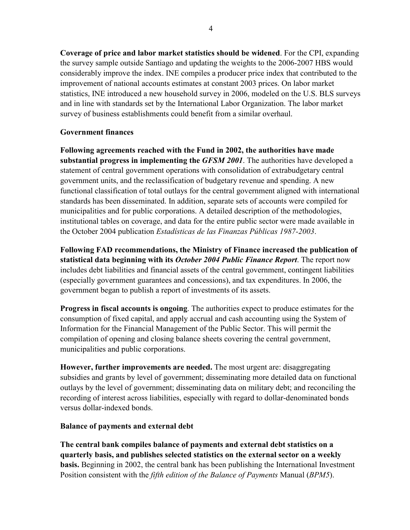**Coverage of price and labor market statistics should be widened**. For the CPI, expanding the survey sample outside Santiago and updating the weights to the 2006-2007 HBS would considerably improve the index. INE compiles a producer price index that contributed to the improvement of national accounts estimates at constant 2003 prices. On labor market statistics, INE introduced a new household survey in 2006, modeled on the U.S. BLS surveys and in line with standards set by the International Labor Organization. The labor market survey of business establishments could benefit from a similar overhaul.

### **Government finances**

**Following agreements reached with the Fund in 2002, the authorities have made substantial progress in implementing the** *GFSM 2001*. The authorities have developed a statement of central government operations with consolidation of extrabudgetary central government units, and the reclassification of budgetary revenue and spending. A new functional classification of total outlays for the central government aligned with international standards has been disseminated. In addition, separate sets of accounts were compiled for municipalities and for public corporations. A detailed description of the methodologies, institutional tables on coverage, and data for the entire public sector were made available in the October 2004 publication *Estadísticas de las Finanzas Públicas 1987-2003*.

**Following FAD recommendations, the Ministry of Finance increased the publication of statistical data beginning with its** *October 2004 Public Finance Report*. The report now includes debt liabilities and financial assets of the central government, contingent liabilities (especially government guarantees and concessions), and tax expenditures. In 2006, the government began to publish a report of investments of its assets.

**Progress in fiscal accounts is ongoing**. The authorities expect to produce estimates for the consumption of fixed capital, and apply accrual and cash accounting using the System of Information for the Financial Management of the Public Sector. This will permit the compilation of opening and closing balance sheets covering the central government, municipalities and public corporations.

**However, further improvements are needed.** The most urgent are: disaggregating subsidies and grants by level of government; disseminating more detailed data on functional outlays by the level of government; disseminating data on military debt; and reconciling the recording of interest across liabilities, especially with regard to dollar-denominated bonds versus dollar-indexed bonds.

### **Balance of payments and external debt**

**The central bank compiles balance of payments and external debt statistics on a quarterly basis, and publishes selected statistics on the external sector on a weekly basis.** Beginning in 2002, the central bank has been publishing the International Investment Position consistent with the *fifth edition of the Balance of Payments* Manual (*BPM5*).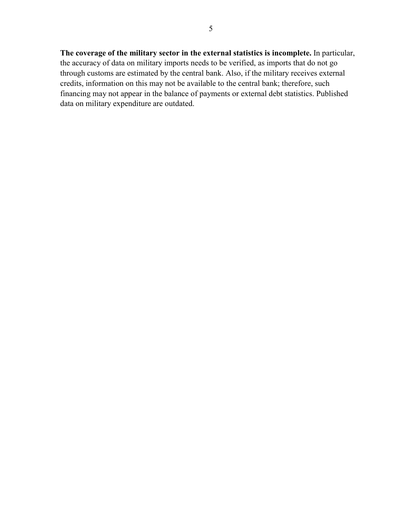**The coverage of the military sector in the external statistics is incomplete.** In particular, the accuracy of data on military imports needs to be verified, as imports that do not go through customs are estimated by the central bank. Also, if the military receives external credits, information on this may not be available to the central bank; therefore, such financing may not appear in the balance of payments or external debt statistics. Published data on military expenditure are outdated.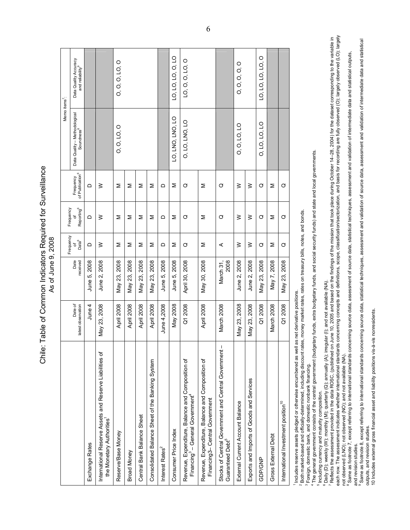Chile: Table of Common Indicators Required for Surveillance Chile: Table of Common Indicators Required for Surveillance As of June 9, 2008 As of June 9, 2008

|                                                                                                              |                               |                  | Frequency              | Frequency              |                                          | Memo items <sup>7</sup> :                               |                                                       |
|--------------------------------------------------------------------------------------------------------------|-------------------------------|------------------|------------------------|------------------------|------------------------------------------|---------------------------------------------------------|-------------------------------------------------------|
|                                                                                                              | Date of<br>latest observation | Date<br>received | Data <sup>6</sup><br>৳ | Reporting <sup>6</sup> | Frequency<br>of Publication <sup>6</sup> | Data Quality – Methodological<br>Soundness <sup>8</sup> | Data Quality Accuracy<br>and reliability <sup>9</sup> |
| <b>Exchange Rates</b>                                                                                        | June 4                        | June 5, 2008     | ≏                      | ≏                      | ≏                                        |                                                         |                                                       |
| International Reserve Assets and Reserve Liabilities of<br>the Monetary Authorities                          | May 23, 2008                  | June 2, 2008     | $\geq$                 | $\geq$                 | $\geq$                                   |                                                         |                                                       |
| Reserve/Base Money                                                                                           | April 2008                    | May 23, 2008     | ⋝                      | ⋝                      | ⋝                                        | 0, 0, 10, 0                                             | 0, 0, 0, LO, 0                                        |
| <b>Broad Money</b>                                                                                           | April 2008                    | May 23, 2008     | Σ                      | Σ                      | Σ                                        |                                                         |                                                       |
| Central Bank Balance Sheet                                                                                   | April 2008                    | May 23, 2008     | Σ                      | ⋝                      | ⋝                                        |                                                         |                                                       |
| Consolidated Balance Sheet of the Banking System                                                             | April 2008                    | May 23, 2008     | Σ                      | Σ                      | Σ                                        |                                                         |                                                       |
| Interest Rates <sup>2</sup>                                                                                  | June 4,2008                   | June 5, 2008     | ≏                      | ≏                      | ≏                                        |                                                         |                                                       |
| Consumer Price Index                                                                                         | May 2008                      | June 5, 2008     | Σ                      | Σ                      | Σ                                        | LO, LNO, LNO, LO                                        | LO, LO, LO, O, LO                                     |
| Revenue, Expenditure, Balance and Composition of<br>Financing <sup>3</sup> - General Government <sup>4</sup> | Q1 2008                       | April 30, 2008   | ♂                      | ♂                      | Ø                                        | 0, LO, LNO, LO                                          | LO, O, O, LO, O                                       |
| Revenue, Expenditure, Balance and Composition of<br>Financing3-Central Government                            | April 2008                    | May 30, 2008     | Σ                      | Σ                      | Σ                                        |                                                         |                                                       |
| Stocks of Central Government and Central Government-<br>Guaranteed Debt <sup>5</sup>                         | March 2008                    | 2008<br>March 31 | ⋖                      | ♂                      | ♂                                        |                                                         |                                                       |
| External Current Account Balance                                                                             | May 23, 2008                  | June 2, 2008     | $\geq$                 | $\geq$                 | $\geq$                                   | 0, 0, 10, 10                                            | 0, 0, 0, 0, 0                                         |
| Exports and Imports of Goods and Services                                                                    | May 23, 2008                  | June 2, 2008     | $\geq$                 | $\geq$                 | $\geq$                                   |                                                         |                                                       |
| GDP/GNP                                                                                                      | Q1 2008                       | May 23, 2008     | ♂                      | ♂                      | ♂                                        | 0, LO, LO, LO                                           | LO, LO, LO, LO, O                                     |
| Gross External Debt                                                                                          | March 2008                    | May 7, 2008      | Σ                      | Σ                      | Σ                                        |                                                         |                                                       |
| International Investment position <sup>10</sup>                                                              | Q1 2008                       | May 23, 2008     | O                      | Ø                      | Ø                                        |                                                         |                                                       |
| l noludes resence assets pleaned or otherwise epoumhered as well.                                            | as net derivative positions   |                  |                        |                        |                                          |                                                         |                                                       |

1 Includes reserve assets pledged or otherwise encumbered as well as net derivative positions.

2 Both market-based and officially-determined, including discount rates, money market rates, rates on treasury bills, notes, and bonds. Footh market-based and officially-determined, including discount rates, money market rates, rates on treasury bills, notes, and bonds.

3 Foreign, domestic bank, and domestic nonbank financing.

4 The general government consists of the central government (budgetary funds, extra budgetary funds, and social security funds) and state and local governments. <sup>3</sup> Foreign, domestic bank, and domestic nonbank financing.<br><u>4</u> The general government consists of the central government (budgetary funds, extra budgetary funds, and scoial security funds) and state and local governments

Including currency and maturity composition. 5 Including currency and maturity composition.

 $^6$  Daily (D); weekly (W); monthly (M); quarterly (Q); annually (A); irregular (I); and not available (NA).

° Daily (D); weekly (W); monthly (M); quarterly (Q); annually (A); irregular (I); and not available (NA).<br>7 Reflects the assessment provided in the data ROSC, (published on June 10, 2005 and based on the findings of the mi each row. The assessment indicates whether international standards concepts and definitions, scope, classification, and basis for recording are fully observed (O); largely observed (LO); largely observed (LO); largely 7 Reflects the assessment provided in the data ROSC, (published on June 10, 2005 and based on the findings of the mission that took place during October 14–28, 2004) for the dataset corresponding to the variable in not observed (LNO); not observed (NO); and not available (NA).<br><sup>8</sup> Same as footnote 7, except referring to international standards concerning source data, assuit ecantical techniques, assessment and validation of intermedi not observed (LNO); not observed (NO); and not available (NA).

8 Same as footnote 7, except referring to international standards concerning source data, assessment of source data, statistical techniques, assessment and validation of intermediate data and statistical outputs, and revision studies. and revision studies.

Same as footnote 8, except referring to international standards concerning source data, statistical techniques, assessment and validation of source data, assessment and validation of intermediate data and statistical 9 Same as footnote 8, except referring to international standards concerning source data, statistical techniques, assessment and validation of source data, assessment and validation of intermediate data and statistical outputs, and revision studies. outputs, and revision studies

10 Includes external gross financial asset and liability positions vis-a-vis nonresidents. 10 Includes external gross financial asset and liability positions vis-à-vis nonresidents.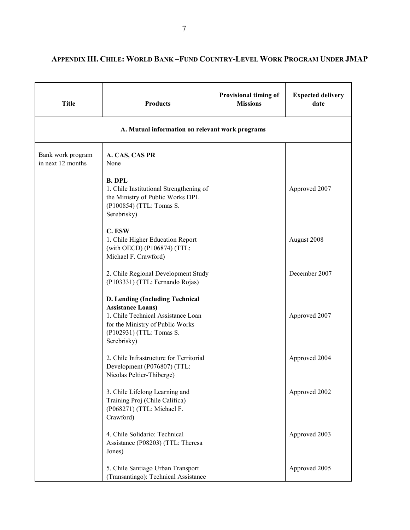| <b>Title</b>                           | <b>Products</b>                                                                                                                                                                  | <b>Provisional timing of</b><br><b>Missions</b> | <b>Expected delivery</b><br>date |
|----------------------------------------|----------------------------------------------------------------------------------------------------------------------------------------------------------------------------------|-------------------------------------------------|----------------------------------|
|                                        | A. Mutual information on relevant work programs                                                                                                                                  |                                                 |                                  |
| Bank work program<br>in next 12 months | A. CAS, CAS PR<br>None                                                                                                                                                           |                                                 |                                  |
|                                        | <b>B. DPL</b><br>1. Chile Institutional Strengthening of<br>the Ministry of Public Works DPL<br>(P100854) (TTL: Tomas S.<br>Serebrisky)                                          |                                                 | Approved 2007                    |
|                                        | C. ESW<br>1. Chile Higher Education Report<br>(with OECD) (P106874) (TTL:<br>Michael F. Crawford)                                                                                |                                                 | August 2008                      |
|                                        | 2. Chile Regional Development Study<br>(P103331) (TTL: Fernando Rojas)                                                                                                           |                                                 | December 2007                    |
|                                        | D. Lending (Including Technical<br><b>Assistance Loans)</b><br>1. Chile Technical Assistance Loan<br>for the Ministry of Public Works<br>(P102931) (TTL: Tomas S.<br>Serebrisky) |                                                 | Approved 2007                    |
|                                        | 2. Chile Infrastructure for Territorial<br>Development (P076807) (TTL:<br>Nicolas Peltier-Thiberge)                                                                              |                                                 | Approved 2004                    |
|                                        | 3. Chile Lifelong Learning and<br>Training Proj (Chile Califica)<br>(P068271) (TTL: Michael F.<br>Crawford)                                                                      |                                                 | Approved 2002                    |
|                                        | 4. Chile Solidario: Technical<br>Assistance (P08203) (TTL: Theresa<br>Jones)                                                                                                     |                                                 | Approved 2003                    |
|                                        | 5. Chile Santiago Urban Transport<br>(Transantiago): Technical Assistance                                                                                                        |                                                 | Approved 2005                    |

### **APPENDIX III. CHILE: WORLD BANK –FUND COUNTRY-LEVEL WORK PROGRAM UNDER JMAP**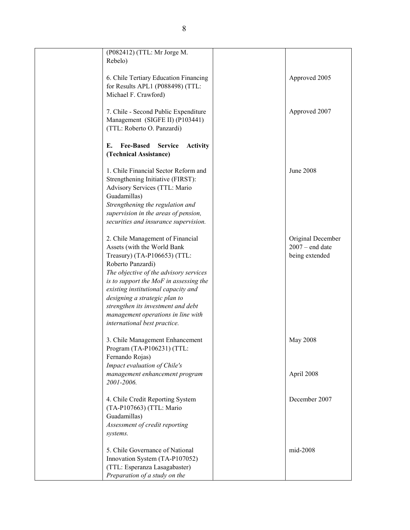| (P082412) (TTL: Mr Jorge M.<br>Rebelo)                                                                                                                                                                                                                                                                                                                                                       |                                                          |
|----------------------------------------------------------------------------------------------------------------------------------------------------------------------------------------------------------------------------------------------------------------------------------------------------------------------------------------------------------------------------------------------|----------------------------------------------------------|
| 6. Chile Tertiary Education Financing<br>for Results APL1 (P088498) (TTL:<br>Michael F. Crawford)                                                                                                                                                                                                                                                                                            | Approved 2005                                            |
| 7. Chile - Second Public Expenditure<br>Management (SIGFE II) (P103441)<br>(TTL: Roberto O. Panzardi)                                                                                                                                                                                                                                                                                        | Approved 2007                                            |
| <b>Fee-Based</b><br>Е.<br><b>Service</b><br><b>Activity</b><br>(Technical Assistance)                                                                                                                                                                                                                                                                                                        |                                                          |
| 1. Chile Financial Sector Reform and<br>Strengthening Initiative (FIRST):<br>Advisory Services (TTL: Mario<br>Guadamillas)<br>Strengthening the regulation and<br>supervision in the areas of pension,<br>securities and insurance supervision.                                                                                                                                              | June 2008                                                |
| 2. Chile Management of Financial<br>Assets (with the World Bank<br>Treasury) (TA-P106653) (TTL:<br>Roberto Panzardi)<br>The objective of the advisory services<br>is to support the MoF in assessing the<br>existing institutional capacity and<br>designing a strategic plan to<br>strengthen its investment and debt<br>management operations in line with<br>international best practice. | Original December<br>$2007 - end$ date<br>being extended |
| 3. Chile Management Enhancement<br>Program (TA-P106231) (TTL:<br>Fernando Rojas)<br>Impact evaluation of Chile's<br>management enhancement program                                                                                                                                                                                                                                           | May 2008<br>April 2008                                   |
| 2001-2006.                                                                                                                                                                                                                                                                                                                                                                                   |                                                          |
| 4. Chile Credit Reporting System<br>(TA-P107663) (TTL: Mario<br>Guadamillas)<br>Assessment of credit reporting<br>systems.                                                                                                                                                                                                                                                                   | December 2007                                            |
| 5. Chile Governance of National<br>Innovation System (TA-P107052)<br>(TTL: Esperanza Lasagabaster)<br>Preparation of a study on the                                                                                                                                                                                                                                                          | mid-2008                                                 |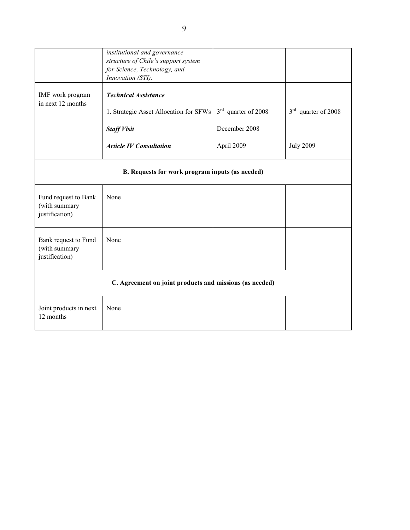|                                                         | institutional and governance<br>structure of Chile's support system<br>for Science, Technology, and<br>Innovation (STI).      |                                                      |                                           |
|---------------------------------------------------------|-------------------------------------------------------------------------------------------------------------------------------|------------------------------------------------------|-------------------------------------------|
| IMF work program<br>in next 12 months                   | <b>Technical Assistance</b><br>1. Strategic Asset Allocation for SFWs<br><b>Staff Visit</b><br><b>Article IV Consultation</b> | $3rd$ quarter of 2008<br>December 2008<br>April 2009 | $3rd$ quarter of 2008<br><b>July 2009</b> |
|                                                         | B. Requests for work program inputs (as needed)                                                                               |                                                      |                                           |
| Fund request to Bank<br>(with summary<br>justification) | None                                                                                                                          |                                                      |                                           |
| Bank request to Fund<br>(with summary<br>justification) | None                                                                                                                          |                                                      |                                           |
|                                                         | C. Agreement on joint products and missions (as needed)                                                                       |                                                      |                                           |
| Joint products in next<br>12 months                     | None                                                                                                                          |                                                      |                                           |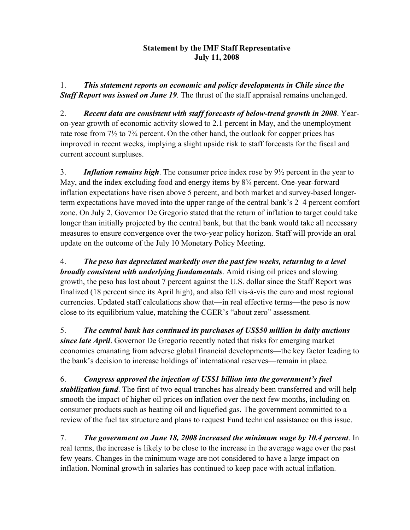### **Statement by the IMF Staff Representative July 11, 2008**

1. *This statement reports on economic and policy developments in Chile since the Staff Report was issued on June 19*. The thrust of the staff appraisal remains unchanged.

2. *Recent data are consistent with staff forecasts of below-trend growth in 2008*. Yearon-year growth of economic activity slowed to 2.1 percent in May, and the unemployment rate rose from  $7\frac{1}{2}$  to  $7\frac{3}{4}$  percent. On the other hand, the outlook for copper prices has improved in recent weeks, implying a slight upside risk to staff forecasts for the fiscal and current account surpluses.

3. *Inflation remains high*. The consumer price index rose by 9½ percent in the year to May, and the index excluding food and energy items by  $8\frac{3}{4}$  percent. One-year-forward inflation expectations have risen above 5 percent, and both market and survey-based longerterm expectations have moved into the upper range of the central bank's 2–4 percent comfort zone. On July 2, Governor De Gregorio stated that the return of inflation to target could take longer than initially projected by the central bank, but that the bank would take all necessary measures to ensure convergence over the two-year policy horizon. Staff will provide an oral update on the outcome of the July 10 Monetary Policy Meeting.

4. *The peso has depreciated markedly over the past few weeks, returning to a level broadly consistent with underlying fundamentals*. Amid rising oil prices and slowing growth, the peso has lost about 7 percent against the U.S. dollar since the Staff Report was finalized (18 percent since its April high), and also fell vis-à-vis the euro and most regional currencies. Updated staff calculations show that—in real effective terms—the peso is now close to its equilibrium value, matching the CGER's "about zero" assessment.

5. *The central bank has continued its purchases of US\$50 million in daily auctions since late April*. Governor De Gregorio recently noted that risks for emerging market economies emanating from adverse global financial developments—the key factor leading to the bank's decision to increase holdings of international reserves—remain in place.

6. *Congress approved the injection of US\$1 billion into the government's fuel stabilization fund*. The first of two equal tranches has already been transferred and will help smooth the impact of higher oil prices on inflation over the next few months, including on consumer products such as heating oil and liquefied gas. The government committed to a review of the fuel tax structure and plans to request Fund technical assistance on this issue.

7. *The government on June 18, 2008 increased the minimum wage by 10.4 percent*. In real terms, the increase is likely to be close to the increase in the average wage over the past few years. Changes in the minimum wage are not considered to have a large impact on inflation. Nominal growth in salaries has continued to keep pace with actual inflation.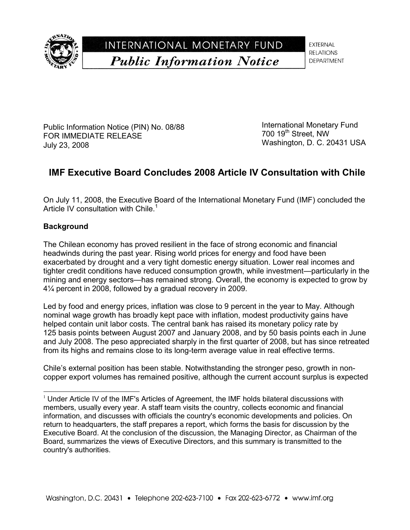

INTERNATIONAL MONETARY FUND **Public Information Notice** 

**EXTERNAL RELATIONS DEPARTMENT** 

Public Information Notice (PIN) No. 08/88 FOR IMMEDIATE RELEASE July 23, 2008

International Monetary Fund 700 19<sup>th</sup> Street, NW Washington, D. C. 20431 USA

## **IMF Executive Board Concludes 2008 Article IV Consultation with Chile**

On July 11, 2008, the Executive Board of the International Monetary Fund (IMF) concluded the Article IV consultation with Chile.<sup>1</sup>

### **Background**

l

The Chilean economy has proved resilient in the face of strong economic and financial headwinds during the past year. Rising world prices for energy and food have been exacerbated by drought and a very tight domestic energy situation. Lower real incomes and tighter credit conditions have reduced consumption growth, while investment—particularly in the mining and energy sectors—has remained strong. Overall, the economy is expected to grow by 4¼ percent in 2008, followed by a gradual recovery in 2009.

Led by food and energy prices, inflation was close to 9 percent in the year to May. Although nominal wage growth has broadly kept pace with inflation, modest productivity gains have helped contain unit labor costs. The central bank has raised its monetary policy rate by 125 basis points between August 2007 and January 2008, and by 50 basis points each in June and July 2008. The peso appreciated sharply in the first quarter of 2008, but has since retreated from its highs and remains close to its long-term average value in real effective terms.

Chile's external position has been stable. Notwithstanding the stronger peso, growth in noncopper export volumes has remained positive, although the current account surplus is expected

 $1$  Under Article IV of the IMF's Articles of Agreement, the IMF holds bilateral discussions with members, usually every year. A staff team visits the country, collects economic and financial information, and discusses with officials the country's economic developments and policies. On return to headquarters, the staff prepares a report, which forms the basis for discussion by the Executive Board. At the conclusion of the discussion, the Managing Director, as Chairman of the Board, summarizes the views of Executive Directors, and this summary is transmitted to the country's authorities.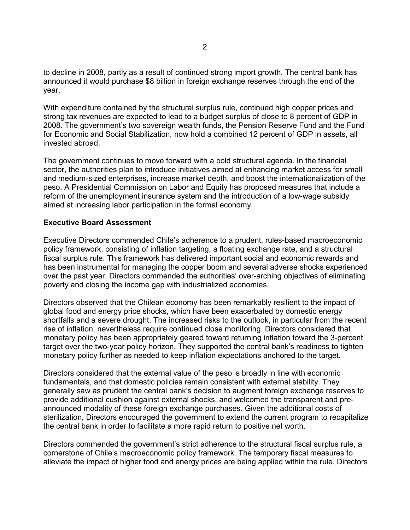to decline in 2008, partly as a result of continued strong import growth. The central bank has announced it would purchase \$8 billion in foreign exchange reserves through the end of the year.

With expenditure contained by the structural surplus rule, continued high copper prices and strong tax revenues are expected to lead to a budget surplus of close to 8 percent of GDP in 2008. The government's two sovereign wealth funds, the Pension Reserve Fund and the Fund for Economic and Social Stabilization, now hold a combined 12 percent of GDP in assets, all invested abroad.

The government continues to move forward with a bold structural agenda. In the financial sector, the authorities plan to introduce initiatives aimed at enhancing market access for small and medium-sized enterprises, increase market depth, and boost the internationalization of the peso. A Presidential Commission on Labor and Equity has proposed measures that include a reform of the unemployment insurance system and the introduction of a low-wage subsidy aimed at increasing labor participation in the formal economy.

### **Executive Board Assessment**

Executive Directors commended Chile's adherence to a prudent, rules-based macroeconomic policy framework, consisting of inflation targeting, a floating exchange rate, and a structural fiscal surplus rule. This framework has delivered important social and economic rewards and has been instrumental for managing the copper boom and several adverse shocks experienced over the past year. Directors commended the authorities' over-arching objectives of eliminating poverty and closing the income gap with industrialized economies.

Directors observed that the Chilean economy has been remarkably resilient to the impact of global food and energy price shocks, which have been exacerbated by domestic energy shortfalls and a severe drought. The increased risks to the outlook, in particular from the recent rise of inflation, nevertheless require continued close monitoring. Directors considered that monetary policy has been appropriately geared toward returning inflation toward the 3-percent target over the two-year policy horizon. They supported the central bank's readiness to tighten monetary policy further as needed to keep inflation expectations anchored to the target.

Directors considered that the external value of the peso is broadly in line with economic fundamentals, and that domestic policies remain consistent with external stability. They generally saw as prudent the central bank's decision to augment foreign exchange reserves to provide additional cushion against external shocks, and welcomed the transparent and preannounced modality of these foreign exchange purchases. Given the additional costs of sterilization, Directors encouraged the government to extend the current program to recapitalize the central bank in order to facilitate a more rapid return to positive net worth.

Directors commended the government's strict adherence to the structural fiscal surplus rule, a cornerstone of Chile's macroeconomic policy framework. The temporary fiscal measures to alleviate the impact of higher food and energy prices are being applied within the rule. Directors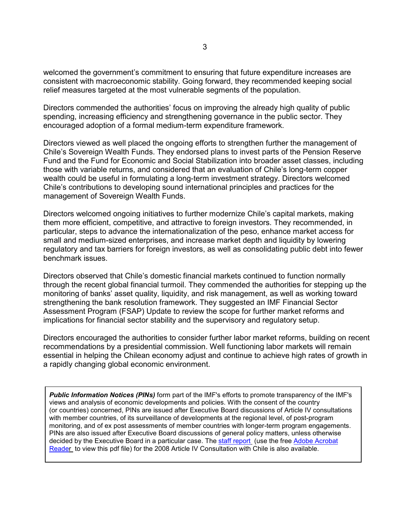welcomed the government's commitment to ensuring that future expenditure increases are consistent with macroeconomic stability. Going forward, they recommended keeping social relief measures targeted at the most vulnerable segments of the population.

Directors commended the authorities' focus on improving the already high quality of public spending, increasing efficiency and strengthening governance in the public sector. They encouraged adoption of a formal medium-term expenditure framework.

Directors viewed as well placed the ongoing efforts to strengthen further the management of Chile's Sovereign Wealth Funds. They endorsed plans to invest parts of the Pension Reserve Fund and the Fund for Economic and Social Stabilization into broader asset classes, including those with variable returns, and considered that an evaluation of Chile's long-term copper wealth could be useful in formulating a long-term investment strategy. Directors welcomed Chile's contributions to developing sound international principles and practices for the management of Sovereign Wealth Funds.

Directors welcomed ongoing initiatives to further modernize Chile's capital markets, making them more efficient, competitive, and attractive to foreign investors. They recommended, in particular, steps to advance the internationalization of the peso, enhance market access for small and medium-sized enterprises, and increase market depth and liquidity by lowering regulatory and tax barriers for foreign investors, as well as consolidating public debt into fewer benchmark issues.

Directors observed that Chile's domestic financial markets continued to function normally through the recent global financial turmoil. They commended the authorities for stepping up the monitoring of banks' asset quality, liquidity, and risk management, as well as working toward strengthening the bank resolution framework. They suggested an IMF Financial Sector Assessment Program (FSAP) Update to review the scope for further market reforms and implications for financial sector stability and the supervisory and regulatory setup.

Directors encouraged the authorities to consider further labor market reforms, building on recent recommendations by a presidential commission. Well functioning labor markets will remain essential in helping the Chilean economy adjust and continue to achieve high rates of growth in a rapidly changing global economic environment.

*Public Information Notices (PINs)* form part of the IMF's efforts to promote transparency of the IMF's views and analysis of economic developments and policies. With the consent of the country (or countries) concerned, PINs are issued after Executive Board discussions of Article IV consultations with member countries, of its surveillance of developments at the regional level, of post-program monitoring, and of ex post assessments of member countries with longer-term program engagements. PINs are also issued after Executive Board discussions of general policy matters, unless otherwise decided by the Executive Board in a particular case. The staff report (use the free Adobe Acrobat Reader to view this pdf file) for the 2008 Article IV Consultation with Chile is also available.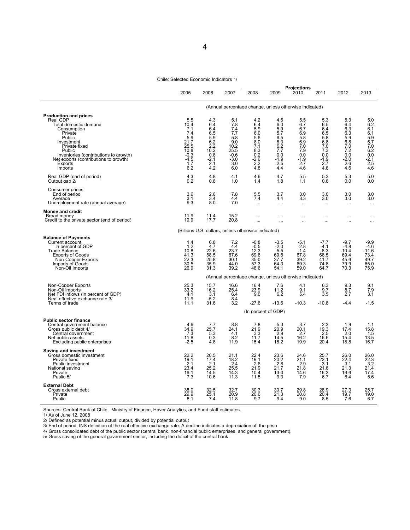#### Chile: Selected Economic Indicators 1/

4

|                                                                                                                                                                                                            | 2005                                                                                | 2006                                                                               | 2007                                                                            | 2008                                                                                      | 2009                                                                                      | <b>Projections</b><br>2010                                                   | 2011                                                                         | 2012                                                                         | 2013                                                                         |
|------------------------------------------------------------------------------------------------------------------------------------------------------------------------------------------------------------|-------------------------------------------------------------------------------------|------------------------------------------------------------------------------------|---------------------------------------------------------------------------------|-------------------------------------------------------------------------------------------|-------------------------------------------------------------------------------------------|------------------------------------------------------------------------------|------------------------------------------------------------------------------|------------------------------------------------------------------------------|------------------------------------------------------------------------------|
|                                                                                                                                                                                                            |                                                                                     |                                                                                    |                                                                                 | (Annual percentage change, unless otherwise indicated)                                    |                                                                                           |                                                                              |                                                                              |                                                                              |                                                                              |
| <b>Production and prices</b><br>Real GDP                                                                                                                                                                   | 5.5                                                                                 | 4.3                                                                                | 5.1                                                                             | 4.2                                                                                       | 4.6                                                                                       | 5.5                                                                          | 5.3                                                                          | 5.3                                                                          | 5.0                                                                          |
| Total domestic demand<br>Consumption<br>Private<br>Public<br>Investment<br>Private fixed<br>Public<br>Inventories (contributions to growth)<br>Net exports (contributions to growth)<br>Exports<br>Imports | 10.4<br>7.1<br>7.4<br>5.9<br>21.7<br>25.5<br>10.8<br>$-0.3$<br>$-4.5$<br>1.7<br>6.2 | 6.4<br>6.4<br>6.5<br>5.9<br>6.2<br>2.2<br>10.2<br>0.8<br>$-\frac{2.1}{2.1}$<br>4.2 | 7.8<br>7.4<br>7.7<br>5.8<br>9.0<br>10.2<br>25.5<br>$-0.6$<br>-3.0<br>3.0<br>6.0 | 6.4<br>5.9<br>6.0<br>5.6<br>8.0<br>7.1<br>8.3<br>0.2<br>$-2.6$<br>2.2<br>$\overline{4.8}$ | 6.0<br>5.9<br>5.7<br>6.5<br>6.3<br>6.2<br>7.7<br>0.0<br>$-1.9$<br>$2.\overline{5}$<br>4.4 | 6.7<br>6.7<br>6.9<br>5.8<br>6.9<br>7.0<br>7.9<br>0.0<br>$-1.9$<br>2.7<br>4.6 | 6.5<br>6.4<br>6.5<br>5.8<br>6.8<br>7.0<br>7.3<br>0.0<br>$-1.9$<br>2.7<br>4.6 | 6.4<br>6.3<br>6.3<br>5.9<br>6.8<br>7.0<br>7.2<br>0.0<br>$-2.0$<br>2.6<br>4.6 | 6.2<br>6.1<br>6.1<br>5.9<br>6.7<br>7.0<br>6.2<br>0.0<br>$-2.1$<br>2.5<br>4.6 |
| Real GDP (end of period)<br>Output gap 2/                                                                                                                                                                  | $^{4.3}_{0.2}$                                                                      | 4.8<br>0.8                                                                         | 4.1<br>1.0                                                                      | 4.6<br>1.4                                                                                | 4.7<br>1.8                                                                                | 5.5<br>1.1                                                                   | 5.3<br>0.6                                                                   | 5.3<br>0.0                                                                   | 5.0<br>0.0                                                                   |
| Consumer prices<br>End of period<br>Average<br>Unemplovment rate (annual average)                                                                                                                          | 3.6<br>3.1<br>9.3                                                                   | 2.6<br>3.4<br>8.0                                                                  | 7.8<br>4.4<br>7.0                                                               | 5.5<br>7.4<br>$\cdots$                                                                    | 3.7<br>4.4<br>$\cdots$                                                                    | 3.0<br>3.3<br>$\cdots$                                                       | 3.0<br>3.0<br>$\cdots$                                                       | 3.0<br>3.0<br>$\cdots$                                                       | 3.0<br>3.0<br>$\cdots$                                                       |
| Money and credit<br>Broad money<br>Credit to the private sector (end of period)                                                                                                                            | 11.9<br>19.9                                                                        | 11.4<br>17.7                                                                       | 15.2<br>20.8                                                                    | <br>$\ddotsc$                                                                             | $\cdots$<br>$\cdots$                                                                      | $\cdots$<br>$\cdots$                                                         | $\cdots$<br>$\cdots$                                                         | $\cdots$<br>$\cdots$                                                         | $\cdots$<br>$\cdots$                                                         |
|                                                                                                                                                                                                            | (Billions U.S. dollars, unless otherwise indicated)                                 |                                                                                    |                                                                                 |                                                                                           |                                                                                           |                                                                              |                                                                              |                                                                              |                                                                              |
| <b>Balance of Pavments</b><br>Current account<br>In percent of GDP<br><b>Trade Balance</b><br><b>Exports of Goods</b><br>Non-Copper Exports<br>Imports of Goods<br>Non-Oil Imports                         | 1.4<br>1.2<br>10.8<br>41.3<br>22.3<br>30.5<br>26.9                                  | 6.8<br>4.7<br>22.6<br>58.5<br>$\frac{25.8}{35.9}$<br>31.3                          | 7.2<br>4.4<br>23.7<br>67.6<br>30.1<br>44.0<br>39.2                              | $-0.8$<br>$-0.5$<br>12.3<br>69.6<br>35.0<br>57.3<br>48.6                                  | -3.5<br>$-2.0$<br>5.5<br>69.8<br>37.7<br>64.3<br>54.1                                     | $-5.1$<br>$-2.8$<br>$-1.4$<br>67.8<br>39.2<br>69.3<br>59.0                   | $-7.7$<br>$-4.1$<br>$-8.3$<br>66.5<br>41.7<br>74.8<br>64.7                   | $-9.7$<br>$-4.8$<br>$-10.4$<br>69.4<br>45.6<br>79.9<br>70.3                  | $-9.9$<br>$-4.6$<br>$-11.6$<br>73.4<br>49.7<br>85.0<br>75.9                  |
|                                                                                                                                                                                                            |                                                                                     |                                                                                    |                                                                                 | (Annual percentage change, unless otherwise indicated)                                    |                                                                                           |                                                                              |                                                                              |                                                                              |                                                                              |
| Non-Copper Exports<br>Non-Oil Imports<br>Net FDI inflows (in percent of GDP)<br>Real effective exchange rate 3/<br>Terms of trade                                                                          | 25.3<br>33.2<br>4.1<br>11.9<br>11.1                                                 | 15.7<br>16.2<br>3.1<br>$-5.2$<br>31.6                                              | 16.6<br>25.4<br>6.4<br>8.4<br>3.2                                               | 16.4<br>23.9<br>9.0<br>$-27.6$<br>(In percent of GDP)                                     | $7.6$<br>11.2<br>6.2<br>$-13.6$                                                           | 4.1<br>9.1<br>5.4<br>$-10.3$                                                 | $6.3$<br>9.7<br>3.5<br>$-10.8$                                               | $\frac{9.3}{8.7}$<br>2.7<br>$-4.4$                                           | 9.1<br>7.9<br>3.1<br>$-1.5$                                                  |
| <b>Public sector finance</b>                                                                                                                                                                               |                                                                                     |                                                                                    |                                                                                 |                                                                                           |                                                                                           |                                                                              |                                                                              |                                                                              |                                                                              |
| Central government balance<br>Gross public debt 4/<br>Central government<br>Net public assets<br>Excluding public enterprises                                                                              | 4.6<br>34.9<br>7.3<br>$-11.8$<br>$-2.5$                                             | 7.7<br>25.7<br>5.3<br>0.3<br>4.8                                                   | 8.8<br>24.1<br>4.1<br>8.2<br>11.9                                               | 7.8<br>21.9<br>3.3<br>11.7<br>15.4                                                        | 5.3<br>20.9<br>2.9<br>14.5<br>18.2                                                        | 3.7<br>20.1<br>2.7<br>16.2<br>19.9                                           | 2.3<br>19.3<br>2.5<br>16.6<br>20.4                                           | 1.9<br>17.4<br>2.0<br>15.4<br>18.8                                           | 1.1<br>15.8<br>1.5<br>13.5<br>16.7                                           |
| Saving and investment<br>Gross domestic investment<br>Private fixed<br>Public investment<br>National saving<br>Private<br>Public 5/                                                                        | 22.2<br>19.1<br>2.1<br>23.4<br>16.1<br>7.3                                          | 20.5<br>17.4<br>2.1<br>25.2<br>14.5<br>10.6                                        | 21.1<br>18.2<br>2.4<br>25.5<br>14.3<br>11.3                                     | 22.4<br>19.1<br>2.6<br>21.9<br>10.4<br>11.5                                               | 23.6<br>20.2<br>2.8<br>21.7<br>13.0<br>9.3                                                | 24.6<br>21.1<br>2.9<br>21.8<br>14.6<br>7.9                                   | 25.7<br>22.1<br>3.1<br>21.6<br>16.3<br>6.7                                   | 26.0<br>22.4<br>3.1<br>21.3<br>16.6<br>6.4                                   | 26.0<br>22.3<br>3.2<br>21.4<br>17.4<br>5.6                                   |
| <b>External Debt</b><br>Gross external debt<br>Private<br>Public                                                                                                                                           | 38.0<br>29.9<br>8.1                                                                 | 32.5<br>25.1<br>7.4                                                                | 32.7<br>20.9<br>11.8                                                            | 30.3<br>20.6<br>9.7                                                                       | 30.7<br>21.3<br>9.4                                                                       | 29.8<br>20.8<br>9.0                                                          | 28.9<br>20.4<br>8.5                                                          | 27.3<br>19.7<br>7.6                                                          | 25.7<br>19.0<br>6.7                                                          |

Sources: Central Bank of Chile, Ministry of Finance, Haver Analytics, and Fund staff estimates.

1/ As of June 12, 2008

2/ Defined as potential minus actual output, divided by potential output

3/ End of period; INS definition of the real effective exchange rate. A decline indicates a depreciation of the peso

4/ Gross consolidated debt of the public sector (central bank, non-financial public enterprises, and general government).

5/ Gross saving of the general government sector, including the deficit of the central bank.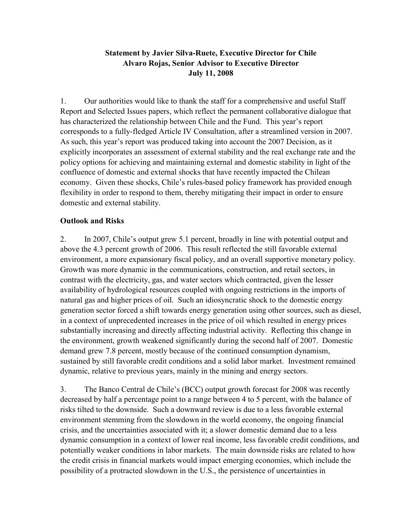### **Statement by Javier Silva-Ruete, Executive Director for Chile Alvaro Rojas, Senior Advisor to Executive Director July 11, 2008**

1. Our authorities would like to thank the staff for a comprehensive and useful Staff Report and Selected Issues papers, which reflect the permanent collaborative dialogue that has characterized the relationship between Chile and the Fund. This year's report corresponds to a fully-fledged Article IV Consultation, after a streamlined version in 2007. As such, this year's report was produced taking into account the 2007 Decision, as it explicitly incorporates an assessment of external stability and the real exchange rate and the policy options for achieving and maintaining external and domestic stability in light of the confluence of domestic and external shocks that have recently impacted the Chilean economy. Given these shocks, Chile's rules-based policy framework has provided enough flexibility in order to respond to them, thereby mitigating their impact in order to ensure domestic and external stability.

### **Outlook and Risks**

2. In 2007, Chile's output grew 5.1 percent, broadly in line with potential output and above the 4.3 percent growth of 2006. This result reflected the still favorable external environment, a more expansionary fiscal policy, and an overall supportive monetary policy. Growth was more dynamic in the communications, construction, and retail sectors, in contrast with the electricity, gas, and water sectors which contracted, given the lesser availability of hydrological resources coupled with ongoing restrictions in the imports of natural gas and higher prices of oil. Such an idiosyncratic shock to the domestic energy generation sector forced a shift towards energy generation using other sources, such as diesel, in a context of unprecedented increases in the price of oil which resulted in energy prices substantially increasing and directly affecting industrial activity. Reflecting this change in the environment, growth weakened significantly during the second half of 2007. Domestic demand grew 7.8 percent, mostly because of the continued consumption dynamism, sustained by still favorable credit conditions and a solid labor market. Investment remained dynamic, relative to previous years, mainly in the mining and energy sectors.

3. The Banco Central de Chile's (BCC) output growth forecast for 2008 was recently decreased by half a percentage point to a range between 4 to 5 percent, with the balance of risks tilted to the downside. Such a downward review is due to a less favorable external environment stemming from the slowdown in the world economy, the ongoing financial crisis, and the uncertainties associated with it; a slower domestic demand due to a less dynamic consumption in a context of lower real income, less favorable credit conditions, and potentially weaker conditions in labor markets. The main downside risks are related to how the credit crisis in financial markets would impact emerging economies, which include the possibility of a protracted slowdown in the U.S., the persistence of uncertainties in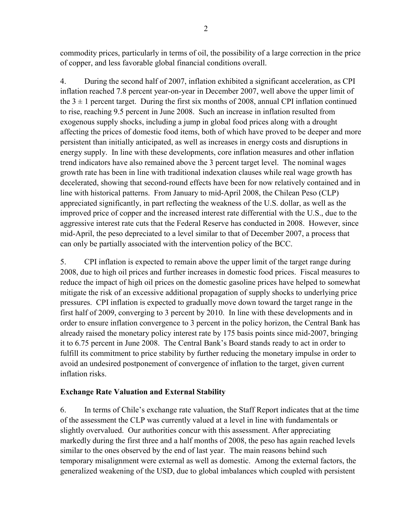commodity prices, particularly in terms of oil, the possibility of a large correction in the price of copper, and less favorable global financial conditions overall.

4. During the second half of 2007, inflation exhibited a significant acceleration, as CPI inflation reached 7.8 percent year-on-year in December 2007, well above the upper limit of the  $3 \pm 1$  percent target. During the first six months of 2008, annual CPI inflation continued to rise, reaching 9.5 percent in June 2008. Such an increase in inflation resulted from exogenous supply shocks, including a jump in global food prices along with a drought affecting the prices of domestic food items, both of which have proved to be deeper and more persistent than initially anticipated, as well as increases in energy costs and disruptions in energy supply. In line with these developments, core inflation measures and other inflation trend indicators have also remained above the 3 percent target level. The nominal wages growth rate has been in line with traditional indexation clauses while real wage growth has decelerated, showing that second-round effects have been for now relatively contained and in line with historical patterns. From January to mid-April 2008, the Chilean Peso (CLP) appreciated significantly, in part reflecting the weakness of the U.S. dollar, as well as the improved price of copper and the increased interest rate differential with the U.S., due to the aggressive interest rate cuts that the Federal Reserve has conducted in 2008. However, since mid-April, the peso depreciated to a level similar to that of December 2007, a process that can only be partially associated with the intervention policy of the BCC.

5. CPI inflation is expected to remain above the upper limit of the target range during 2008, due to high oil prices and further increases in domestic food prices. Fiscal measures to reduce the impact of high oil prices on the domestic gasoline prices have helped to somewhat mitigate the risk of an excessive additional propagation of supply shocks to underlying price pressures. CPI inflation is expected to gradually move down toward the target range in the first half of 2009, converging to 3 percent by 2010. In line with these developments and in order to ensure inflation convergence to 3 percent in the policy horizon, the Central Bank has already raised the monetary policy interest rate by 175 basis points since mid-2007, bringing it to 6.75 percent in June 2008. The Central Bank's Board stands ready to act in order to fulfill its commitment to price stability by further reducing the monetary impulse in order to avoid an undesired postponement of convergence of inflation to the target, given current inflation risks.

### **Exchange Rate Valuation and External Stability**

6. In terms of Chile's exchange rate valuation, the Staff Report indicates that at the time of the assessment the CLP was currently valued at a level in line with fundamentals or slightly overvalued. Our authorities concur with this assessment. After appreciating markedly during the first three and a half months of 2008, the peso has again reached levels similar to the ones observed by the end of last year. The main reasons behind such temporary misalignment were external as well as domestic. Among the external factors, the generalized weakening of the USD, due to global imbalances which coupled with persistent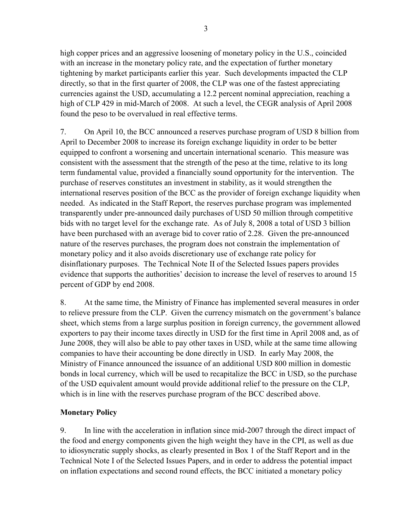high copper prices and an aggressive loosening of monetary policy in the U.S., coincided with an increase in the monetary policy rate, and the expectation of further monetary tightening by market participants earlier this year. Such developments impacted the CLP directly, so that in the first quarter of 2008, the CLP was one of the fastest appreciating currencies against the USD, accumulating a 12.2 percent nominal appreciation, reaching a high of CLP 429 in mid-March of 2008. At such a level, the CEGR analysis of April 2008 found the peso to be overvalued in real effective terms.

7. On April 10, the BCC announced a reserves purchase program of USD 8 billion from April to December 2008 to increase its foreign exchange liquidity in order to be better equipped to confront a worsening and uncertain international scenario. This measure was consistent with the assessment that the strength of the peso at the time, relative to its long term fundamental value, provided a financially sound opportunity for the intervention. The purchase of reserves constitutes an investment in stability, as it would strengthen the international reserves position of the BCC as the provider of foreign exchange liquidity when needed. As indicated in the Staff Report, the reserves purchase program was implemented transparently under pre-announced daily purchases of USD 50 million through competitive bids with no target level for the exchange rate. As of July 8, 2008 a total of USD 3 billion have been purchased with an average bid to cover ratio of 2.28. Given the pre-announced nature of the reserves purchases, the program does not constrain the implementation of monetary policy and it also avoids discretionary use of exchange rate policy for disinflationary purposes. The Technical Note II of the Selected Issues papers provides evidence that supports the authorities' decision to increase the level of reserves to around 15 percent of GDP by end 2008.

8. At the same time, the Ministry of Finance has implemented several measures in order to relieve pressure from the CLP. Given the currency mismatch on the government's balance sheet, which stems from a large surplus position in foreign currency, the government allowed exporters to pay their income taxes directly in USD for the first time in April 2008 and, as of June 2008, they will also be able to pay other taxes in USD, while at the same time allowing companies to have their accounting be done directly in USD. In early May 2008, the Ministry of Finance announced the issuance of an additional USD 800 million in domestic bonds in local currency, which will be used to recapitalize the BCC in USD, so the purchase of the USD equivalent amount would provide additional relief to the pressure on the CLP, which is in line with the reserves purchase program of the BCC described above.

### **Monetary Policy**

9. In line with the acceleration in inflation since mid-2007 through the direct impact of the food and energy components given the high weight they have in the CPI, as well as due to idiosyncratic supply shocks, as clearly presented in Box 1 of the Staff Report and in the Technical Note I of the Selected Issues Papers, and in order to address the potential impact on inflation expectations and second round effects, the BCC initiated a monetary policy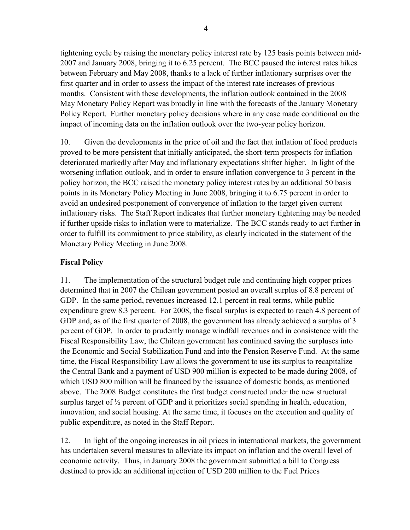tightening cycle by raising the monetary policy interest rate by 125 basis points between mid-2007 and January 2008, bringing it to 6.25 percent. The BCC paused the interest rates hikes between February and May 2008, thanks to a lack of further inflationary surprises over the first quarter and in order to assess the impact of the interest rate increases of previous months. Consistent with these developments, the inflation outlook contained in the 2008 May Monetary Policy Report was broadly in line with the forecasts of the January Monetary Policy Report. Further monetary policy decisions where in any case made conditional on the impact of incoming data on the inflation outlook over the two-year policy horizon.

10. Given the developments in the price of oil and the fact that inflation of food products proved to be more persistent that initially anticipated, the short-term prospects for inflation deteriorated markedly after May and inflationary expectations shifter higher. In light of the worsening inflation outlook, and in order to ensure inflation convergence to 3 percent in the policy horizon, the BCC raised the monetary policy interest rates by an additional 50 basis points in its Monetary Policy Meeting in June 2008, bringing it to 6.75 percent in order to avoid an undesired postponement of convergence of inflation to the target given current inflationary risks. The Staff Report indicates that further monetary tightening may be needed if further upside risks to inflation were to materialize. The BCC stands ready to act further in order to fulfill its commitment to price stability, as clearly indicated in the statement of the Monetary Policy Meeting in June 2008.

### **Fiscal Policy**

11. The implementation of the structural budget rule and continuing high copper prices determined that in 2007 the Chilean government posted an overall surplus of 8.8 percent of GDP. In the same period, revenues increased 12.1 percent in real terms, while public expenditure grew 8.3 percent. For 2008, the fiscal surplus is expected to reach 4.8 percent of GDP and, as of the first quarter of 2008, the government has already achieved a surplus of 3 percent of GDP. In order to prudently manage windfall revenues and in consistence with the Fiscal Responsibility Law, the Chilean government has continued saving the surpluses into the Economic and Social Stabilization Fund and into the Pension Reserve Fund. At the same time, the Fiscal Responsibility Law allows the government to use its surplus to recapitalize the Central Bank and a payment of USD 900 million is expected to be made during 2008, of which USD 800 million will be financed by the issuance of domestic bonds, as mentioned above. The 2008 Budget constitutes the first budget constructed under the new structural surplus target of ½ percent of GDP and it prioritizes social spending in health, education, innovation, and social housing. At the same time, it focuses on the execution and quality of public expenditure, as noted in the Staff Report.

12. In light of the ongoing increases in oil prices in international markets, the government has undertaken several measures to alleviate its impact on inflation and the overall level of economic activity. Thus, in January 2008 the government submitted a bill to Congress destined to provide an additional injection of USD 200 million to the Fuel Prices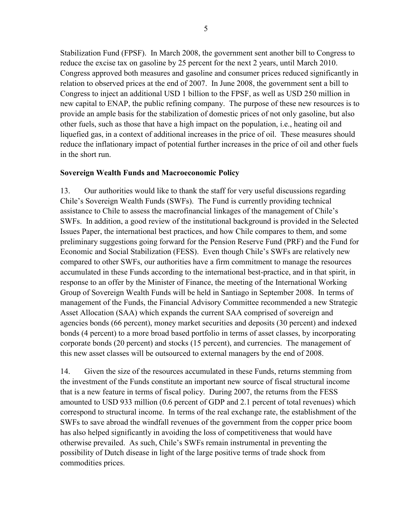Stabilization Fund (FPSF). In March 2008, the government sent another bill to Congress to reduce the excise tax on gasoline by 25 percent for the next 2 years, until March 2010. Congress approved both measures and gasoline and consumer prices reduced significantly in relation to observed prices at the end of 2007. In June 2008, the government sent a bill to Congress to inject an additional USD 1 billion to the FPSF, as well as USD 250 million in new capital to ENAP, the public refining company. The purpose of these new resources is to provide an ample basis for the stabilization of domestic prices of not only gasoline, but also other fuels, such as those that have a high impact on the population, i.e., heating oil and liquefied gas, in a context of additional increases in the price of oil. These measures should reduce the inflationary impact of potential further increases in the price of oil and other fuels in the short run.

### **Sovereign Wealth Funds and Macroeconomic Policy**

13. Our authorities would like to thank the staff for very useful discussions regarding Chile's Sovereign Wealth Funds (SWFs). The Fund is currently providing technical assistance to Chile to assess the macrofinancial linkages of the management of Chile's SWFs. In addition, a good review of the institutional background is provided in the Selected Issues Paper, the international best practices, and how Chile compares to them, and some preliminary suggestions going forward for the Pension Reserve Fund (PRF) and the Fund for Economic and Social Stabilization (FESS). Even though Chile's SWFs are relatively new compared to other SWFs, our authorities have a firm commitment to manage the resources accumulated in these Funds according to the international best-practice, and in that spirit, in response to an offer by the Minister of Finance, the meeting of the International Working Group of Sovereign Wealth Funds will be held in Santiago in September 2008. In terms of management of the Funds, the Financial Advisory Committee recommended a new Strategic Asset Allocation (SAA) which expands the current SAA comprised of sovereign and agencies bonds (66 percent), money market securities and deposits (30 percent) and indexed bonds (4 percent) to a more broad based portfolio in terms of asset classes, by incorporating corporate bonds (20 percent) and stocks (15 percent), and currencies. The management of this new asset classes will be outsourced to external managers by the end of 2008.

14. Given the size of the resources accumulated in these Funds, returns stemming from the investment of the Funds constitute an important new source of fiscal structural income that is a new feature in terms of fiscal policy. During 2007, the returns from the FESS amounted to USD 933 million (0.6 percent of GDP and 2.1 percent of total revenues) which correspond to structural income. In terms of the real exchange rate, the establishment of the SWFs to save abroad the windfall revenues of the government from the copper price boom has also helped significantly in avoiding the loss of competitiveness that would have otherwise prevailed. As such, Chile's SWFs remain instrumental in preventing the possibility of Dutch disease in light of the large positive terms of trade shock from commodities prices.